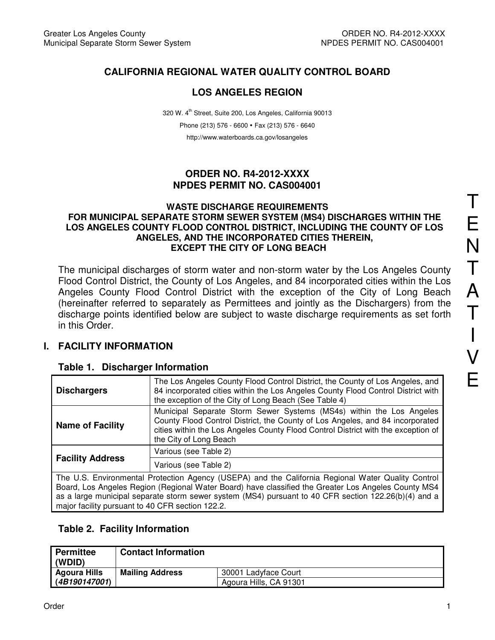## **CALIFORNIA REGIONAL WATER QUALITY CONTROL BOARD**

## **LOS ANGELES REGION**

320 W. 4<sup>th</sup> Street, Suite 200, Los Angeles, California 90013 Phone (213) 576 - 6600 · Fax (213) 576 - 6640 http://www.waterboards.ca.gov/losangeles

### **ORDER NO. R4-2012-XXXX NPDES PERMIT NO. CAS004001**

#### **WASTE DISCHARGE REQUIREMENTS FOR MUNICIPAL SEPARATE STORM SEWER SYSTEM (MS4) DISCHARGES WITHIN THE LOS ANGELES COUNTY FLOOD CONTROL DISTRICT, INCLUDING THE COUNTY OF LOS ANGELES, AND THE INCORPORATED CITIES THEREIN, EXCEPT THE CITY OF LONG BEACH**

The municipal discharges of storm water and non-storm water by the Los Angeles County Flood Control District, the County of Los Angeles, and 84 incorporated cities within the Los Angeles County Flood Control District with the exception of the City of Long Beach (hereinafter referred to separately as Permittees and jointly as the Dischargers) from the discharge points identified below are subject to waste discharge requirements as set forth in this Order.

### **I. FACILITY INFORMATION**

#### **Table 1. Discharger Information**

| <b>Dischargers</b>                                                                                                                                                                                                                                                                                                                                                    | The Los Angeles County Flood Control District, the County of Los Angeles, and<br>84 incorporated cities within the Los Angeles County Flood Control District with<br>the exception of the City of Long Beach (See Table 4)                                           |  |  |
|-----------------------------------------------------------------------------------------------------------------------------------------------------------------------------------------------------------------------------------------------------------------------------------------------------------------------------------------------------------------------|----------------------------------------------------------------------------------------------------------------------------------------------------------------------------------------------------------------------------------------------------------------------|--|--|
| <b>Name of Facility</b>                                                                                                                                                                                                                                                                                                                                               | Municipal Separate Storm Sewer Systems (MS4s) within the Los Angeles<br>County Flood Control District, the County of Los Angeles, and 84 incorporated<br>cities within the Los Angeles County Flood Control District with the exception of<br>the City of Long Beach |  |  |
|                                                                                                                                                                                                                                                                                                                                                                       | Various (see Table 2)                                                                                                                                                                                                                                                |  |  |
| <b>Facility Address</b>                                                                                                                                                                                                                                                                                                                                               | Various (see Table 2)                                                                                                                                                                                                                                                |  |  |
| The U.S. Environmental Protection Agency (USEPA) and the California Regional Water Quality Control<br>Board, Los Angeles Region (Regional Water Board) have classified the Greater Los Angeles County MS4<br>as a large municipal separate storm sewer system (MS4) pursuant to 40 CFR section 122.26(b)(4) and a<br>major facility pursuant to 40 CFR section 122.2. |                                                                                                                                                                                                                                                                      |  |  |

### **Table 2. Facility Information**

| Permittee<br>(WDID) | <b>Contact Information</b> |                        |
|---------------------|----------------------------|------------------------|
| Agoura Hills        | <b>Mailing Address</b>     | 30001 Ladyface Court   |
| (4B190147001)       |                            | Agoura Hills, CA 91301 |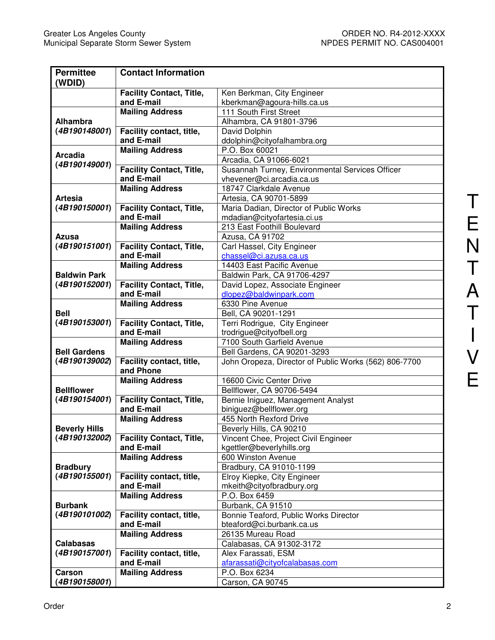| <b>Permittee</b>     | <b>Contact Information</b>      |                                                       |  |  |
|----------------------|---------------------------------|-------------------------------------------------------|--|--|
| (WDID)               |                                 |                                                       |  |  |
|                      | <b>Facility Contact, Title,</b> | Ken Berkman, City Engineer                            |  |  |
|                      | and E-mail                      | kberkman@agoura-hills.ca.us                           |  |  |
|                      | <b>Mailing Address</b>          | 111 South First Street                                |  |  |
| Alhambra             |                                 | Alhambra, CA 91801-3796                               |  |  |
| (4B190148001)        | Facility contact, title,        | David Dolphin                                         |  |  |
|                      | and E-mail                      | ddolphin@cityofalhambra.org                           |  |  |
| <b>Arcadia</b>       | <b>Mailing Address</b>          | P.O. Box 60021                                        |  |  |
| (4B190149001)        |                                 | Arcadia, CA 91066-6021                                |  |  |
|                      | <b>Facility Contact, Title,</b> | Susannah Turney, Environmental Services Officer       |  |  |
|                      | and E-mail                      | vhevener@ci.arcadia.ca.us                             |  |  |
|                      | <b>Mailing Address</b>          | 18747 Clarkdale Avenue                                |  |  |
| <b>Artesia</b>       |                                 | Artesia, CA 90701-5899                                |  |  |
| (4B190150001)        | <b>Facility Contact, Title,</b> | Maria Dadian, Director of Public Works                |  |  |
|                      | and E-mail                      | mdadian@cityofartesia.ci.us                           |  |  |
|                      | <b>Mailing Address</b>          | 213 East Foothill Boulevard                           |  |  |
| Azusa                |                                 | Azusa, CA 91702                                       |  |  |
| (4B190151001)        | <b>Facility Contact, Title,</b> | Carl Hassel, City Engineer                            |  |  |
|                      | and E-mail                      | chassel@ci.azusa.ca.us                                |  |  |
|                      | <b>Mailing Address</b>          | 14403 East Pacific Avenue                             |  |  |
| <b>Baldwin Park</b>  |                                 | Baldwin Park, CA 91706-4297                           |  |  |
| (4B190152001)        | <b>Facility Contact, Title,</b> | David Lopez, Associate Engineer                       |  |  |
|                      | and E-mail                      | dlopez@baldwinpark.com                                |  |  |
|                      | <b>Mailing Address</b>          | 6330 Pine Avenue                                      |  |  |
| <b>Bell</b>          |                                 | Bell, CA 90201-1291                                   |  |  |
| (4B190153001)        | <b>Facility Contact, Title,</b> | Terri Rodrigue, City Engineer                         |  |  |
|                      | and E-mail                      | trodrigue@cityofbell.org                              |  |  |
|                      | <b>Mailing Address</b>          | 7100 South Garfield Avenue                            |  |  |
| <b>Bell Gardens</b>  |                                 | Bell Gardens, CA 90201-3293                           |  |  |
| (4B190139002)        | Facility contact, title,        | John Oropeza, Director of Public Works (562) 806-7700 |  |  |
|                      | and Phone                       |                                                       |  |  |
|                      | <b>Mailing Address</b>          | 16600 Civic Center Drive                              |  |  |
| <b>Bellflower</b>    |                                 | Bellflower, CA 90706-5494                             |  |  |
| (4B190154001)        | <b>Facility Contact, Title,</b> | Bernie Iniguez, Management Analyst                    |  |  |
|                      | and E-mail                      | biniguez@bellflower.org                               |  |  |
|                      | <b>Mailing Address</b>          | 455 North Rexford Drive                               |  |  |
| <b>Beverly Hills</b> |                                 | Beverly Hills, CA 90210                               |  |  |
| (4B190132002)        | <b>Facility Contact, Title,</b> | Vincent Chee, Project Civil Engineer                  |  |  |
|                      | and E-mail                      | kgettler@beverlyhills.org                             |  |  |
|                      | <b>Mailing Address</b>          | 600 Winston Avenue                                    |  |  |
| <b>Bradbury</b>      |                                 | Bradbury, CA 91010-1199                               |  |  |
| (4B190155001)        | Facility contact, title,        | Elroy Kiepke, City Engineer                           |  |  |
|                      | and E-mail                      | mkeith@cityofbradbury.org                             |  |  |
|                      | <b>Mailing Address</b>          | P.O. Box 6459                                         |  |  |
| <b>Burbank</b>       |                                 | Burbank, CA 91510                                     |  |  |
| (4B190101002)        | Facility contact, title,        | Bonnie Teaford, Public Works Director                 |  |  |
|                      | and E-mail                      | bteaford@ci.burbank.ca.us                             |  |  |
|                      | <b>Mailing Address</b>          | 26135 Mureau Road                                     |  |  |
| <b>Calabasas</b>     |                                 | Calabasas, CA 91302-3172                              |  |  |
| (4B190157001)        | Facility contact, title,        | Alex Farassati, ESM                                   |  |  |
|                      | and E-mail                      | afarassati@cityofcalabasas.com                        |  |  |
| Carson               | <b>Mailing Address</b>          | P.O. Box 6234                                         |  |  |
| (4B190158001)        |                                 | Carson, CA 90745                                      |  |  |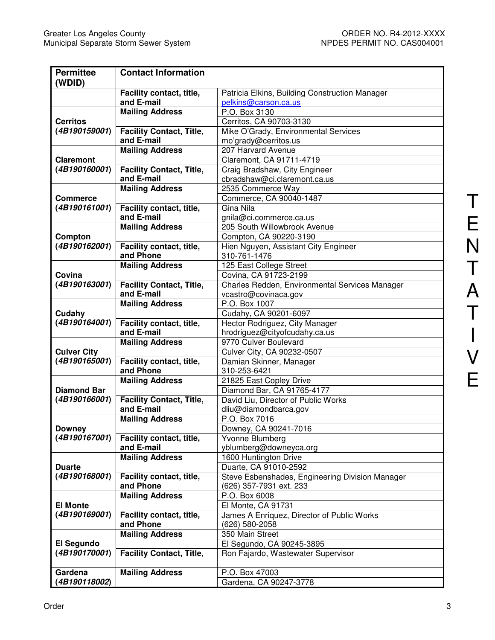| <b>Permittee</b><br>(WDID) | <b>Contact Information</b>             |                                                                        |  |  |  |
|----------------------------|----------------------------------------|------------------------------------------------------------------------|--|--|--|
|                            | Facility contact, title,<br>and E-mail | Patricia Elkins, Building Construction Manager<br>pelkins@carson.ca.us |  |  |  |
|                            | <b>Mailing Address</b>                 | P.O. Box 3130                                                          |  |  |  |
| <b>Cerritos</b>            |                                        | Cerritos, CA 90703-3130                                                |  |  |  |
| (4B190159001)              | <b>Facility Contact, Title,</b>        | Mike O'Grady, Environmental Services                                   |  |  |  |
|                            | and E-mail                             | mo'grady@cerritos.us                                                   |  |  |  |
|                            | <b>Mailing Address</b>                 | 207 Harvard Avenue                                                     |  |  |  |
| <b>Claremont</b>           |                                        | Claremont, CA 91711-4719                                               |  |  |  |
| (4B190160001)              | <b>Facility Contact, Title,</b>        | Craig Bradshaw, City Engineer                                          |  |  |  |
|                            | and E-mail                             | cbradshaw@ci.claremont.ca.us                                           |  |  |  |
|                            | <b>Mailing Address</b>                 | 2535 Commerce Way                                                      |  |  |  |
| <b>Commerce</b>            |                                        | Commerce, CA 90040-1487                                                |  |  |  |
| (4B190161001)              | Facility contact, title,               | Gina Nila                                                              |  |  |  |
|                            | and E-mail                             | gnila@ci.commerce.ca.us                                                |  |  |  |
|                            | <b>Mailing Address</b>                 | 205 South Willowbrook Avenue                                           |  |  |  |
| Compton                    |                                        | Compton, CA 90220-3190                                                 |  |  |  |
| (4B190162001)              | Facility contact, title,               | Hien Nguyen, Assistant City Engineer                                   |  |  |  |
|                            | and Phone                              | 310-761-1476                                                           |  |  |  |
|                            | <b>Mailing Address</b>                 | 125 East College Street                                                |  |  |  |
| Covina                     |                                        | Covina, CA 91723-2199                                                  |  |  |  |
| (4B190163001)              | <b>Facility Contact, Title,</b>        | Charles Redden, Environmental Services Manager                         |  |  |  |
|                            | and E-mail                             | vcastro@covinaca.gov                                                   |  |  |  |
|                            | <b>Mailing Address</b>                 | P.O. Box 1007                                                          |  |  |  |
| Cudahy                     |                                        | Cudahy, CA 90201-6097                                                  |  |  |  |
| (4B190164001)              | Facility contact, title,               | Hector Rodriguez, City Manager                                         |  |  |  |
|                            | and E-mail                             | hrodriguez@cityofcudahy.ca.us                                          |  |  |  |
|                            | <b>Mailing Address</b>                 | 9770 Culver Boulevard                                                  |  |  |  |
| <b>Culver City</b>         |                                        | Culver City, CA 90232-0507                                             |  |  |  |
| (4B190165001)              | Facility contact, title,               | Damian Skinner, Manager                                                |  |  |  |
|                            | and Phone                              | 310-253-6421                                                           |  |  |  |
|                            | <b>Mailing Address</b>                 | 21825 East Copley Drive                                                |  |  |  |
| <b>Diamond Bar</b>         |                                        | Diamond Bar, CA 91765-4177                                             |  |  |  |
| (4B190166001)              | <b>Facility Contact, Title,</b>        | David Liu, Director of Public Works                                    |  |  |  |
|                            | and E-mail                             | dliu@diamondbarca.gov                                                  |  |  |  |
|                            | <b>Mailing Address</b>                 | P.O. Box 7016                                                          |  |  |  |
| <b>Downey</b>              |                                        | Downey, CA 90241-7016                                                  |  |  |  |
| (4B190167001)              | Facility contact, title,               | Yvonne Blumberg                                                        |  |  |  |
|                            | and E-mail                             | yblumberg@downeyca.org                                                 |  |  |  |
|                            | <b>Mailing Address</b>                 | 1600 Huntington Drive                                                  |  |  |  |
| <b>Duarte</b>              |                                        | Duarte, CA 91010-2592                                                  |  |  |  |
| (4B190168001)              | Facility contact, title,               | Steve Esbenshades, Engineering Division Manager                        |  |  |  |
|                            | and Phone                              | (626) 357-7931 ext. 233                                                |  |  |  |
|                            | <b>Mailing Address</b>                 | P.O. Box 6008                                                          |  |  |  |
| <b>El Monte</b>            |                                        | El Monte, CA 91731                                                     |  |  |  |
| (4B190169001)              | Facility contact, title,               | James A Enriquez, Director of Public Works                             |  |  |  |
|                            | and Phone                              | (626) 580-2058                                                         |  |  |  |
|                            | <b>Mailing Address</b>                 | 350 Main Street                                                        |  |  |  |
| El Segundo                 |                                        | El Segundo, CA 90245-3895                                              |  |  |  |
| (4B190170001)              | <b>Facility Contact, Title,</b>        | Ron Fajardo, Wastewater Supervisor                                     |  |  |  |
|                            |                                        |                                                                        |  |  |  |
| Gardena                    | <b>Mailing Address</b>                 | P.O. Box 47003                                                         |  |  |  |
| (4B190118002)              |                                        | Gardena, CA 90247-3778                                                 |  |  |  |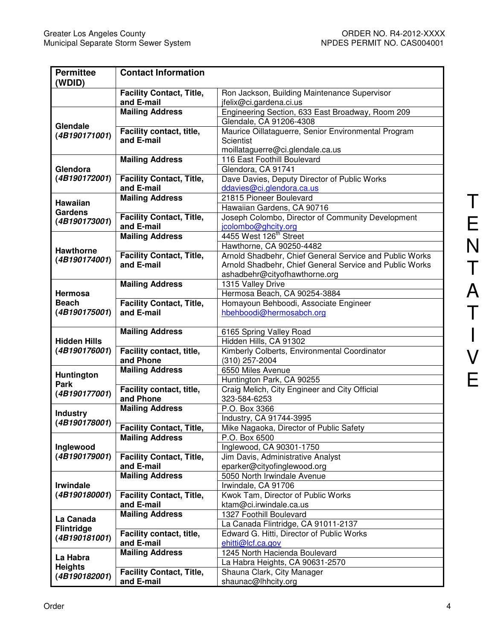| <b>Permittee</b><br>(WDID)     | <b>Contact Information</b>                                |                                                                                          |  |  |  |
|--------------------------------|-----------------------------------------------------------|------------------------------------------------------------------------------------------|--|--|--|
|                                | <b>Facility Contact, Title,</b>                           | Ron Jackson, Building Maintenance Supervisor                                             |  |  |  |
|                                | and E-mail                                                | jfelix@ci.gardena.ci.us                                                                  |  |  |  |
|                                | <b>Mailing Address</b>                                    | Engineering Section, 633 East Broadway, Room 209                                         |  |  |  |
|                                |                                                           | Glendale, CA 91206-4308                                                                  |  |  |  |
| Glendale                       | Facility contact, title,                                  | Maurice Oillataguerre, Senior Environmental Program                                      |  |  |  |
| (4B190171001)                  | and E-mail                                                | Scientist                                                                                |  |  |  |
|                                |                                                           | moillataguerre@ci.glendale.ca.us                                                         |  |  |  |
|                                | <b>Mailing Address</b>                                    | 116 East Foothill Boulevard                                                              |  |  |  |
| Glendora                       |                                                           | Glendora, CA 91741                                                                       |  |  |  |
| (4B190172001)                  | <b>Facility Contact, Title,</b>                           | Dave Davies, Deputy Director of Public Works                                             |  |  |  |
|                                | and E-mail                                                | ddavies@ci.glendora.ca.us                                                                |  |  |  |
| <b>Hawaiian</b>                | <b>Mailing Address</b>                                    | 21815 Pioneer Boulevard                                                                  |  |  |  |
| Gardens                        |                                                           | Hawaiian Gardens, CA 90716                                                               |  |  |  |
| (4B190173001)                  | <b>Facility Contact, Title,</b>                           | Joseph Colombo, Director of Community Development                                        |  |  |  |
|                                | and E-mail                                                | jcolombo@ghcity.org                                                                      |  |  |  |
|                                | <b>Mailing Address</b>                                    | 4455 West 126 <sup>th</sup> Street                                                       |  |  |  |
| <b>Hawthorne</b>               |                                                           | Hawthorne, CA 90250-4482                                                                 |  |  |  |
| (4B190174001)                  | <b>Facility Contact, Title,</b><br>and E-mail             | Arnold Shadbehr, Chief General Service and Public Works                                  |  |  |  |
|                                |                                                           | Arnold Shadbehr, Chief General Service and Public Works<br>ashadbehr@cityofhawthorne.org |  |  |  |
|                                | <b>Mailing Address</b>                                    |                                                                                          |  |  |  |
| <b>Hermosa</b>                 |                                                           | 1315 Valley Drive<br>Hermosa Beach, CA 90254-3884                                        |  |  |  |
| <b>Beach</b>                   | <b>Facility Contact, Title,</b>                           | Homayoun Behboodi, Associate Engineer                                                    |  |  |  |
| (4B190175001)                  | and E-mail                                                | hbehboodi@hermosabch.org                                                                 |  |  |  |
|                                |                                                           |                                                                                          |  |  |  |
|                                | <b>Mailing Address</b>                                    | 6165 Spring Valley Road                                                                  |  |  |  |
| <b>Hidden Hills</b>            |                                                           | Hidden Hills, CA 91302                                                                   |  |  |  |
| (4B190176001)                  | Facility contact, title,                                  | Kimberly Colberts, Environmental Coordinator                                             |  |  |  |
|                                | and Phone                                                 | (310) 257-2004                                                                           |  |  |  |
| <b>Huntington</b>              | <b>Mailing Address</b>                                    | 6550 Miles Avenue                                                                        |  |  |  |
| Park                           |                                                           | Huntington Park, CA 90255                                                                |  |  |  |
| (4B190177001)                  | Facility contact, title,                                  | Craig Melich, City Engineer and City Official                                            |  |  |  |
|                                | and Phone                                                 | 323-584-6253                                                                             |  |  |  |
| <b>Industry</b>                | <b>Mailing Address</b>                                    | P.O. Box 3366                                                                            |  |  |  |
| (4B190178001)                  |                                                           | Industry, CA 91744-3995                                                                  |  |  |  |
|                                | <b>Facility Contact, Title,</b><br><b>Mailing Address</b> | Mike Nagaoka, Director of Public Safety<br>P.O. Box 6500                                 |  |  |  |
| Inglewood                      |                                                           | Inglewood, CA 90301-1750                                                                 |  |  |  |
| (4B190179001)                  | <b>Facility Contact, Title,</b>                           | Jim Davis, Administrative Analyst                                                        |  |  |  |
|                                | and E-mail                                                | eparker@cityofinglewood.org                                                              |  |  |  |
|                                | <b>Mailing Address</b>                                    | 5050 North Irwindale Avenue                                                              |  |  |  |
| <b>Irwindale</b>               |                                                           | Irwindale, CA 91706                                                                      |  |  |  |
| (4B190180001)                  | <b>Facility Contact, Title,</b>                           | Kwok Tam, Director of Public Works                                                       |  |  |  |
|                                | and E-mail                                                | ktam@ci.irwindale.ca.us                                                                  |  |  |  |
|                                | <b>Mailing Address</b>                                    | 1327 Foothill Boulevard                                                                  |  |  |  |
| La Canada<br><b>Flintridge</b> |                                                           | La Canada Flintridge, CA 91011-2137                                                      |  |  |  |
| (4B190181001)                  | Facility contact, title,                                  | Edward G. Hitti, Director of Public Works                                                |  |  |  |
|                                | and E-mail                                                | ehitti@lcf.ca.gov                                                                        |  |  |  |
| La Habra                       | <b>Mailing Address</b>                                    | 1245 North Hacienda Boulevard                                                            |  |  |  |
| <b>Heights</b>                 |                                                           | La Habra Heights, CA 90631-2570                                                          |  |  |  |
| (4B190182001)                  | <b>Facility Contact, Title,</b>                           | Shauna Clark, City Manager                                                               |  |  |  |
|                                | and E-mail                                                | shaunac@lhhcity.org                                                                      |  |  |  |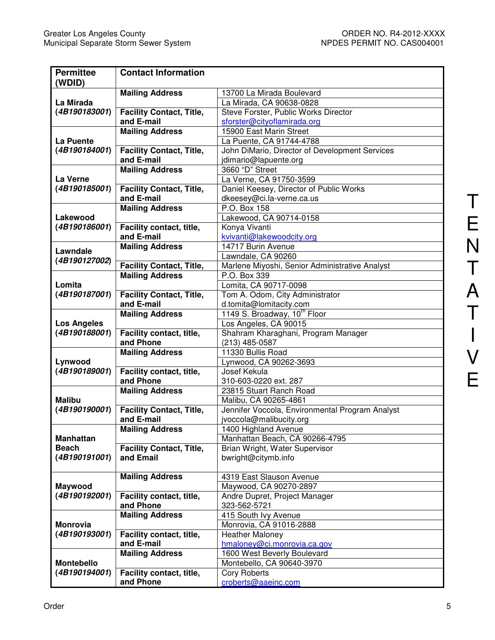| <b>Permittee</b>          | <b>Contact Information</b>                    |                                                          |  |  |  |
|---------------------------|-----------------------------------------------|----------------------------------------------------------|--|--|--|
| (WDID)                    |                                               |                                                          |  |  |  |
|                           | <b>Mailing Address</b>                        | 13700 La Mirada Boulevard                                |  |  |  |
| La Mirada                 |                                               | La Mirada, CA 90638-0828                                 |  |  |  |
| (4B190183001)             | <b>Facility Contact, Title,</b>               | Steve Forster, Public Works Director                     |  |  |  |
|                           | and E-mail                                    | sforster@cityoflamirada.org                              |  |  |  |
|                           | <b>Mailing Address</b>                        | 15900 East Marin Street                                  |  |  |  |
| La Puente                 |                                               | La Puente, CA 91744-4788                                 |  |  |  |
| (4B190184001)             | <b>Facility Contact, Title,</b>               | John DiMario, Director of Development Services           |  |  |  |
|                           | and E-mail                                    | jdimario@lapuente.org                                    |  |  |  |
|                           | <b>Mailing Address</b>                        | 3660 "D" Street                                          |  |  |  |
| La Verne                  |                                               | La Verne, CA 91750-3599                                  |  |  |  |
| (4B190185001)             | <b>Facility Contact, Title,</b><br>and E-mail | Daniel Keesey, Director of Public Works                  |  |  |  |
|                           |                                               | dkeesey@ci.la-verne.ca.us<br>P.O. Box 158                |  |  |  |
|                           | <b>Mailing Address</b>                        |                                                          |  |  |  |
| Lakewood<br>(4B190186001) |                                               | Lakewood, CA 90714-0158                                  |  |  |  |
|                           | Facility contact, title,<br>and E-mail        | Konya Vivanti                                            |  |  |  |
|                           | <b>Mailing Address</b>                        | kvivanti@lakewoodcity.org<br>14717 Burin Avenue          |  |  |  |
| Lawndale                  |                                               | Lawndale, CA 90260                                       |  |  |  |
| (4B190127002)             | <b>Facility Contact, Title,</b>               | Marlene Miyoshi, Senior Administrative Analyst           |  |  |  |
|                           | <b>Mailing Address</b>                        | P.O. Box 339                                             |  |  |  |
| Lomita                    |                                               | Lomita, CA 90717-0098                                    |  |  |  |
| (4B190187001)             | <b>Facility Contact, Title,</b>               | Tom A. Odom, City Administrator                          |  |  |  |
|                           | and E-mail                                    | d.tomita@lomitacity.com                                  |  |  |  |
|                           | <b>Mailing Address</b>                        | 1149 S. Broadway, 10th Floor                             |  |  |  |
| <b>Los Angeles</b>        |                                               | Los Angeles, CA 90015                                    |  |  |  |
| (4B190188001)             | Facility contact, title,                      | Shahram Kharaghani, Program Manager                      |  |  |  |
|                           | and Phone                                     | (213) 485-0587                                           |  |  |  |
|                           | <b>Mailing Address</b>                        | 11330 Bullis Road                                        |  |  |  |
| Lynwood                   |                                               | Lynwood, CA 90262-3693                                   |  |  |  |
| (4B190189001)             | Facility contact, title,                      | Josef Kekula                                             |  |  |  |
|                           | and Phone                                     | 310-603-0220 ext. 287                                    |  |  |  |
|                           | <b>Mailing Address</b>                        | 23815 Stuart Ranch Road                                  |  |  |  |
| <b>Malibu</b>             |                                               | Malibu, CA 90265-4861                                    |  |  |  |
| (4B190190001)             | <b>Facility Contact, Title,</b>               | Jennifer Voccola, Environmental Program Analyst          |  |  |  |
|                           | and E-mail                                    | jvoccola@malibucity.org                                  |  |  |  |
|                           | <b>Mailing Address</b>                        | 1400 Highland Avenue                                     |  |  |  |
| Manhattan                 |                                               | Manhattan Beach, CA 90266-4795                           |  |  |  |
| <b>Beach</b>              | <b>Facility Contact, Title,</b>               | Brian Wright, Water Supervisor                           |  |  |  |
| (4B190191001)             | and Email                                     | bwright@citymb.info                                      |  |  |  |
|                           |                                               |                                                          |  |  |  |
|                           | <b>Mailing Address</b>                        | 4319 East Slauson Avenue                                 |  |  |  |
| Maywood                   |                                               | Maywood, CA 90270-2897                                   |  |  |  |
| (4B190192001)             | Facility contact, title,                      | Andre Dupret, Project Manager                            |  |  |  |
|                           | and Phone                                     | 323-562-5721                                             |  |  |  |
|                           | <b>Mailing Address</b>                        | 415 South Ivy Avenue                                     |  |  |  |
| Monrovia<br>(4B190193001) |                                               | Monrovia, CA 91016-2888                                  |  |  |  |
|                           | Facility contact, title,<br>and E-mail        | <b>Heather Maloney</b>                                   |  |  |  |
|                           | <b>Mailing Address</b>                        | hmaloney@ci.monrovia.ca.gov                              |  |  |  |
| Montebello                |                                               | 1600 West Beverly Boulevard<br>Montebello, CA 90640-3970 |  |  |  |
| (4B190194001)             | Facility contact, title,                      | <b>Cory Roberts</b>                                      |  |  |  |
|                           | and Phone                                     | croberts@aaeinc.com                                      |  |  |  |
|                           |                                               |                                                          |  |  |  |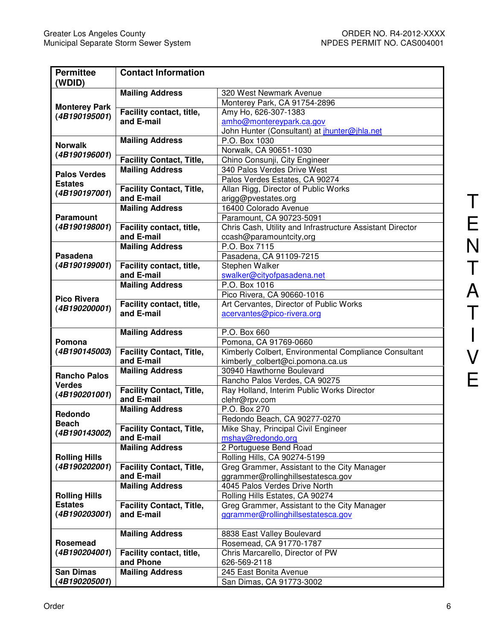| <b>Permittee</b>                  | <b>Contact Information</b>                    |                                                                                           |  |  |  |  |
|-----------------------------------|-----------------------------------------------|-------------------------------------------------------------------------------------------|--|--|--|--|
| (WDID)                            |                                               |                                                                                           |  |  |  |  |
|                                   | <b>Mailing Address</b>                        | 320 West Newmark Avenue                                                                   |  |  |  |  |
| <b>Monterey Park</b>              |                                               | Monterey Park, CA 91754-2896                                                              |  |  |  |  |
| (4B190195001)                     | Facility contact, title,                      | Amy Ho, 626-307-1383                                                                      |  |  |  |  |
|                                   | and E-mail                                    | amho@montereypark.ca.gov                                                                  |  |  |  |  |
|                                   |                                               | John Hunter (Consultant) at <i>jhunter@jhla.net</i>                                       |  |  |  |  |
| <b>Norwalk</b>                    | <b>Mailing Address</b>                        | P.O. Box 1030                                                                             |  |  |  |  |
| (4B190196001)                     |                                               | Norwalk, CA 90651-1030                                                                    |  |  |  |  |
|                                   | <b>Facility Contact, Title,</b>               | Chino Consunji, City Engineer                                                             |  |  |  |  |
| <b>Palos Verdes</b>               | <b>Mailing Address</b>                        | 340 Palos Verdes Drive West                                                               |  |  |  |  |
| <b>Estates</b>                    |                                               | Palos Verdes Estates, CA 90274                                                            |  |  |  |  |
| (4B190197001)                     | <b>Facility Contact, Title,</b>               | Allan Rigg, Director of Public Works                                                      |  |  |  |  |
|                                   | and E-mail                                    | arigg@pvestates.org                                                                       |  |  |  |  |
|                                   | <b>Mailing Address</b>                        | 16400 Colorado Avenue                                                                     |  |  |  |  |
| <b>Paramount</b>                  |                                               | Paramount, CA 90723-5091                                                                  |  |  |  |  |
| (4B190198001)                     | Facility contact, title,<br>and E-mail        | Chris Cash, Utility and Infrastructure Assistant Director                                 |  |  |  |  |
|                                   |                                               | ccash@paramountcity,org<br>P.O. Box 7115                                                  |  |  |  |  |
| Pasadena                          | <b>Mailing Address</b>                        |                                                                                           |  |  |  |  |
| (4B190199001)                     | Facility contact, title,                      | Pasadena, CA 91109-7215                                                                   |  |  |  |  |
|                                   | and E-mail                                    | Stephen Walker<br>swalker@cityofpasadena.net                                              |  |  |  |  |
|                                   | <b>Mailing Address</b>                        | P.O. Box 1016                                                                             |  |  |  |  |
|                                   |                                               | Pico Rivera, CA 90660-1016                                                                |  |  |  |  |
| <b>Pico Rivera</b>                | Facility contact, title,                      | Art Cervantes, Director of Public Works                                                   |  |  |  |  |
| (4B190200001)                     | and E-mail                                    | acervantes@pico-rivera.org                                                                |  |  |  |  |
|                                   |                                               |                                                                                           |  |  |  |  |
|                                   | <b>Mailing Address</b>                        | P.O. Box 660                                                                              |  |  |  |  |
|                                   |                                               |                                                                                           |  |  |  |  |
|                                   |                                               |                                                                                           |  |  |  |  |
| Pomona<br>(4B190145003)           |                                               | Pomona, CA 91769-0660                                                                     |  |  |  |  |
|                                   | <b>Facility Contact, Title,</b><br>and E-mail | Kimberly Colbert, Environmental Compliance Consultant<br>kimberly_colbert@ci.pomona.ca.us |  |  |  |  |
|                                   | <b>Mailing Address</b>                        | 30940 Hawthorne Boulevard                                                                 |  |  |  |  |
| <b>Rancho Palos</b>               |                                               | Rancho Palos Verdes, CA 90275                                                             |  |  |  |  |
| <b>Verdes</b>                     | <b>Facility Contact, Title,</b>               | Ray Holland, Interim Public Works Director                                                |  |  |  |  |
| (4B190201001)                     | and E-mail                                    | clehr@rpv.com                                                                             |  |  |  |  |
|                                   | <b>Mailing Address</b>                        | P.O. Box 270                                                                              |  |  |  |  |
| Redondo                           |                                               | Redondo Beach, CA 90277-0270                                                              |  |  |  |  |
| <b>Beach</b>                      | <b>Facility Contact, Title,</b>               | Mike Shay, Principal Civil Engineer                                                       |  |  |  |  |
| (4B190143002)                     | and E-mail                                    | mshay@redondo.org                                                                         |  |  |  |  |
|                                   | <b>Mailing Address</b>                        | 2 Portuguese Bend Road                                                                    |  |  |  |  |
| <b>Rolling Hills</b>              |                                               | Rolling Hills, CA 90274-5199                                                              |  |  |  |  |
| (4B190202001)                     | <b>Facility Contact, Title,</b>               | Greg Grammer, Assistant to the City Manager                                               |  |  |  |  |
|                                   | and E-mail                                    | ggrammer@rollinghillsestatesca.gov                                                        |  |  |  |  |
|                                   | <b>Mailing Address</b>                        | 4045 Palos Verdes Drive North                                                             |  |  |  |  |
| <b>Rolling Hills</b>              |                                               | Rolling Hills Estates, CA 90274                                                           |  |  |  |  |
| <b>Estates</b>                    | <b>Facility Contact, Title,</b>               | Greg Grammer, Assistant to the City Manager                                               |  |  |  |  |
| (4B190203001)                     | and E-mail                                    | ggrammer@rollinghillsestatesca.gov                                                        |  |  |  |  |
|                                   |                                               |                                                                                           |  |  |  |  |
|                                   | <b>Mailing Address</b>                        | 8838 East Valley Boulevard                                                                |  |  |  |  |
| Rosemead                          |                                               | Rosemead, CA 91770-1787                                                                   |  |  |  |  |
| (4B190204001)                     | Facility contact, title,                      | Chris Marcarello, Director of PW                                                          |  |  |  |  |
|                                   | and Phone                                     | 626-569-2118                                                                              |  |  |  |  |
| <b>San Dimas</b><br>(4B190205001) | <b>Mailing Address</b>                        | 245 East Bonita Avenue<br>San Dimas, CA 91773-3002                                        |  |  |  |  |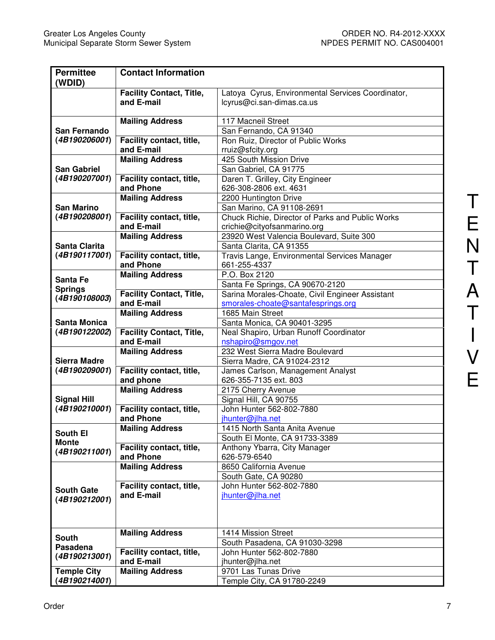| <b>Permittee</b><br>(WDID)            | <b>Contact Information</b>            |                                                              |
|---------------------------------------|---------------------------------------|--------------------------------------------------------------|
|                                       | <b>Facility Contact, Title,</b>       | Latoya Cyrus, Environmental Services Coordinator,            |
|                                       | and E-mail                            | lcyrus@ci.san-dimas.ca.us                                    |
|                                       | <b>Mailing Address</b>                | 117 Macneil Street                                           |
| San Fernando                          |                                       | San Fernando, CA 91340                                       |
| (4B190206001)                         | Facility contact, title,              | Ron Ruiz, Director of Public Works                           |
|                                       | and E-mail                            | rruiz@sfcity.org                                             |
|                                       | <b>Mailing Address</b>                | 425 South Mission Drive                                      |
| <b>San Gabriel</b>                    |                                       | San Gabriel, CA 91775                                        |
| (4B190207001)                         | Facility contact, title,              | Daren T. Grilley, City Engineer                              |
|                                       | and Phone                             | 626-308-2806 ext. 4631                                       |
|                                       | <b>Mailing Address</b>                | 2200 Huntington Drive                                        |
| <b>San Marino</b>                     |                                       | San Marino, CA 91108-2691                                    |
| (4B190208001)                         | Facility contact, title,              | Chuck Richie, Director of Parks and Public Works             |
|                                       | and E-mail                            | crichie@cityofsanmarino.org                                  |
|                                       | <b>Mailing Address</b>                | 23920 West Valencia Boulevard, Suite 300                     |
| <b>Santa Clarita</b><br>(4B190117001) |                                       | Santa Clarita, CA 91355                                      |
|                                       | Facility contact, title,<br>and Phone | Travis Lange, Environmental Services Manager<br>661-255-4337 |
|                                       | <b>Mailing Address</b>                | P.O. Box 2120                                                |
| Santa Fe                              |                                       | Santa Fe Springs, CA 90670-2120                              |
| <b>Springs</b>                        | <b>Facility Contact, Title,</b>       | Sarina Morales-Choate, Civil Engineer Assistant              |
| (4B190108003)                         | and E-mail                            | smorales-choate@santafesprings.org                           |
|                                       | <b>Mailing Address</b>                | 1685 Main Street                                             |
| <b>Santa Monica</b>                   |                                       | Santa Monica, CA 90401-3295                                  |
| (4B190122002)                         | <b>Facility Contact, Title,</b>       | Neal Shapiro, Urban Runoff Coordinator                       |
|                                       | and E-mail                            | nshapiro@smgov.net                                           |
|                                       | <b>Mailing Address</b>                | 232 West Sierra Madre Boulevard                              |
| <b>Sierra Madre</b>                   |                                       | Sierra Madre, CA 91024-2312                                  |
| (4B190209001)                         | Facility contact, title,              | James Carlson, Management Analyst                            |
|                                       | and phone                             | 626-355-7135 ext. 803                                        |
|                                       | <b>Mailing Address</b>                | 2175 Cherry Avenue                                           |
| <b>Signal Hill</b>                    |                                       | Signal Hill, CA 90755                                        |
| (4B190210001)                         | Facility contact, title,              | John Hunter 562-802-7880                                     |
|                                       | and Phone                             | jhunter@jlha.net                                             |
| South El                              | <b>Mailing Address</b>                | 1415 North Santa Anita Avenue                                |
| <b>Monte</b>                          | Facility contact, title,              | South El Monte, CA 91733-3389                                |
| (4B190211001)                         | and Phone                             | Anthony Ybarra, City Manager<br>626-579-6540                 |
|                                       | <b>Mailing Address</b>                | 8650 California Avenue                                       |
|                                       |                                       | South Gate, CA 90280                                         |
|                                       | Facility contact, title,              | John Hunter 562-802-7880                                     |
| <b>South Gate</b>                     | and E-mail                            | jhunter@jlha.net                                             |
| (4B190212001)                         |                                       |                                                              |
|                                       |                                       |                                                              |
|                                       |                                       |                                                              |
| <b>South</b>                          | <b>Mailing Address</b>                | 1414 Mission Street                                          |
| Pasadena                              |                                       | South Pasadena, CA 91030-3298                                |
| (4B190213001)                         | Facility contact, title,              | John Hunter 562-802-7880                                     |
|                                       | and E-mail                            | jhunter@jlha.net                                             |
| <b>Temple City</b>                    | <b>Mailing Address</b>                | 9701 Las Tunas Drive                                         |
| (4B190214001)                         |                                       | Temple City, CA 91780-2249                                   |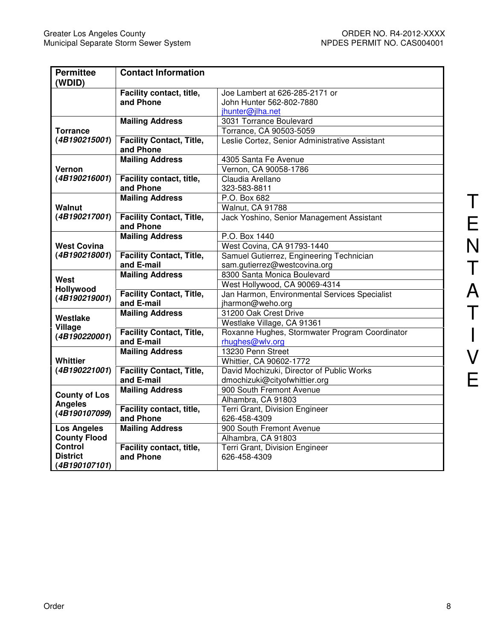| <b>Permittee</b><br>(WDID) | <b>Contact Information</b>                   |                                                |  |  |
|----------------------------|----------------------------------------------|------------------------------------------------|--|--|
|                            | Facility contact, title,                     | Joe Lambert at 626-285-2171 or                 |  |  |
|                            | and Phone                                    | John Hunter 562-802-7880                       |  |  |
|                            |                                              | jhunter@jlha.net                               |  |  |
|                            | <b>Mailing Address</b>                       | 3031 Torrance Boulevard                        |  |  |
| <b>Torrance</b>            |                                              | Torrance, CA 90503-5059                        |  |  |
| (4B190215001)              | <b>Facility Contact, Title,</b><br>and Phone | Leslie Cortez, Senior Administrative Assistant |  |  |
|                            | <b>Mailing Address</b>                       | 4305 Santa Fe Avenue                           |  |  |
| Vernon                     |                                              |                                                |  |  |
| (4B190216001)              | Facility contact, title,                     | Vernon, CA 90058-1786<br>Claudia Arellano      |  |  |
|                            | and Phone                                    | 323-583-8811                                   |  |  |
|                            | <b>Mailing Address</b>                       | P.O. Box 682                                   |  |  |
| Walnut                     |                                              | Walnut, CA 91788                               |  |  |
| (4B190217001)              | <b>Facility Contact, Title,</b>              | Jack Yoshino, Senior Management Assistant      |  |  |
|                            | and Phone                                    |                                                |  |  |
|                            | <b>Mailing Address</b>                       | P.O. Box 1440                                  |  |  |
| <b>West Covina</b>         |                                              | West Covina, CA 91793-1440                     |  |  |
| (4B190218001)              | <b>Facility Contact, Title,</b>              | Samuel Gutierrez, Engineering Technician       |  |  |
|                            | and E-mail                                   | sam.gutierrez@westcovina.org                   |  |  |
|                            | <b>Mailing Address</b>                       | 8300 Santa Monica Boulevard                    |  |  |
| West<br>Hollywood          |                                              | West Hollywood, CA 90069-4314                  |  |  |
|                            | <b>Facility Contact, Title,</b>              | Jan Harmon, Environmental Services Specialist  |  |  |
| (4B190219001)              | and E-mail                                   | jharmon@weho.org                               |  |  |
|                            | <b>Mailing Address</b>                       | 31200 Oak Crest Drive                          |  |  |
| Westlake                   |                                              | Westlake Village, CA 91361                     |  |  |
| Village<br>(4B190220001)   | <b>Facility Contact, Title,</b>              | Roxanne Hughes, Stormwater Program Coordinator |  |  |
|                            | and E-mail                                   | rhughes@wlv.org                                |  |  |
|                            | <b>Mailing Address</b>                       | 13230 Penn Street                              |  |  |
| Whittier                   |                                              | Whittier, CA 90602-1772                        |  |  |
| (4B190221001)              | <b>Facility Contact, Title,</b>              | David Mochizuki, Director of Public Works      |  |  |
|                            | and E-mail                                   | dmochizuki@cityofwhittier.org                  |  |  |
| <b>County of Los</b>       | <b>Mailing Address</b>                       | 900 South Fremont Avenue                       |  |  |
| <b>Angeles</b>             |                                              | Alhambra, CA 91803                             |  |  |
| (4B190107099)              | Facility contact, title,                     | Terri Grant, Division Engineer                 |  |  |
|                            | and Phone                                    | 626-458-4309                                   |  |  |
| <b>Los Angeles</b>         | <b>Mailing Address</b>                       | 900 South Fremont Avenue                       |  |  |
| <b>County Flood</b>        |                                              | Alhambra, CA 91803                             |  |  |
| <b>Control</b>             | Facility contact, title,                     | Terri Grant, Division Engineer                 |  |  |
| <b>District</b>            | and Phone                                    | 626-458-4309                                   |  |  |
| (4B190107101)              |                                              |                                                |  |  |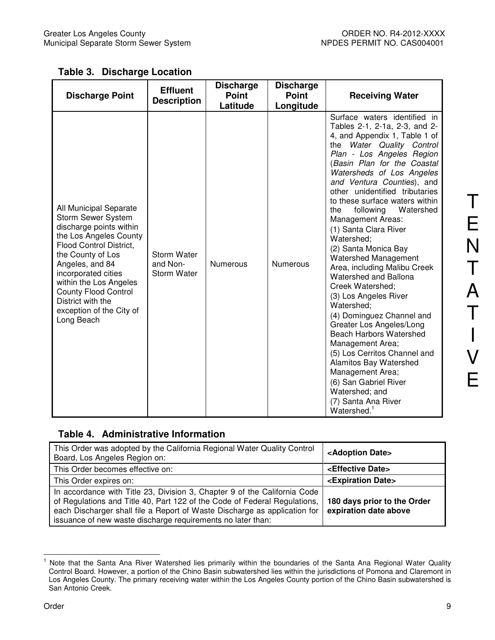**Table 3. Discharge Location** 

| <b>Discharge Point</b>                                                                                                                                                                                                                                                                                                            | <b>Effluent</b><br><b>Description</b>                | <b>Discharge</b><br><b>Point</b><br>Latitude | <b>Discharge</b><br><b>Point</b><br>Longitude | <b>Receiving Water</b>                                                                                                                                                                                                                                                                                                                                                                                                                                                                                                                                                                                                                                                                                                                                                                                                                                                                          |
|-----------------------------------------------------------------------------------------------------------------------------------------------------------------------------------------------------------------------------------------------------------------------------------------------------------------------------------|------------------------------------------------------|----------------------------------------------|-----------------------------------------------|-------------------------------------------------------------------------------------------------------------------------------------------------------------------------------------------------------------------------------------------------------------------------------------------------------------------------------------------------------------------------------------------------------------------------------------------------------------------------------------------------------------------------------------------------------------------------------------------------------------------------------------------------------------------------------------------------------------------------------------------------------------------------------------------------------------------------------------------------------------------------------------------------|
| All Municipal Separate<br><b>Storm Sewer System</b><br>discharge points within<br>the Los Angeles County<br><b>Flood Control District,</b><br>the County of Los<br>Angeles, and 84<br>incorporated cities<br>within the Los Angeles<br><b>County Flood Control</b><br>District with the<br>exception of the City of<br>Long Beach | <b>Storm Water</b><br>and Non-<br><b>Storm Water</b> | <b>Numerous</b>                              | <b>Numerous</b>                               | Surface waters identified in<br>Tables 2-1, 2-1a, 2-3, and 2-<br>4, and Appendix 1, Table 1 of<br>the Water Quality Control<br>Plan - Los Angeles Region<br>(Basin Plan for the Coastal<br>Watersheds of Los Angeles<br>and Ventura Counties), and<br>other unidentified tributaries<br>to these surface waters within<br>the<br>following<br>Watershed<br><b>Management Areas:</b><br>(1) Santa Clara River<br>Watershed;<br>(2) Santa Monica Bay<br><b>Watershed Management</b><br>Area, including Malibu Creek<br>Watershed and Ballona<br>Creek Watershed;<br>(3) Los Angeles River<br>Watershed:<br>(4) Dominguez Channel and<br>Greater Los Angeles/Long<br><b>Beach Harbors Watershed</b><br>Management Area;<br>(5) Los Cerritos Channel and<br>Alamitos Bay Watershed<br>Management Area;<br>(6) San Gabriel River<br>Watershed; and<br>(7) Santa Ana River<br>Watershed. <sup>1</sup> |

### **Table 4. Administrative Information**

| This Order was adopted by the California Regional Water Quality Control<br>Board, Los Angeles Region on:                                                                                                                                                                                           | <adoption date=""></adoption>                        |
|----------------------------------------------------------------------------------------------------------------------------------------------------------------------------------------------------------------------------------------------------------------------------------------------------|------------------------------------------------------|
| This Order becomes effective on:                                                                                                                                                                                                                                                                   | <effective date=""></effective>                      |
| This Order expires on:                                                                                                                                                                                                                                                                             | <expiration date=""></expiration>                    |
| In accordance with Title 23, Division 3, Chapter 9 of the California Code<br>of Regulations and Title 40, Part 122 of the Code of Federal Regulations,<br>each Discharger shall file a Report of Waste Discharge as application for<br>issuance of new waste discharge requirements no later than: | 180 days prior to the Order<br>expiration date above |

 $\frac{1}{1}$  Note that the Santa Ana River Watershed lies primarily within the boundaries of the Santa Ana Regional Water Quality Control Board. However, a portion of the Chino Basin subwatershed lies within the jurisdictions of Pomona and Claremont in Los Angeles County. The primary receiving water within the Los Angeles County portion of the Chino Basin subwatershed is San Antonio Creek.

T

E

N

T

A

T

I

V

E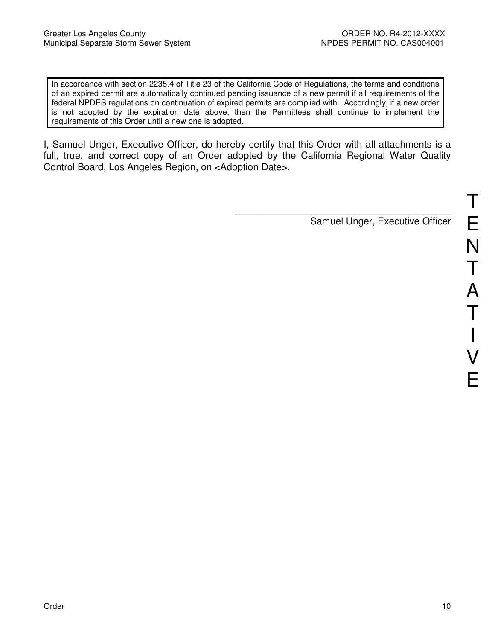In accordance with section 2235.4 of Title 23 of the California Code of Regulations, the terms and conditions of an expired permit are automatically continued pending issuance of a new permit if all requirements of the federal NPDES regulations on continuation of expired permits are complied with. Accordingly, if a new order is not adopted by the expiration date above, then the Permittees shall continue to implement the requirements of this Order until a new one is adopted.

I, Samuel Unger, Executive Officer, do hereby certify that this Order with all attachments is a full, true, and correct copy of an Order adopted by the California Regional Water Quality Control Board, Los Angeles Region, on <Adoption Date>.

> $\frac{1}{\sqrt{2}}$  ,  $\frac{1}{\sqrt{2}}$  ,  $\frac{1}{\sqrt{2}}$  ,  $\frac{1}{\sqrt{2}}$  ,  $\frac{1}{\sqrt{2}}$  ,  $\frac{1}{\sqrt{2}}$  ,  $\frac{1}{\sqrt{2}}$  ,  $\frac{1}{\sqrt{2}}$  ,  $\frac{1}{\sqrt{2}}$  ,  $\frac{1}{\sqrt{2}}$  ,  $\frac{1}{\sqrt{2}}$  ,  $\frac{1}{\sqrt{2}}$  ,  $\frac{1}{\sqrt{2}}$  ,  $\frac{1}{\sqrt{2}}$  ,  $\frac{1}{\sqrt{2}}$ Samuel Unger, Executive Officer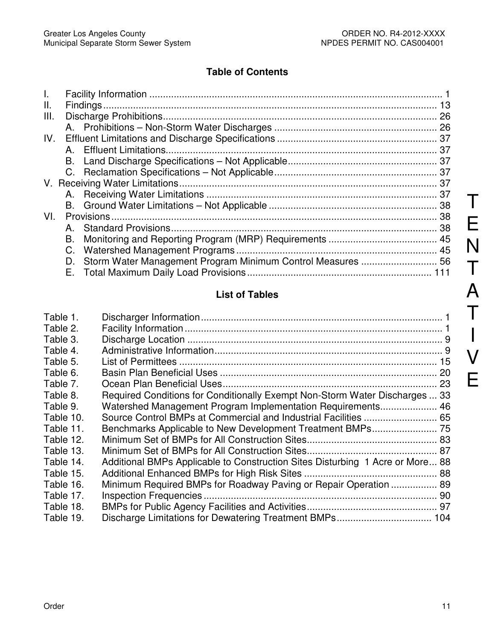## **Table of Contents**

| $\mathbf{L}$ |    |                                                             |  |
|--------------|----|-------------------------------------------------------------|--|
| Ш.           |    |                                                             |  |
| III.         |    |                                                             |  |
|              |    |                                                             |  |
| IV.          |    |                                                             |  |
|              |    |                                                             |  |
|              |    |                                                             |  |
|              |    |                                                             |  |
|              |    |                                                             |  |
|              |    |                                                             |  |
|              |    |                                                             |  |
| VI.          |    |                                                             |  |
|              | A. |                                                             |  |
|              |    |                                                             |  |
|              |    |                                                             |  |
|              | D. | Storm Water Management Program Minimum Control Measures  56 |  |
|              |    |                                                             |  |

# **List of Tables**

| Table 1.  |                                                                               |    |
|-----------|-------------------------------------------------------------------------------|----|
| Table 2.  |                                                                               |    |
| Table 3.  |                                                                               |    |
| Table 4.  |                                                                               |    |
| Table 5.  |                                                                               |    |
| Table 6.  |                                                                               |    |
| Table 7.  |                                                                               | 23 |
| Table 8.  | Required Conditions for Conditionally Exempt Non-Storm Water Discharges  33   |    |
| Table 9.  | Watershed Management Program Implementation Requirements 46                   |    |
| Table 10. |                                                                               |    |
| Table 11. |                                                                               |    |
| Table 12. |                                                                               |    |
| Table 13. |                                                                               |    |
| Table 14. | Additional BMPs Applicable to Construction Sites Disturbing 1 Acre or More 88 |    |
| Table 15. |                                                                               |    |
| Table 16. | Minimum Required BMPs for Roadway Paving or Repair Operation  89              |    |
| Table 17. |                                                                               |    |
| Table 18. |                                                                               |    |
| Table 19. |                                                                               |    |

T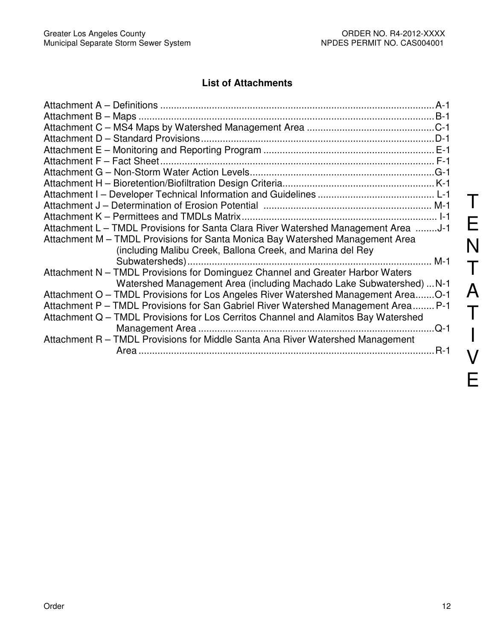## **List of Attachments**

| Attachment L - TMDL Provisions for Santa Clara River Watershed Management Area J-1 |  |
|------------------------------------------------------------------------------------|--|
| Attachment M - TMDL Provisions for Santa Monica Bay Watershed Management Area      |  |
| (including Malibu Creek, Ballona Creek, and Marina del Rey                         |  |
|                                                                                    |  |
| Attachment N - TMDL Provisions for Dominguez Channel and Greater Harbor Waters     |  |
| Watershed Management Area (including Machado Lake Subwatershed)  N-1               |  |
| Attachment O - TMDL Provisions for Los Angeles River Watershed Management AreaO-1  |  |
| Attachment P - TMDL Provisions for San Gabriel River Watershed Management Area P-1 |  |
| Attachment Q - TMDL Provisions for Los Cerritos Channel and Alamitos Bay Watershed |  |
|                                                                                    |  |
| Attachment R - TMDL Provisions for Middle Santa Ana River Watershed Management     |  |
| $R-1$                                                                              |  |
|                                                                                    |  |

T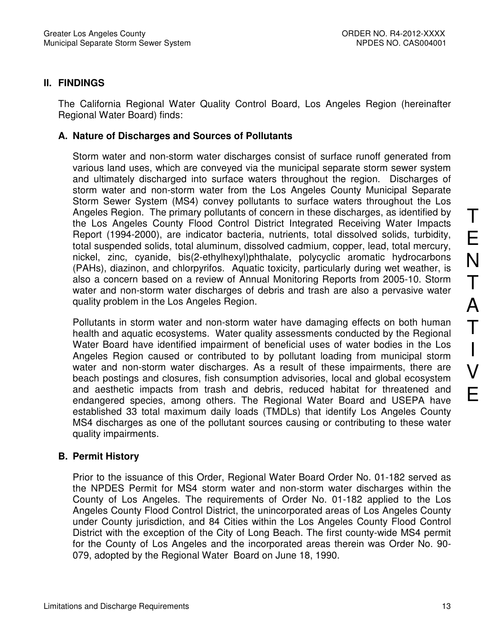#### **II. FINDINGS**

The California Regional Water Quality Control Board, Los Angeles Region (hereinafter Regional Water Board) finds:

#### **A. Nature of Discharges and Sources of Pollutants**

Storm water and non-storm water discharges consist of surface runoff generated from various land uses, which are conveyed via the municipal separate storm sewer system and ultimately discharged into surface waters throughout the region. Discharges of storm water and non-storm water from the Los Angeles County Municipal Separate Storm Sewer System (MS4) convey pollutants to surface waters throughout the Los Angeles Region. The primary pollutants of concern in these discharges, as identified by the Los Angeles County Flood Control District Integrated Receiving Water Impacts Report (1994-2000), are indicator bacteria, nutrients, total dissolved solids, turbidity, total suspended solids, total aluminum, dissolved cadmium, copper, lead, total mercury, nickel, zinc, cyanide, bis(2-ethylhexyl)phthalate, polycyclic aromatic hydrocarbons (PAHs), diazinon, and chlorpyrifos. Aquatic toxicity, particularly during wet weather, is also a concern based on a review of Annual Monitoring Reports from 2005-10. Storm water and non-storm water discharges of debris and trash are also a pervasive water quality problem in the Los Angeles Region.

Pollutants in storm water and non-storm water have damaging effects on both human health and aquatic ecosystems. Water quality assessments conducted by the Regional Water Board have identified impairment of beneficial uses of water bodies in the Los Angeles Region caused or contributed to by pollutant loading from municipal storm water and non-storm water discharges. As a result of these impairments, there are beach postings and closures, fish consumption advisories, local and global ecosystem and aesthetic impacts from trash and debris, reduced habitat for threatened and endangered species, among others. The Regional Water Board and USEPA have established 33 total maximum daily loads (TMDLs) that identify Los Angeles County MS4 discharges as one of the pollutant sources causing or contributing to these water quality impairments.

#### **B. Permit History**

Prior to the issuance of this Order, Regional Water Board Order No. 01-182 served as the NPDES Permit for MS4 storm water and non-storm water discharges within the County of Los Angeles. The requirements of Order No. 01-182 applied to the Los Angeles County Flood Control District, the unincorporated areas of Los Angeles County under County jurisdiction, and 84 Cities within the Los Angeles County Flood Control District with the exception of the City of Long Beach. The first county-wide MS4 permit for the County of Los Angeles and the incorporated areas therein was Order No. 90- 079, adopted by the Regional Water Board on June 18, 1990.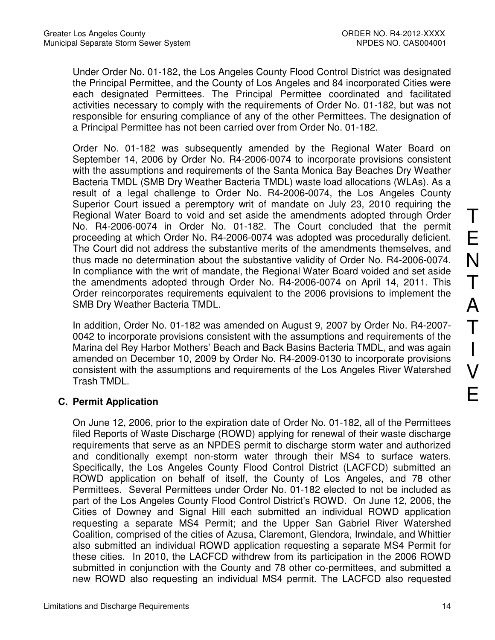Under Order No. 01-182, the Los Angeles County Flood Control District was designated the Principal Permittee, and the County of Los Angeles and 84 incorporated Cities were each designated Permittees. The Principal Permittee coordinated and facilitated activities necessary to comply with the requirements of Order No. 01-182, but was not responsible for ensuring compliance of any of the other Permittees. The designation of a Principal Permittee has not been carried over from Order No. 01-182.

Order No. 01-182 was subsequently amended by the Regional Water Board on September 14, 2006 by Order No. R4-2006-0074 to incorporate provisions consistent with the assumptions and requirements of the Santa Monica Bay Beaches Dry Weather Bacteria TMDL (SMB Dry Weather Bacteria TMDL) waste load allocations (WLAs). As a result of a legal challenge to Order No. R4-2006-0074, the Los Angeles County Superior Court issued a peremptory writ of mandate on July 23, 2010 requiring the Regional Water Board to void and set aside the amendments adopted through Order No. R4-2006-0074 in Order No. 01-182. The Court concluded that the permit proceeding at which Order No. R4-2006-0074 was adopted was procedurally deficient. The Court did not address the substantive merits of the amendments themselves, and thus made no determination about the substantive validity of Order No. R4-2006-0074. In compliance with the writ of mandate, the Regional Water Board voided and set aside the amendments adopted through Order No. R4-2006-0074 on April 14, 2011. This Order reincorporates requirements equivalent to the 2006 provisions to implement the SMB Dry Weather Bacteria TMDL.

In addition, Order No. 01-182 was amended on August 9, 2007 by Order No. R4-2007- 0042 to incorporate provisions consistent with the assumptions and requirements of the Marina del Rey Harbor Mothers' Beach and Back Basins Bacteria TMDL, and was again amended on December 10, 2009 by Order No. R4-2009-0130 to incorporate provisions consistent with the assumptions and requirements of the Los Angeles River Watershed Trash TMDL.

## **C. Permit Application**

On June 12, 2006, prior to the expiration date of Order No. 01-182, all of the Permittees filed Reports of Waste Discharge (ROWD) applying for renewal of their waste discharge requirements that serve as an NPDES permit to discharge storm water and authorized and conditionally exempt non-storm water through their MS4 to surface waters. Specifically, the Los Angeles County Flood Control District (LACFCD) submitted an ROWD application on behalf of itself, the County of Los Angeles, and 78 other Permittees. Several Permittees under Order No. 01-182 elected to not be included as part of the Los Angeles County Flood Control District's ROWD. On June 12, 2006, the Cities of Downey and Signal Hill each submitted an individual ROWD application requesting a separate MS4 Permit; and the Upper San Gabriel River Watershed Coalition, comprised of the cities of Azusa, Claremont, Glendora, Irwindale, and Whittier also submitted an individual ROWD application requesting a separate MS4 Permit for these cities. In 2010, the LACFCD withdrew from its participation in the 2006 ROWD submitted in conjunction with the County and 78 other co-permittees, and submitted a new ROWD also requesting an individual MS4 permit. The LACFCD also requested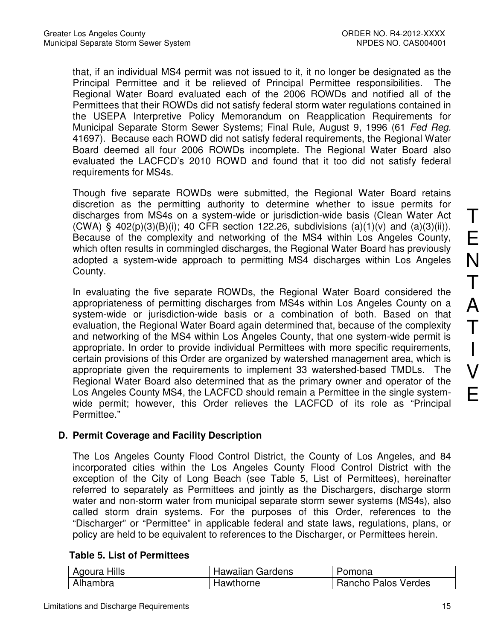that, if an individual MS4 permit was not issued to it, it no longer be designated as the Principal Permittee and it be relieved of Principal Permittee responsibilities. The Regional Water Board evaluated each of the 2006 ROWDs and notified all of the Permittees that their ROWDs did not satisfy federal storm water regulations contained in the USEPA Interpretive Policy Memorandum on Reapplication Requirements for Municipal Separate Storm Sewer Systems; Final Rule, August 9, 1996 (61 Fed Reg. 41697). Because each ROWD did not satisfy federal requirements, the Regional Water Board deemed all four 2006 ROWDs incomplete. The Regional Water Board also evaluated the LACFCD's 2010 ROWD and found that it too did not satisfy federal requirements for MS4s.

Though five separate ROWDs were submitted, the Regional Water Board retains discretion as the permitting authority to determine whether to issue permits for discharges from MS4s on a system-wide or jurisdiction-wide basis (Clean Water Act  $(CWA)$  § 402(p)(3)(B)(i); 40 CFR section 122.26, subdivisions (a)(1)(v) and (a)(3)(ii)). Because of the complexity and networking of the MS4 within Los Angeles County, which often results in commingled discharges, the Regional Water Board has previously adopted a system-wide approach to permitting MS4 discharges within Los Angeles County.

In evaluating the five separate ROWDs, the Regional Water Board considered the appropriateness of permitting discharges from MS4s within Los Angeles County on a system-wide or jurisdiction-wide basis or a combination of both. Based on that evaluation, the Regional Water Board again determined that, because of the complexity and networking of the MS4 within Los Angeles County, that one system-wide permit is appropriate. In order to provide individual Permittees with more specific requirements, certain provisions of this Order are organized by watershed management area, which is appropriate given the requirements to implement 33 watershed-based TMDLs. The Regional Water Board also determined that as the primary owner and operator of the Los Angeles County MS4, the LACFCD should remain a Permittee in the single systemwide permit; however, this Order relieves the LACFCD of its role as "Principal Permittee."

### **D. Permit Coverage and Facility Description**

The Los Angeles County Flood Control District, the County of Los Angeles, and 84 incorporated cities within the Los Angeles County Flood Control District with the exception of the City of Long Beach (see Table 5, List of Permittees), hereinafter referred to separately as Permittees and jointly as the Dischargers, discharge storm water and non-storm water from municipal separate storm sewer systems (MS4s), also called storm drain systems. For the purposes of this Order, references to the "Discharger" or "Permittee" in applicable federal and state laws, regulations, plans, or policy are held to be equivalent to references to the Discharger, or Permittees herein.

### **Table 5. List of Permittees**

| Agoura Hills | <b>Hawaiian Gardens</b> | Pomona              |
|--------------|-------------------------|---------------------|
| Alhambra     | Hawthorne               | Rancho Palos Verdes |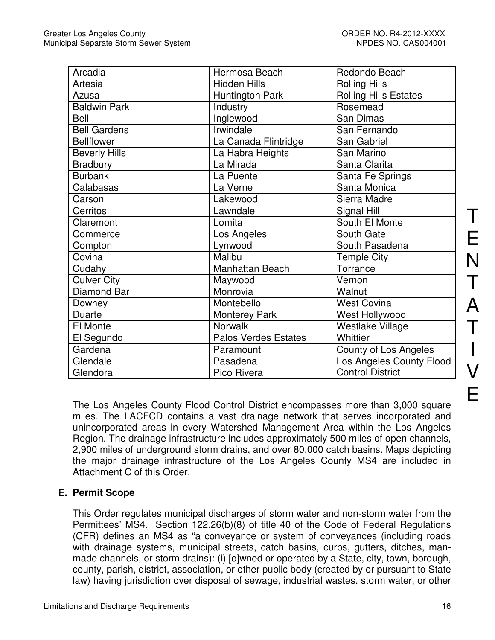| Arcadia              | Hermosa Beach               | Redondo Beach                |
|----------------------|-----------------------------|------------------------------|
| Artesia              | <b>Hidden Hills</b>         | <b>Rolling Hills</b>         |
| Azusa                | <b>Huntington Park</b>      | <b>Rolling Hills Estates</b> |
| <b>Baldwin Park</b>  | Industry                    | Rosemead                     |
| Bell                 | Inglewood                   | San Dimas                    |
| <b>Bell Gardens</b>  | Irwindale                   | San Fernando                 |
| <b>Bellflower</b>    | La Canada Flintridge        | San Gabriel                  |
| <b>Beverly Hills</b> | La Habra Heights            | San Marino                   |
| <b>Bradbury</b>      | La Mirada                   | Santa Clarita                |
| <b>Burbank</b>       | La Puente                   | Santa Fe Springs             |
| Calabasas            | La Verne                    | Santa Monica                 |
| Carson               | Lakewood                    | Sierra Madre                 |
| Cerritos             | Lawndale                    | Signal Hill                  |
| Claremont            | Lomita                      | South El Monte               |
| Commerce             | Los Angeles                 | South Gate                   |
| Compton              | Lynwood                     | South Pasadena               |
| Covina               | Malibu                      | <b>Temple City</b>           |
| Cudahy               | Manhattan Beach             | Torrance                     |
| <b>Culver City</b>   | Maywood                     | Vernon                       |
| Diamond Bar          | Monrovia                    | Walnut                       |
| Downey               | Montebello                  | <b>West Covina</b>           |
| Duarte               | <b>Monterey Park</b>        | West Hollywood               |
| El Monte             | <b>Norwalk</b>              | Westlake Village             |
| El Segundo           | <b>Palos Verdes Estates</b> | Whittier                     |
| Gardena              | Paramount                   | County of Los Angeles        |
| Glendale             | Pasadena                    | Los Angeles County Flood     |
| Glendora             | Pico Rivera                 | <b>Control District</b>      |

The Los Angeles County Flood Control District encompasses more than 3,000 square miles. The LACFCD contains a vast drainage network that serves incorporated and unincorporated areas in every Watershed Management Area within the Los Angeles Region. The drainage infrastructure includes approximately 500 miles of open channels, 2,900 miles of underground storm drains, and over 80,000 catch basins. Maps depicting the major drainage infrastructure of the Los Angeles County MS4 are included in Attachment C of this Order.

### **E. Permit Scope**

This Order regulates municipal discharges of storm water and non-storm water from the Permittees' MS4. Section 122.26(b)(8) of title 40 of the Code of Federal Regulations (CFR) defines an MS4 as "a conveyance or system of conveyances (including roads with drainage systems, municipal streets, catch basins, curbs, gutters, ditches, manmade channels, or storm drains): (i) [o]wned or operated by a State, city, town, borough, county, parish, district, association, or other public body (created by or pursuant to State law) having jurisdiction over disposal of sewage, industrial wastes, storm water, or other

T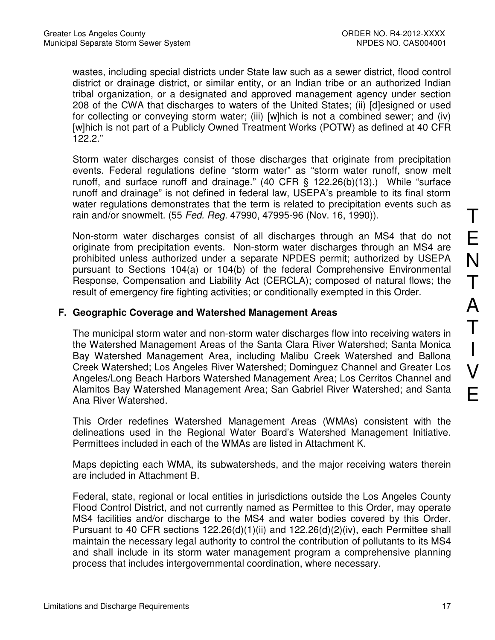wastes, including special districts under State law such as a sewer district, flood control district or drainage district, or similar entity, or an Indian tribe or an authorized Indian tribal organization, or a designated and approved management agency under section 208 of the CWA that discharges to waters of the United States; (ii) [d]esigned or used for collecting or conveying storm water; (iii) [w]hich is not a combined sewer; and (iv) [w]hich is not part of a Publicly Owned Treatment Works (POTW) as defined at 40 CFR 122.2."

Storm water discharges consist of those discharges that originate from precipitation events. Federal regulations define "storm water" as "storm water runoff, snow melt runoff, and surface runoff and drainage." (40 CFR § 122.26(b)(13).) While "surface runoff and drainage" is not defined in federal law, USEPA's preamble to its final storm water regulations demonstrates that the term is related to precipitation events such as rain and/or snowmelt. (55 Fed. Reg. 47990, 47995-96 (Nov. 16, 1990)).

Non-storm water discharges consist of all discharges through an MS4 that do not originate from precipitation events. Non-storm water discharges through an MS4 are prohibited unless authorized under a separate NPDES permit; authorized by USEPA pursuant to Sections 104(a) or 104(b) of the federal Comprehensive Environmental Response, Compensation and Liability Act (CERCLA); composed of natural flows; the result of emergency fire fighting activities; or conditionally exempted in this Order.

### **F. Geographic Coverage and Watershed Management Areas**

The municipal storm water and non-storm water discharges flow into receiving waters in the Watershed Management Areas of the Santa Clara River Watershed; Santa Monica Bay Watershed Management Area, including Malibu Creek Watershed and Ballona Creek Watershed; Los Angeles River Watershed; Dominguez Channel and Greater Los Angeles/Long Beach Harbors Watershed Management Area; Los Cerritos Channel and Alamitos Bay Watershed Management Area; San Gabriel River Watershed; and Santa Ana River Watershed.

This Order redefines Watershed Management Areas (WMAs) consistent with the delineations used in the Regional Water Board's Watershed Management Initiative. Permittees included in each of the WMAs are listed in Attachment K.

Maps depicting each WMA, its subwatersheds, and the major receiving waters therein are included in Attachment B.

Federal, state, regional or local entities in jurisdictions outside the Los Angeles County Flood Control District, and not currently named as Permittee to this Order, may operate MS4 facilities and/or discharge to the MS4 and water bodies covered by this Order. Pursuant to 40 CFR sections 122.26(d)(1)(ii) and 122.26(d)(2)(iv), each Permittee shall maintain the necessary legal authority to control the contribution of pollutants to its MS4 and shall include in its storm water management program a comprehensive planning process that includes intergovernmental coordination, where necessary.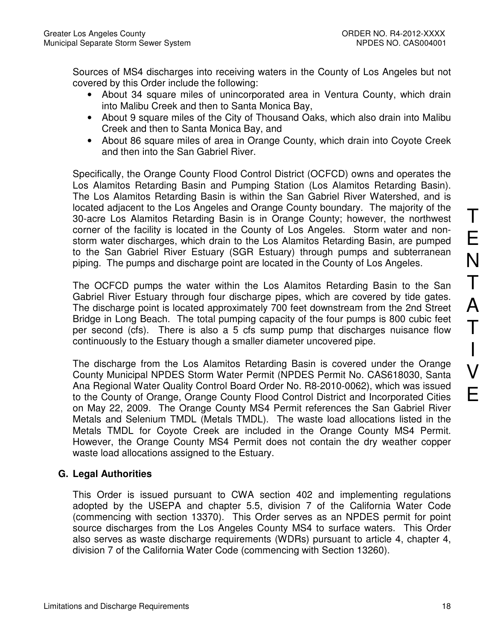Sources of MS4 discharges into receiving waters in the County of Los Angeles but not covered by this Order include the following:

- About 34 square miles of unincorporated area in Ventura County, which drain into Malibu Creek and then to Santa Monica Bay,
- About 9 square miles of the City of Thousand Oaks, which also drain into Malibu Creek and then to Santa Monica Bay, and
- About 86 square miles of area in Orange County, which drain into Coyote Creek and then into the San Gabriel River.

Specifically, the Orange County Flood Control District (OCFCD) owns and operates the Los Alamitos Retarding Basin and Pumping Station (Los Alamitos Retarding Basin). The Los Alamitos Retarding Basin is within the San Gabriel River Watershed, and is located adjacent to the Los Angeles and Orange County boundary. The majority of the 30-acre Los Alamitos Retarding Basin is in Orange County; however, the northwest corner of the facility is located in the County of Los Angeles. Storm water and nonstorm water discharges, which drain to the Los Alamitos Retarding Basin, are pumped to the San Gabriel River Estuary (SGR Estuary) through pumps and subterranean piping. The pumps and discharge point are located in the County of Los Angeles.

The OCFCD pumps the water within the Los Alamitos Retarding Basin to the San Gabriel River Estuary through four discharge pipes, which are covered by tide gates. The discharge point is located approximately 700 feet downstream from the 2nd Street Bridge in Long Beach. The total pumping capacity of the four pumps is 800 cubic feet per second (cfs). There is also a 5 cfs sump pump that discharges nuisance flow continuously to the Estuary though a smaller diameter uncovered pipe.

The discharge from the Los Alamitos Retarding Basin is covered under the Orange County Municipal NPDES Storm Water Permit (NPDES Permit No. CAS618030, Santa Ana Regional Water Quality Control Board Order No. R8-2010-0062), which was issued to the County of Orange, Orange County Flood Control District and Incorporated Cities on May 22, 2009. The Orange County MS4 Permit references the San Gabriel River Metals and Selenium TMDL (Metals TMDL). The waste load allocations listed in the Metals TMDL for Coyote Creek are included in the Orange County MS4 Permit. However, the Orange County MS4 Permit does not contain the dry weather copper waste load allocations assigned to the Estuary.

## **G. Legal Authorities**

This Order is issued pursuant to CWA section 402 and implementing regulations adopted by the USEPA and chapter 5.5, division 7 of the California Water Code (commencing with section 13370). This Order serves as an NPDES permit for point source discharges from the Los Angeles County MS4 to surface waters. This Order also serves as waste discharge requirements (WDRs) pursuant to article 4, chapter 4, division 7 of the California Water Code (commencing with Section 13260).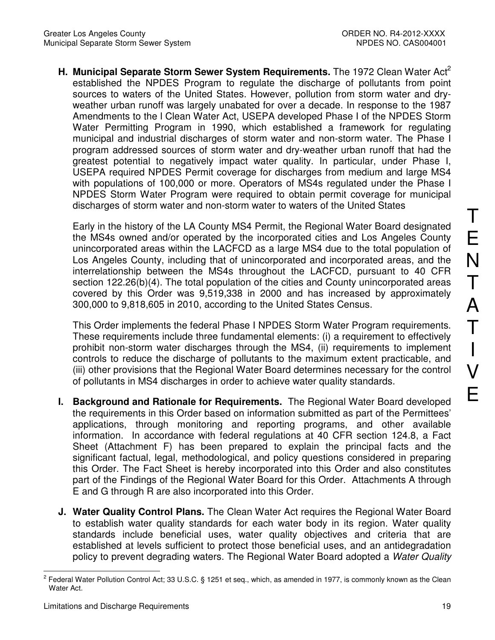**H. Municipal Separate Storm Sewer System Requirements.** The 1972 Clean Water Act<sup>2</sup> established the NPDES Program to regulate the discharge of pollutants from point sources to waters of the United States. However, pollution from storm water and dryweather urban runoff was largely unabated for over a decade. In response to the 1987 Amendments to the l Clean Water Act, USEPA developed Phase I of the NPDES Storm Water Permitting Program in 1990, which established a framework for regulating municipal and industrial discharges of storm water and non-storm water. The Phase I program addressed sources of storm water and dry-weather urban runoff that had the greatest potential to negatively impact water quality. In particular, under Phase I, USEPA required NPDES Permit coverage for discharges from medium and large MS4 with populations of 100,000 or more. Operators of MS4s regulated under the Phase I NPDES Storm Water Program were required to obtain permit coverage for municipal discharges of storm water and non-storm water to waters of the United States

Early in the history of the LA County MS4 Permit, the Regional Water Board designated the MS4s owned and/or operated by the incorporated cities and Los Angeles County unincorporated areas within the LACFCD as a large MS4 due to the total population of Los Angeles County, including that of unincorporated and incorporated areas, and the interrelationship between the MS4s throughout the LACFCD, pursuant to 40 CFR section 122.26(b)(4). The total population of the cities and County unincorporated areas covered by this Order was 9,519,338 in 2000 and has increased by approximately 300,000 to 9,818,605 in 2010, according to the United States Census.

This Order implements the federal Phase I NPDES Storm Water Program requirements. These requirements include three fundamental elements: (i) a requirement to effectively prohibit non-storm water discharges through the MS4, (ii) requirements to implement controls to reduce the discharge of pollutants to the maximum extent practicable, and (iii) other provisions that the Regional Water Board determines necessary for the control of pollutants in MS4 discharges in order to achieve water quality standards.

- **I. Background and Rationale for Requirements.** The Regional Water Board developed the requirements in this Order based on information submitted as part of the Permittees' applications, through monitoring and reporting programs, and other available information. In accordance with federal regulations at 40 CFR section 124.8, a Fact Sheet (Attachment F) has been prepared to explain the principal facts and the significant factual, legal, methodological, and policy questions considered in preparing this Order. The Fact Sheet is hereby incorporated into this Order and also constitutes part of the Findings of the Regional Water Board for this Order. Attachments A through E and G through R are also incorporated into this Order.
- **J. Water Quality Control Plans.** The Clean Water Act requires the Regional Water Board to establish water quality standards for each water body in its region. Water quality standards include beneficial uses, water quality objectives and criteria that are established at levels sufficient to protect those beneficial uses, and an antidegradation policy to prevent degrading waters. The Regional Water Board adopted a Water Quality

 $\overline{a}$ 2 Federal Water Pollution Control Act; 33 U.S.C. § 1251 et seq., which, as amended in 1977, is commonly known as the Clean Water Act.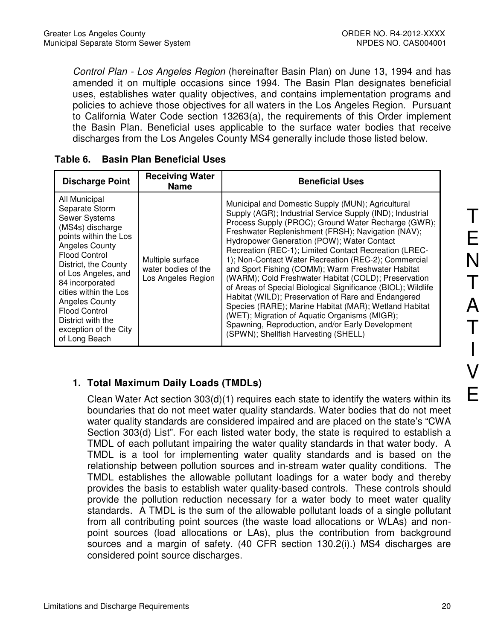Control Plan - Los Angeles Region (hereinafter Basin Plan) on June 13, 1994 and has amended it on multiple occasions since 1994. The Basin Plan designates beneficial uses, establishes water quality objectives, and contains implementation programs and policies to achieve those objectives for all waters in the Los Angeles Region. Pursuant to California Water Code section 13263(a), the requirements of this Order implement the Basin Plan. Beneficial uses applicable to the surface water bodies that receive discharges from the Los Angeles County MS4 generally include those listed below.

| <b>Discharge Point</b>                                                                                                                                                                                                                                                                                                                                           | <b>Receiving Water</b><br>Name                                | <b>Beneficial Uses</b>                                                                                                                                                                                                                                                                                                                                                                                                                                                                                                                                                                                                                                                                                                                                                                                                               |
|------------------------------------------------------------------------------------------------------------------------------------------------------------------------------------------------------------------------------------------------------------------------------------------------------------------------------------------------------------------|---------------------------------------------------------------|--------------------------------------------------------------------------------------------------------------------------------------------------------------------------------------------------------------------------------------------------------------------------------------------------------------------------------------------------------------------------------------------------------------------------------------------------------------------------------------------------------------------------------------------------------------------------------------------------------------------------------------------------------------------------------------------------------------------------------------------------------------------------------------------------------------------------------------|
| All Municipal<br>Separate Storm<br><b>Sewer Systems</b><br>(MS4s) discharge<br>points within the Los<br><b>Angeles County</b><br><b>Flood Control</b><br>District, the County<br>of Los Angeles, and<br>84 incorporated<br>cities within the Los<br><b>Angeles County</b><br><b>Flood Control</b><br>District with the<br>exception of the City<br>of Long Beach | Multiple surface<br>water bodies of the<br>Los Angeles Region | Municipal and Domestic Supply (MUN); Agricultural<br>Supply (AGR); Industrial Service Supply (IND); Industrial<br>Process Supply (PROC); Ground Water Recharge (GWR);<br>Freshwater Replenishment (FRSH); Navigation (NAV);<br>Hydropower Generation (POW); Water Contact<br>Recreation (REC-1); Limited Contact Recreation (LREC-<br>1); Non-Contact Water Recreation (REC-2); Commercial<br>and Sport Fishing (COMM); Warm Freshwater Habitat<br>(WARM); Cold Freshwater Habitat (COLD); Preservation<br>of Areas of Special Biological Significance (BIOL); Wildlife<br>Habitat (WILD); Preservation of Rare and Endangered<br>Species (RARE); Marine Habitat (MAR); Wetland Habitat<br>(WET); Migration of Aquatic Organisms (MIGR);<br>Spawning, Reproduction, and/or Early Development<br>(SPWN); Shellfish Harvesting (SHELL) |

|  | Table 6. |  |  | <b>Basin Plan Beneficial Uses</b> |  |
|--|----------|--|--|-----------------------------------|--|
|--|----------|--|--|-----------------------------------|--|

## **1. Total Maximum Daily Loads (TMDLs)**

Clean Water Act section 303(d)(1) requires each state to identify the waters within its boundaries that do not meet water quality standards. Water bodies that do not meet water quality standards are considered impaired and are placed on the state's "CWA Section 303(d) List". For each listed water body, the state is required to establish a TMDL of each pollutant impairing the water quality standards in that water body. A TMDL is a tool for implementing water quality standards and is based on the relationship between pollution sources and in-stream water quality conditions. The TMDL establishes the allowable pollutant loadings for a water body and thereby provides the basis to establish water quality-based controls. These controls should provide the pollution reduction necessary for a water body to meet water quality standards. A TMDL is the sum of the allowable pollutant loads of a single pollutant from all contributing point sources (the waste load allocations or WLAs) and nonpoint sources (load allocations or LAs), plus the contribution from background sources and a margin of safety. (40 CFR section 130.2(i).) MS4 discharges are considered point source discharges.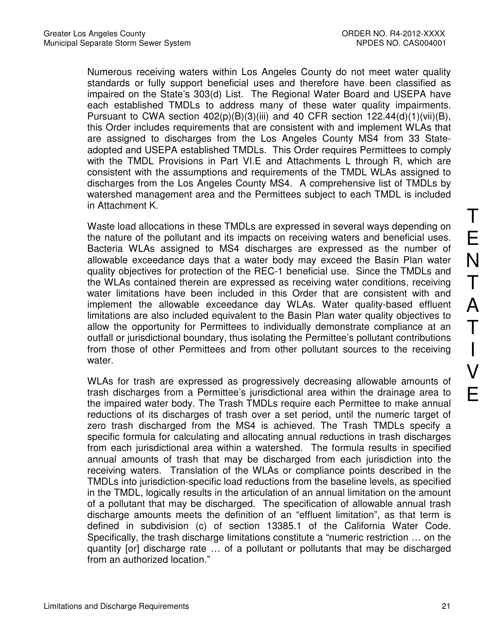Numerous receiving waters within Los Angeles County do not meet water quality standards or fully support beneficial uses and therefore have been classified as impaired on the State's 303(d) List. The Regional Water Board and USEPA have each established TMDLs to address many of these water quality impairments. Pursuant to CWA section  $402(p)(B)(3)(iii)$  and 40 CFR section  $122.44(d)(1)(vii)(B)$ , this Order includes requirements that are consistent with and implement WLAs that are assigned to discharges from the Los Angeles County MS4 from 33 Stateadopted and USEPA established TMDLs. This Order requires Permittees to comply with the TMDL Provisions in Part VI.E and Attachments L through R, which are consistent with the assumptions and requirements of the TMDL WLAs assigned to discharges from the Los Angeles County MS4. A comprehensive list of TMDLs by watershed management area and the Permittees subject to each TMDL is included in Attachment K.

Waste load allocations in these TMDLs are expressed in several ways depending on the nature of the pollutant and its impacts on receiving waters and beneficial uses. Bacteria WLAs assigned to MS4 discharges are expressed as the number of allowable exceedance days that a water body may exceed the Basin Plan water quality objectives for protection of the REC-1 beneficial use. Since the TMDLs and the WLAs contained therein are expressed as receiving water conditions, receiving water limitations have been included in this Order that are consistent with and implement the allowable exceedance day WLAs. Water quality-based effluent limitations are also included equivalent to the Basin Plan water quality objectives to allow the opportunity for Permittees to individually demonstrate compliance at an outfall or jurisdictional boundary, thus isolating the Permittee's pollutant contributions from those of other Permittees and from other pollutant sources to the receiving water.

WLAs for trash are expressed as progressively decreasing allowable amounts of trash discharges from a Permittee's jurisdictional area within the drainage area to the impaired water body. The Trash TMDLs require each Permittee to make annual reductions of its discharges of trash over a set period, until the numeric target of zero trash discharged from the MS4 is achieved. The Trash TMDLs specify a specific formula for calculating and allocating annual reductions in trash discharges from each jurisdictional area within a watershed. The formula results in specified annual amounts of trash that may be discharged from each jurisdiction into the receiving waters. Translation of the WLAs or compliance points described in the TMDLs into jurisdiction-specific load reductions from the baseline levels, as specified in the TMDL, logically results in the articulation of an annual limitation on the amount of a pollutant that may be discharged. The specification of allowable annual trash discharge amounts meets the definition of an "effluent limitation", as that term is defined in subdivision (c) of section 13385.1 of the California Water Code. Specifically, the trash discharge limitations constitute a "numeric restriction … on the quantity [or] discharge rate … of a pollutant or pollutants that may be discharged from an authorized location."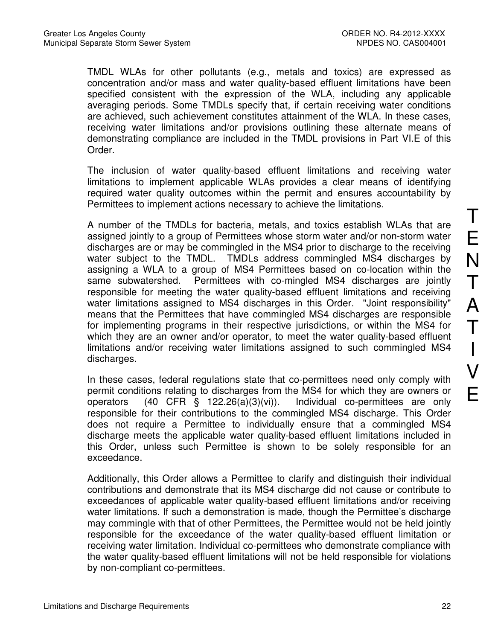TMDL WLAs for other pollutants (e.g., metals and toxics) are expressed as concentration and/or mass and water quality-based effluent limitations have been specified consistent with the expression of the WLA, including any applicable averaging periods. Some TMDLs specify that, if certain receiving water conditions are achieved, such achievement constitutes attainment of the WLA. In these cases, receiving water limitations and/or provisions outlining these alternate means of demonstrating compliance are included in the TMDL provisions in Part VI.E of this Order.

The inclusion of water quality-based effluent limitations and receiving water limitations to implement applicable WLAs provides a clear means of identifying required water quality outcomes within the permit and ensures accountability by Permittees to implement actions necessary to achieve the limitations.

A number of the TMDLs for bacteria, metals, and toxics establish WLAs that are assigned jointly to a group of Permittees whose storm water and/or non-storm water discharges are or may be commingled in the MS4 prior to discharge to the receiving water subject to the TMDL. TMDLs address commingled MS4 discharges by assigning a WLA to a group of MS4 Permittees based on co-location within the same subwatershed. Permittees with co-mingled MS4 discharges are jointly responsible for meeting the water quality-based effluent limitations and receiving water limitations assigned to MS4 discharges in this Order. "Joint responsibility" means that the Permittees that have commingled MS4 discharges are responsible for implementing programs in their respective jurisdictions, or within the MS4 for which they are an owner and/or operator, to meet the water quality-based effluent limitations and/or receiving water limitations assigned to such commingled MS4 discharges.

In these cases, federal regulations state that co-permittees need only comply with permit conditions relating to discharges from the MS4 for which they are owners or operators (40 CFR § 122.26(a)(3)(vi)). Individual co-permittees are only responsible for their contributions to the commingled MS4 discharge. This Order does not require a Permittee to individually ensure that a commingled MS4 discharge meets the applicable water quality-based effluent limitations included in this Order, unless such Permittee is shown to be solely responsible for an exceedance.

Additionally, this Order allows a Permittee to clarify and distinguish their individual contributions and demonstrate that its MS4 discharge did not cause or contribute to exceedances of applicable water quality-based effluent limitations and/or receiving water limitations. If such a demonstration is made, though the Permittee's discharge may commingle with that of other Permittees, the Permittee would not be held jointly responsible for the exceedance of the water quality-based effluent limitation or receiving water limitation. Individual co-permittees who demonstrate compliance with the water quality-based effluent limitations will not be held responsible for violations by non-compliant co-permittees.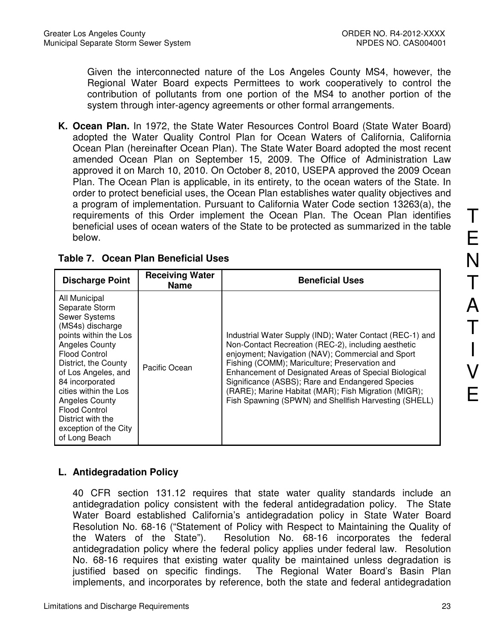Given the interconnected nature of the Los Angeles County MS4, however, the Regional Water Board expects Permittees to work cooperatively to control the contribution of pollutants from one portion of the MS4 to another portion of the system through inter-agency agreements or other formal arrangements.

**K. Ocean Plan.** In 1972, the State Water Resources Control Board (State Water Board) adopted the Water Quality Control Plan for Ocean Waters of California, California Ocean Plan (hereinafter Ocean Plan). The State Water Board adopted the most recent amended Ocean Plan on September 15, 2009. The Office of Administration Law approved it on March 10, 2010. On October 8, 2010, USEPA approved the 2009 Ocean Plan. The Ocean Plan is applicable, in its entirety, to the ocean waters of the State. In order to protect beneficial uses, the Ocean Plan establishes water quality objectives and a program of implementation. Pursuant to California Water Code section 13263(a), the requirements of this Order implement the Ocean Plan. The Ocean Plan identifies beneficial uses of ocean waters of the State to be protected as summarized in the table below.

| <b>Discharge Point</b>                                                                                                                                                                                                                                                                                                                                           | <b>Receiving Water</b><br><b>Name</b> | <b>Beneficial Uses</b>                                                                                                                                                                                                                                                                                                                                                                                                                              |
|------------------------------------------------------------------------------------------------------------------------------------------------------------------------------------------------------------------------------------------------------------------------------------------------------------------------------------------------------------------|---------------------------------------|-----------------------------------------------------------------------------------------------------------------------------------------------------------------------------------------------------------------------------------------------------------------------------------------------------------------------------------------------------------------------------------------------------------------------------------------------------|
| All Municipal<br>Separate Storm<br><b>Sewer Systems</b><br>(MS4s) discharge<br>points within the Los<br><b>Angeles County</b><br><b>Flood Control</b><br>District, the County<br>of Los Angeles, and<br>84 incorporated<br>cities within the Los<br><b>Angeles County</b><br><b>Flood Control</b><br>District with the<br>exception of the City<br>of Long Beach | Pacific Ocean                         | Industrial Water Supply (IND); Water Contact (REC-1) and<br>Non-Contact Recreation (REC-2), including aesthetic<br>enjoyment; Navigation (NAV); Commercial and Sport<br>Fishing (COMM); Mariculture; Preservation and<br>Enhancement of Designated Areas of Special Biological<br>Significance (ASBS); Rare and Endangered Species<br>(RARE); Marine Habitat (MAR); Fish Migration (MIGR);<br>Fish Spawning (SPWN) and Shellfish Harvesting (SHELL) |

### **Table 7. Ocean Plan Beneficial Uses**

## **L. Antidegradation Policy**

40 CFR section 131.12 requires that state water quality standards include an antidegradation policy consistent with the federal antidegradation policy. The State Water Board established California's antidegradation policy in State Water Board Resolution No. 68-16 ("Statement of Policy with Respect to Maintaining the Quality of the Waters of the State"). Resolution No. 68-16 incorporates the federal antidegradation policy where the federal policy applies under federal law. Resolution No. 68-16 requires that existing water quality be maintained unless degradation is justified based on specific findings. The Regional Water Board's Basin Plan implements, and incorporates by reference, both the state and federal antidegradation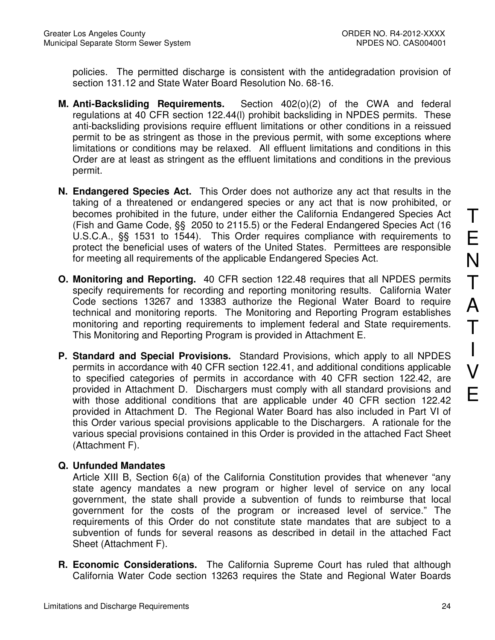policies. The permitted discharge is consistent with the antidegradation provision of section 131.12 and State Water Board Resolution No. 68-16.

- **M. Anti-Backsliding Requirements.** Section 402(o)(2) of the CWA and federal regulations at 40 CFR section 122.44(l) prohibit backsliding in NPDES permits. These anti-backsliding provisions require effluent limitations or other conditions in a reissued permit to be as stringent as those in the previous permit, with some exceptions where limitations or conditions may be relaxed. All effluent limitations and conditions in this Order are at least as stringent as the effluent limitations and conditions in the previous permit.
- **N. Endangered Species Act.** This Order does not authorize any act that results in the taking of a threatened or endangered species or any act that is now prohibited, or becomes prohibited in the future, under either the California Endangered Species Act (Fish and Game Code, §§ 2050 to 2115.5) or the Federal Endangered Species Act (16 U.S.C.A., §§ 1531 to 1544). This Order requires compliance with requirements to protect the beneficial uses of waters of the United States. Permittees are responsible for meeting all requirements of the applicable Endangered Species Act.
- **O. Monitoring and Reporting.** 40 CFR section 122.48 requires that all NPDES permits specify requirements for recording and reporting monitoring results. California Water Code sections 13267 and 13383 authorize the Regional Water Board to require technical and monitoring reports. The Monitoring and Reporting Program establishes monitoring and reporting requirements to implement federal and State requirements. This Monitoring and Reporting Program is provided in Attachment E.
- **P. Standard and Special Provisions.** Standard Provisions, which apply to all NPDES permits in accordance with 40 CFR section 122.41, and additional conditions applicable to specified categories of permits in accordance with 40 CFR section 122.42, are provided in Attachment D. Dischargers must comply with all standard provisions and with those additional conditions that are applicable under 40 CFR section 122.42 provided in Attachment D. The Regional Water Board has also included in Part VI of this Order various special provisions applicable to the Dischargers. A rationale for the various special provisions contained in this Order is provided in the attached Fact Sheet (Attachment F).

### **Q. Unfunded Mandates**

Article XIII B, Section 6(a) of the California Constitution provides that whenever "any state agency mandates a new program or higher level of service on any local government, the state shall provide a subvention of funds to reimburse that local government for the costs of the program or increased level of service." The requirements of this Order do not constitute state mandates that are subject to a subvention of funds for several reasons as described in detail in the attached Fact Sheet (Attachment F).

**R. Economic Considerations.** The California Supreme Court has ruled that although California Water Code section 13263 requires the State and Regional Water Boards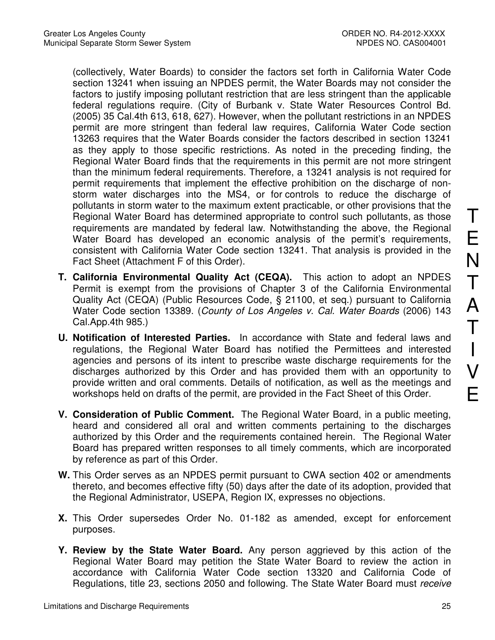(collectively, Water Boards) to consider the factors set forth in California Water Code section 13241 when issuing an NPDES permit, the Water Boards may not consider the factors to justify imposing pollutant restriction that are less stringent than the applicable federal regulations require. (City of Burbank v. State Water Resources Control Bd. (2005) 35 Cal.4th 613, 618, 627). However, when the pollutant restrictions in an NPDES permit are more stringent than federal law requires, California Water Code section 13263 requires that the Water Boards consider the factors described in section 13241 as they apply to those specific restrictions. As noted in the preceding finding, the Regional Water Board finds that the requirements in this permit are not more stringent than the minimum federal requirements. Therefore, a 13241 analysis is not required for permit requirements that implement the effective prohibition on the discharge of nonstorm water discharges into the MS4, or for controls to reduce the discharge of pollutants in storm water to the maximum extent practicable, or other provisions that the Regional Water Board has determined appropriate to control such pollutants, as those requirements are mandated by federal law. Notwithstanding the above, the Regional Water Board has developed an economic analysis of the permit's requirements, consistent with California Water Code section 13241. That analysis is provided in the Fact Sheet (Attachment F of this Order).

- **T. California Environmental Quality Act (CEQA).** This action to adopt an NPDES Permit is exempt from the provisions of Chapter 3 of the California Environmental Quality Act (CEQA) (Public Resources Code, § 21100, et seq.) pursuant to California Water Code section 13389. (County of Los Angeles v. Cal. Water Boards (2006) 143 Cal.App.4th 985.)
- **U. Notification of Interested Parties.** In accordance with State and federal laws and regulations, the Regional Water Board has notified the Permittees and interested agencies and persons of its intent to prescribe waste discharge requirements for the discharges authorized by this Order and has provided them with an opportunity to provide written and oral comments. Details of notification, as well as the meetings and workshops held on drafts of the permit, are provided in the Fact Sheet of this Order.
- **V. Consideration of Public Comment.** The Regional Water Board, in a public meeting, heard and considered all oral and written comments pertaining to the discharges authorized by this Order and the requirements contained herein. The Regional Water Board has prepared written responses to all timely comments, which are incorporated by reference as part of this Order.
- **W.** This Order serves as an NPDES permit pursuant to CWA section 402 or amendments thereto, and becomes effective fifty (50) days after the date of its adoption, provided that the Regional Administrator, USEPA, Region IX, expresses no objections.
- **X.** This Order supersedes Order No. 01-182 as amended, except for enforcement purposes.
- **Y. Review by the State Water Board.** Any person aggrieved by this action of the Regional Water Board may petition the State Water Board to review the action in accordance with California Water Code section 13320 and California Code of Regulations, title 23, sections 2050 and following. The State Water Board must receive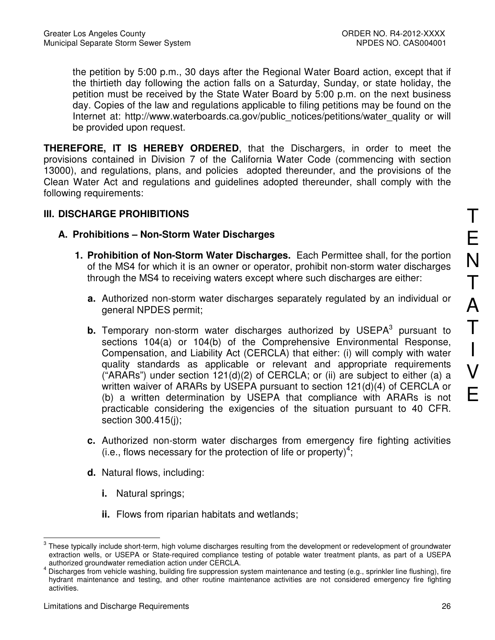the petition by 5:00 p.m., 30 days after the Regional Water Board action, except that if the thirtieth day following the action falls on a Saturday, Sunday, or state holiday, the petition must be received by the State Water Board by 5:00 p.m. on the next business day. Copies of the law and regulations applicable to filing petitions may be found on the Internet at: http://www.waterboards.ca.gov/public\_notices/petitions/water\_quality or will be provided upon request.

**THEREFORE, IT IS HEREBY ORDERED**, that the Dischargers, in order to meet the provisions contained in Division 7 of the California Water Code (commencing with section 13000), and regulations, plans, and policies adopted thereunder, and the provisions of the Clean Water Act and regulations and guidelines adopted thereunder, shall comply with the following requirements:

### **III. DISCHARGE PROHIBITIONS**

- **A. Prohibitions Non-Storm Water Discharges** 
	- **1. Prohibition of Non-Storm Water Discharges.** Each Permittee shall, for the portion of the MS4 for which it is an owner or operator, prohibit non-storm water discharges through the MS4 to receiving waters except where such discharges are either:
		- **a.** Authorized non-storm water discharges separately regulated by an individual or general NPDES permit;
		- **b.** Temporary non-storm water discharges authorized by USEPA<sup>3</sup> pursuant to sections 104(a) or 104(b) of the Comprehensive Environmental Response, Compensation, and Liability Act (CERCLA) that either: (i) will comply with water quality standards as applicable or relevant and appropriate requirements ("ARARs") under section  $121(d)(2)$  of CERCLA; or (ii) are subject to either (a) a written waiver of ARARs by USEPA pursuant to section 121(d)(4) of CERCLA or (b) a written determination by USEPA that compliance with ARARs is not practicable considering the exigencies of the situation pursuant to 40 CFR. section 300.415(j);
		- **c.** Authorized non-storm water discharges from emergency fire fighting activities  $(i.e.,$  flows necessary for the protection of life or property)<sup>4</sup>;
		- **d.** Natural flows, including:
			- **i.** Natural springs;
			- **ii.** Flows from riparian habitats and wetlands;

 $\overline{a}$  $3$  These typically include short-term, high volume discharges resulting from the development or redevelopment of groundwater extraction wells, or USEPA or State-required compliance testing of potable water treatment plants, as part of a USEPA authorized groundwater remediation action under CERCLA.

<sup>4</sup> Discharges from vehicle washing, building fire suppression system maintenance and testing (e.g., sprinkler line flushing), fire hydrant maintenance and testing, and other routine maintenance activities are not considered emergency fire fighting activities.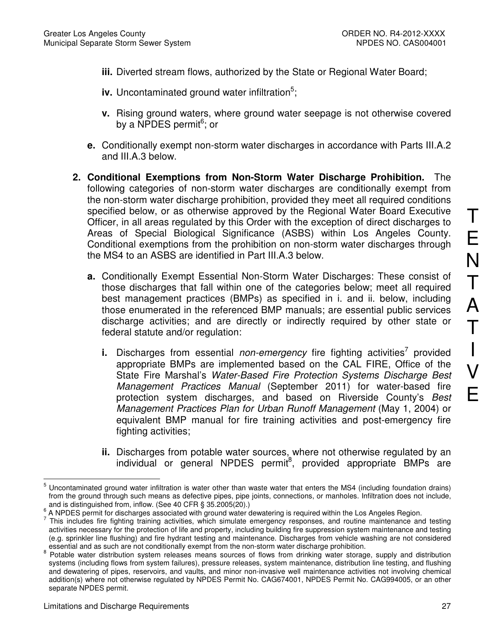- **iii.** Diverted stream flows, authorized by the State or Regional Water Board;
- iv. Uncontaminated ground water infiltration<sup>5</sup>;
- **v.** Rising ground waters, where ground water seepage is not otherwise covered by a NPDES permit<sup>6</sup>; or
- **e.** Conditionally exempt non-storm water discharges in accordance with Parts III.A.2 and III.A.3 below.
- **2. Conditional Exemptions from Non-Storm Water Discharge Prohibition.** The following categories of non-storm water discharges are conditionally exempt from the non-storm water discharge prohibition, provided they meet all required conditions specified below, or as otherwise approved by the Regional Water Board Executive Officer, in all areas regulated by this Order with the exception of direct discharges to Areas of Special Biological Significance (ASBS) within Los Angeles County. Conditional exemptions from the prohibition on non-storm water discharges through the MS4 to an ASBS are identified in Part III.A.3 below.
	- **a.** Conditionally Exempt Essential Non-Storm Water Discharges: These consist of those discharges that fall within one of the categories below; meet all required best management practices (BMPs) as specified in i. and ii. below, including those enumerated in the referenced BMP manuals; are essential public services discharge activities; and are directly or indirectly required by other state or federal statute and/or regulation:
		- **i.** Discharges from essential non-emergency fire fighting activities<sup>7</sup> provided appropriate BMPs are implemented based on the CAL FIRE, Office of the State Fire Marshal's Water-Based Fire Protection Systems Discharge Best Management Practices Manual (September 2011) for water-based fire protection system discharges, and based on Riverside County's Best Management Practices Plan for Urban Runoff Management (May 1, 2004) or equivalent BMP manual for fire training activities and post-emergency fire fighting activities;
		- **ii.** Discharges from potable water sources, where not otherwise regulated by an individual or general NPDES permit<sup>8</sup>, provided appropriate BMPs are

 5 Uncontaminated ground water infiltration is water other than waste water that enters the MS4 (including foundation drains) from the ground through such means as defective pipes, pipe joints, connections, or manholes. Infiltration does not include, and is distinguished from, inflow. (See 40 CFR § 35.2005(20).)

<sup>6</sup> A NPDES permit for discharges associated with ground water dewatering is required within the Los Angeles Region.

 $<sup>7</sup>$  This includes fire fighting training activities, which simulate emergency responses, and routine maintenance and testing</sup> activities necessary for the protection of life and property, including building fire suppression system maintenance and testing (e.g. sprinkler line flushing) and fire hydrant testing and maintenance. Discharges from vehicle washing are not considered essential and as such are not conditionally exempt from the non-storm water discharge prohibition. 8

Potable water distribution system releases means sources of flows from drinking water storage, supply and distribution systems (including flows from system failures), pressure releases, system maintenance, distribution line testing, and flushing and dewatering of pipes, reservoirs, and vaults, and minor non-invasive well maintenance activities not involving chemical addition(s) where not otherwise regulated by NPDES Permit No. CAG674001, NPDES Permit No. CAG994005, or an other separate NPDES permit.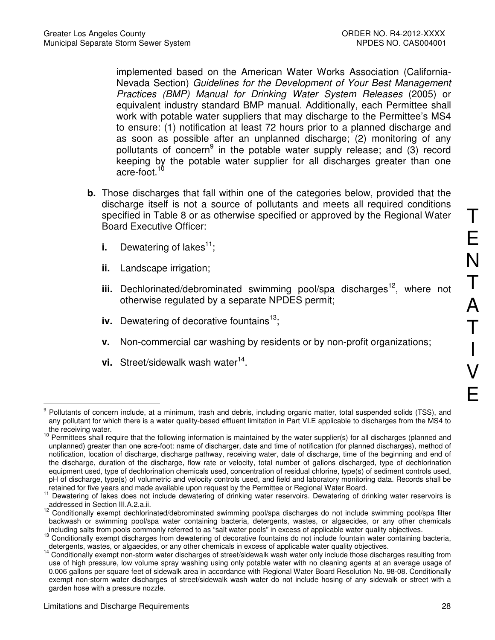implemented based on the American Water Works Association (California-Nevada Section) Guidelines for the Development of Your Best Management Practices (BMP) Manual for Drinking Water System Releases (2005) or equivalent industry standard BMP manual. Additionally, each Permittee shall work with potable water suppliers that may discharge to the Permittee's MS4 to ensure: (1) notification at least 72 hours prior to a planned discharge and as soon as possible after an unplanned discharge; (2) monitoring of any pollutants of concern<sup>9</sup> in the potable water supply release; and (3) record keeping by the potable water supplier for all discharges greater than one acre-foot.<sup>10</sup>

- **b.** Those discharges that fall within one of the categories below, provided that the discharge itself is not a source of pollutants and meets all required conditions specified in Table 8 or as otherwise specified or approved by the Regional Water Board Executive Officer:
	- **i.** Dewatering of lakes<sup>11</sup>;
	- **ii.** Landscape irrigation;
	- **iii.** Dechlorinated/debrominated swimming pool/spa discharges<sup>12</sup>, where not otherwise regulated by a separate NPDES permit;
	- **iv.** Dewatering of decorative fountains<sup>13</sup>;
	- **v.** Non-commercial car washing by residents or by non-profit organizations;
	- vi. Street/sidewalk wash water<sup>14</sup>.

 $\overline{a}$ 9 Pollutants of concern include, at a minimum, trash and debris, including organic matter, total suspended solids (TSS), and any pollutant for which there is a water quality-based effluent limitation in Part VI.E applicable to discharges from the MS4 to the receiving water.

<sup>&</sup>lt;sup>10</sup> Permittees shall require that the following information is maintained by the water supplier(s) for all discharges (planned and unplanned) greater than one acre-foot: name of discharger, date and time of notification (for planned discharges), method of notification, location of discharge, discharge pathway, receiving water, date of discharge, time of the beginning and end of the discharge, duration of the discharge, flow rate or velocity, total number of gallons discharged, type of dechlorination equipment used, type of dechlorination chemicals used, concentration of residual chlorine, type(s) of sediment controls used, pH of discharge, type(s) of volumetric and velocity controls used, and field and laboratory monitoring data. Records shall be retained for five years and made available upon request by the Permittee or Regional Water Board.

<sup>11</sup> Dewatering of lakes does not include dewatering of drinking water reservoirs. Dewatering of drinking water reservoirs is addressed in Section III.A.2.a.ii.

<sup>12</sup> Conditionally exempt dechlorinated/debrominated swimming pool/spa discharges do not include swimming pool/spa filter backwash or swimming pool/spa water containing bacteria, detergents, wastes, or algaecides, or any other chemicals including salts from pools commonly referred to as "salt water pools" in excess of applicable water quality objectives.

<sup>&</sup>lt;sup>13</sup> Conditionally exempt discharges from dewatering of decorative fountains do not include fountain water containing bacteria, detergents, wastes, or algaecides, or any other chemicals in excess of applicable water quality objectives.

<sup>14</sup> Conditionally exempt non-storm water discharges of street/sidewalk wash water only include those discharges resulting from use of high pressure, low volume spray washing using only potable water with no cleaning agents at an average usage of 0.006 gallons per square feet of sidewalk area in accordance with Regional Water Board Resolution No. 98-08. Conditionally exempt non-storm water discharges of street/sidewalk wash water do not include hosing of any sidewalk or street with a garden hose with a pressure nozzle.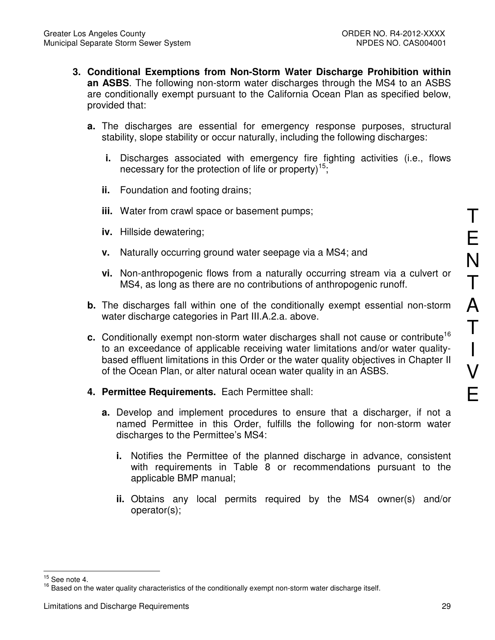- **3. Conditional Exemptions from Non-Storm Water Discharge Prohibition within an ASBS**. The following non-storm water discharges through the MS4 to an ASBS are conditionally exempt pursuant to the California Ocean Plan as specified below, provided that:
	- **a.** The discharges are essential for emergency response purposes, structural stability, slope stability or occur naturally, including the following discharges:
		- **i.** Discharges associated with emergency fire fighting activities (i.e., flows necessary for the protection of life or property)<sup>15</sup>;
		- **ii.** Foundation and footing drains;
		- **iii.** Water from crawl space or basement pumps;
		- **iv.** Hillside dewatering;
		- **v.** Naturally occurring ground water seepage via a MS4; and
		- **vi.** Non-anthropogenic flows from a naturally occurring stream via a culvert or MS4, as long as there are no contributions of anthropogenic runoff.
	- **b.** The discharges fall within one of the conditionally exempt essential non-storm water discharge categories in Part III.A.2.a. above.
	- **c.** Conditionally exempt non-storm water discharges shall not cause or contribute<sup>16</sup> to an exceedance of applicable receiving water limitations and/or water qualitybased effluent limitations in this Order or the water quality objectives in Chapter II of the Ocean Plan, or alter natural ocean water quality in an ASBS.
	- **4. Permittee Requirements.** Each Permittee shall:
		- **a.** Develop and implement procedures to ensure that a discharger, if not a named Permittee in this Order, fulfills the following for non-storm water discharges to the Permittee's MS4:
			- **i.** Notifies the Permittee of the planned discharge in advance, consistent with requirements in Table 8 or recommendations pursuant to the applicable BMP manual;
			- **ii.** Obtains any local permits required by the MS4 owner(s) and/or operator(s);

E

N

T A T I V E

 $\overline{a}$  $15$  See note 4.

<sup>&</sup>lt;sup>16</sup> Based on the water quality characteristics of the conditionally exempt non-storm water discharge itself.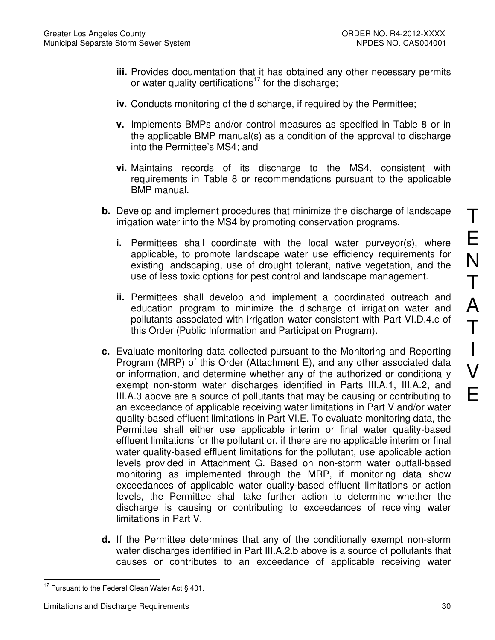- **iii.** Provides documentation that it has obtained any other necessary permits or water quality certifications<sup>17</sup> for the discharge;
- **iv.** Conducts monitoring of the discharge, if required by the Permittee;
- **v.** Implements BMPs and/or control measures as specified in Table 8 or in the applicable BMP manual(s) as a condition of the approval to discharge into the Permittee's MS4; and
- **vi.** Maintains records of its discharge to the MS4, consistent with requirements in Table 8 or recommendations pursuant to the applicable BMP manual.
- **b.** Develop and implement procedures that minimize the discharge of landscape irrigation water into the MS4 by promoting conservation programs.
	- **i.** Permittees shall coordinate with the local water purveyor(s), where applicable, to promote landscape water use efficiency requirements for existing landscaping, use of drought tolerant, native vegetation, and the use of less toxic options for pest control and landscape management.
	- **ii.** Permittees shall develop and implement a coordinated outreach and education program to minimize the discharge of irrigation water and pollutants associated with irrigation water consistent with Part VI.D.4.c of this Order (Public Information and Participation Program).
- **c.** Evaluate monitoring data collected pursuant to the Monitoring and Reporting Program (MRP) of this Order (Attachment E), and any other associated data or information, and determine whether any of the authorized or conditionally exempt non-storm water discharges identified in Parts III.A.1, III.A.2, and III.A.3 above are a source of pollutants that may be causing or contributing to an exceedance of applicable receiving water limitations in Part V and/or water quality-based effluent limitations in Part VI.E. To evaluate monitoring data, the Permittee shall either use applicable interim or final water quality-based effluent limitations for the pollutant or, if there are no applicable interim or final water quality-based effluent limitations for the pollutant, use applicable action levels provided in Attachment G. Based on non-storm water outfall-based monitoring as implemented through the MRP, if monitoring data show exceedances of applicable water quality-based effluent limitations or action levels, the Permittee shall take further action to determine whether the discharge is causing or contributing to exceedances of receiving water limitations in Part V.
- **d.** If the Permittee determines that any of the conditionally exempt non-storm water discharges identified in Part III.A.2.b above is a source of pollutants that causes or contributes to an exceedance of applicable receiving water

E

N

T

A

T

I

 $\overline{a}$  $17$  Pursuant to the Federal Clean Water Act § 401.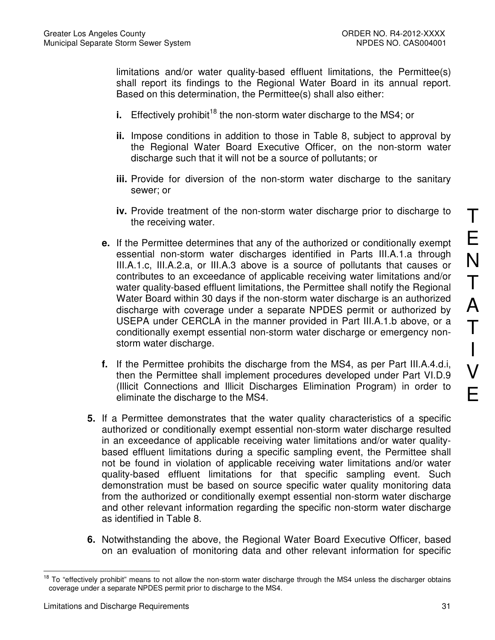limitations and/or water quality-based effluent limitations, the Permittee(s) shall report its findings to the Regional Water Board in its annual report. Based on this determination, the Permittee(s) shall also either:

- **i.** Effectively prohibit<sup>18</sup> the non-storm water discharge to the MS4; or
- **ii.** Impose conditions in addition to those in Table 8, subject to approval by the Regional Water Board Executive Officer, on the non-storm water discharge such that it will not be a source of pollutants; or
- **iii.** Provide for diversion of the non-storm water discharge to the sanitary sewer; or
- **iv.** Provide treatment of the non-storm water discharge prior to discharge to the receiving water.
- **e.** If the Permittee determines that any of the authorized or conditionally exempt essential non-storm water discharges identified in Parts III.A.1.a through III.A.1.c, III.A.2.a, or III.A.3 above is a source of pollutants that causes or contributes to an exceedance of applicable receiving water limitations and/or water quality-based effluent limitations, the Permittee shall notify the Regional Water Board within 30 days if the non-storm water discharge is an authorized discharge with coverage under a separate NPDES permit or authorized by USEPA under CERCLA in the manner provided in Part III.A.1.b above, or a conditionally exempt essential non-storm water discharge or emergency nonstorm water discharge.
- **f.** If the Permittee prohibits the discharge from the MS4, as per Part III.A.4.d.i, then the Permittee shall implement procedures developed under Part VI.D.9 (Illicit Connections and Illicit Discharges Elimination Program) in order to eliminate the discharge to the MS4.
- **5.** If a Permittee demonstrates that the water quality characteristics of a specific authorized or conditionally exempt essential non-storm water discharge resulted in an exceedance of applicable receiving water limitations and/or water qualitybased effluent limitations during a specific sampling event, the Permittee shall not be found in violation of applicable receiving water limitations and/or water quality-based effluent limitations for that specific sampling event. Such demonstration must be based on source specific water quality monitoring data from the authorized or conditionally exempt essential non-storm water discharge and other relevant information regarding the specific non-storm water discharge as identified in Table 8.
- **6.** Notwithstanding the above, the Regional Water Board Executive Officer, based on an evaluation of monitoring data and other relevant information for specific

 $\overline{a}$ <sup>18</sup> To "effectively prohibit" means to not allow the non-storm water discharge through the MS4 unless the discharger obtains coverage under a separate NPDES permit prior to discharge to the MS4.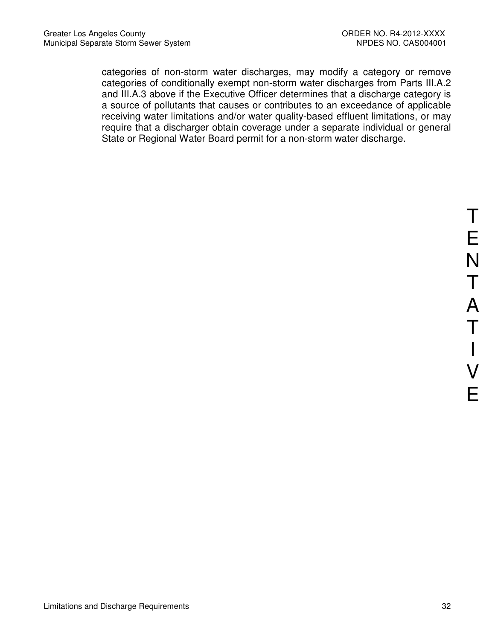categories of non-storm water discharges, may modify a category or remove categories of conditionally exempt non-storm water discharges from Parts III.A.2 and III.A.3 above if the Executive Officer determines that a discharge category is a source of pollutants that causes or contributes to an exceedance of applicable receiving water limitations and/or water quality-based effluent limitations, or may require that a discharger obtain coverage under a separate individual or general State or Regional Water Board permit for a non-storm water discharge.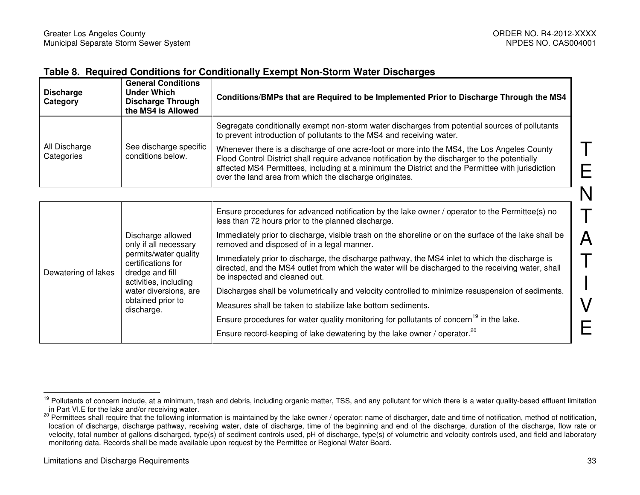E

I

#### **Table 8. Required Conditions for Conditionally Exempt Non-Storm Water Discharges**

| <b>Discharge</b><br>Category | <b>General Conditions</b><br>Under Which<br><b>Discharge Through</b><br>the MS4 is Allowed | Conditions/BMPs that are Required to be Implemented Prior to Discharge Through the MS4                                                                                                                                                                                                                                                                       |
|------------------------------|--------------------------------------------------------------------------------------------|--------------------------------------------------------------------------------------------------------------------------------------------------------------------------------------------------------------------------------------------------------------------------------------------------------------------------------------------------------------|
|                              |                                                                                            | Segregate conditionally exempt non-storm water discharges from potential sources of pollutants<br>to prevent introduction of pollutants to the MS4 and receiving water.                                                                                                                                                                                      |
| All Discharge<br>Categories  | See discharge specific<br>conditions below.                                                | Whenever there is a discharge of one acre-foot or more into the MS4, the Los Angeles County<br>Flood Control District shall require advance notification by the discharger to the potentially<br>affected MS4 Permittees, including at a minimum the District and the Permittee with jurisdiction<br>over the land area from which the discharge originates. |

| Dewatering of lakes |                                                                                                                                                                                                   | Ensure procedures for advanced notification by the lake owner / operator to the Permittee(s) no<br>less than 72 hours prior to the planned discharge.                                                                                 |
|---------------------|---------------------------------------------------------------------------------------------------------------------------------------------------------------------------------------------------|---------------------------------------------------------------------------------------------------------------------------------------------------------------------------------------------------------------------------------------|
|                     | Discharge allowed<br>only if all necessary<br>permits/water quality<br>certifications for<br>dredge and fill<br>activities, including<br>water diversions, are<br>obtained prior to<br>discharge. | Immediately prior to discharge, visible trash on the shoreline or on the surface of the lake shall be<br>removed and disposed of in a legal manner.                                                                                   |
|                     |                                                                                                                                                                                                   | Immediately prior to discharge, the discharge pathway, the MS4 inlet to which the discharge is<br>directed, and the MS4 outlet from which the water will be discharged to the receiving water, shall<br>be inspected and cleaned out. |
|                     |                                                                                                                                                                                                   | Discharges shall be volumetrically and velocity controlled to minimize resuspension of sediments.                                                                                                                                     |
|                     |                                                                                                                                                                                                   | Measures shall be taken to stabilize lake bottom sediments.                                                                                                                                                                           |
|                     |                                                                                                                                                                                                   | Ensure procedures for water quality monitoring for pollutants of concern <sup>19</sup> in the lake.                                                                                                                                   |
|                     |                                                                                                                                                                                                   | Ensure record-keeping of lake dewatering by the lake owner / operator. <sup>20</sup>                                                                                                                                                  |

<sup>&</sup>lt;sup>19</sup> Pollutants of concern include, at a minimum, trash and debris, including organic matter, TSS, and any pollutant for which there is a water quality-based effluent limitation in Part VI.E for the lake and/or receiving w

<sup>&</sup>lt;sup>20</sup> Permittees shall require that the following information is maintained by the lake owner / operator: name of discharger, date and time of notification, method of notification, location of discharge, discharge pathway, receiving water, date of discharge, time of the beginning and end of the discharge, duration of the discharge, flow rate or velocity, total number of gallons discharged, type(s) of sediment controls used, pH of discharge, type(s) of volumetric and velocity controls used, and field and laboratory monitoring data. Records shall be made available upon request by the Permittee or Regional Water Board.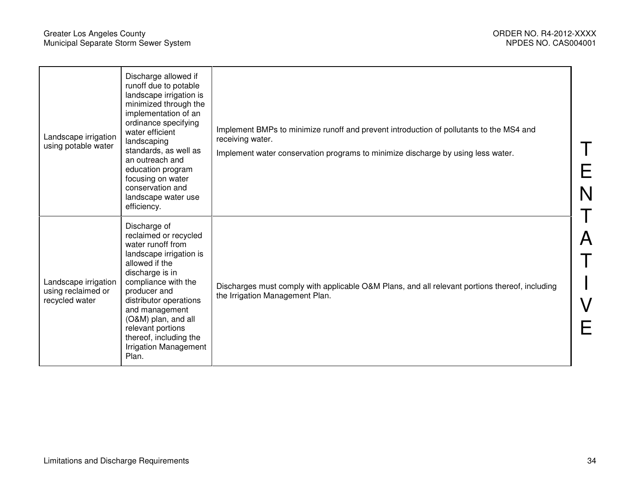E

N

T

A

T

I

V

E

| Landscape irrigation<br>using potable water                  | Discharge allowed if<br>runoff due to potable<br>landscape irrigation is<br>minimized through the<br>implementation of an<br>ordinance specifying<br>water efficient<br>landscaping<br>standards, as well as<br>an outreach and<br>education program<br>focusing on water<br>conservation and<br>landscape water use<br>efficiency. | Implement BMPs to minimize runoff and prevent introduction of pollutants to the MS4 and<br>receiving water.<br>Implement water conservation programs to minimize discharge by using less water. |
|--------------------------------------------------------------|-------------------------------------------------------------------------------------------------------------------------------------------------------------------------------------------------------------------------------------------------------------------------------------------------------------------------------------|-------------------------------------------------------------------------------------------------------------------------------------------------------------------------------------------------|
| Landscape irrigation<br>using reclaimed or<br>recycled water | Discharge of<br>reclaimed or recycled<br>water runoff from<br>landscape irrigation is<br>allowed if the<br>discharge is in<br>compliance with the<br>producer and<br>distributor operations<br>and management<br>(O&M) plan, and all<br>relevant portions<br>thereof, including the<br><b>Irrigation Management</b><br>Plan.        | Discharges must comply with applicable O&M Plans, and all relevant portions thereof, including<br>the Irrigation Management Plan.                                                               |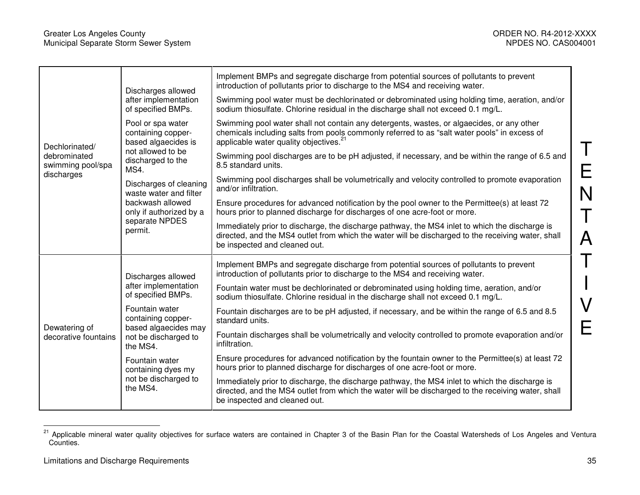E

N

T

A

T

I

V

E

|                                       | Discharges allowed                                                                               | Implement BMPs and segregate discharge from potential sources of pollutants to prevent<br>introduction of pollutants prior to discharge to the MS4 and receiving water.                                                                         |
|---------------------------------------|--------------------------------------------------------------------------------------------------|-------------------------------------------------------------------------------------------------------------------------------------------------------------------------------------------------------------------------------------------------|
| Dechlorinated/                        | after implementation<br>of specified BMPs.                                                       | Swimming pool water must be dechlorinated or debrominated using holding time, aeration, and/or<br>sodium thiosulfate. Chlorine residual in the discharge shall not exceed 0.1 mg/L.                                                             |
|                                       | Pool or spa water<br>containing copper-<br>based algaecides is                                   | Swimming pool water shall not contain any detergents, wastes, or algaecides, or any other<br>chemicals including salts from pools commonly referred to as "salt water pools" in excess of<br>applicable water quality objectives. <sup>21</sup> |
| debrominated<br>swimming pool/spa     | not allowed to be<br>discharged to the<br>MS4.                                                   | Swimming pool discharges are to be pH adjusted, if necessary, and be within the range of 6.5 and<br>8.5 standard units.                                                                                                                         |
| discharges                            | Discharges of cleaning<br>waste water and filter                                                 | Swimming pool discharges shall be volumetrically and velocity controlled to promote evaporation<br>and/or infiltration.                                                                                                                         |
| Dewatering of<br>decorative fountains | backwash allowed<br>only if authorized by a<br>separate NPDES<br>permit.                         | Ensure procedures for advanced notification by the pool owner to the Permittee(s) at least 72<br>hours prior to planned discharge for discharges of one acre-foot or more.                                                                      |
|                                       |                                                                                                  | Immediately prior to discharge, the discharge pathway, the MS4 inlet to which the discharge is<br>directed, and the MS4 outlet from which the water will be discharged to the receiving water, shall<br>be inspected and cleaned out.           |
|                                       | Discharges allowed<br>after implementation<br>of specified BMPs.                                 | Implement BMPs and segregate discharge from potential sources of pollutants to prevent<br>introduction of pollutants prior to discharge to the MS4 and receiving water.                                                                         |
|                                       |                                                                                                  | Fountain water must be dechlorinated or debrominated using holding time, aeration, and/or<br>sodium thiosulfate. Chlorine residual in the discharge shall not exceed 0.1 mg/L.                                                                  |
|                                       | Fountain water<br>containing copper-<br>based algaecides may<br>not be discharged to<br>the MS4. | Fountain discharges are to be pH adjusted, if necessary, and be within the range of 6.5 and 8.5<br>standard units.                                                                                                                              |
|                                       |                                                                                                  | Fountain discharges shall be volumetrically and velocity controlled to promote evaporation and/or<br>infiltration.                                                                                                                              |
|                                       | Fountain water<br>containing dyes my<br>not be discharged to<br>the MS4.                         | Ensure procedures for advanced notification by the fountain owner to the Permittee(s) at least 72<br>hours prior to planned discharge for discharges of one acre-foot or more.                                                                  |
|                                       |                                                                                                  | Immediately prior to discharge, the discharge pathway, the MS4 inlet to which the discharge is<br>directed, and the MS4 outlet from which the water will be discharged to the receiving water, shall<br>be inspected and cleaned out.           |

<sup>&</sup>lt;sup>21</sup> Applicable mineral water quality objectives for surface waters are contained in Chapter 3 of the Basin Plan for the Coastal Watersheds of Los Angeles and Ventura<br>Counties.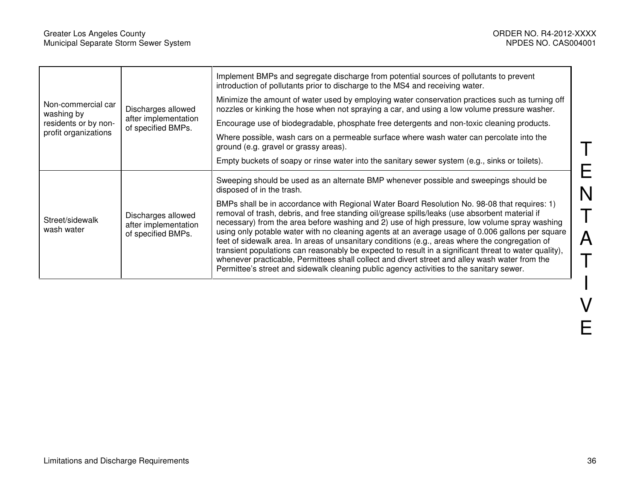| Non-commercial car<br>washing by | Discharges allowed                                               | Implement BMPs and segregate discharge from potential sources of pollutants to prevent<br>introduction of pollutants prior to discharge to the MS4 and receiving water.                                                                                                                                                                                                                                                                                                                                                                                                                                                                                                                                                                                                                                       |
|----------------------------------|------------------------------------------------------------------|---------------------------------------------------------------------------------------------------------------------------------------------------------------------------------------------------------------------------------------------------------------------------------------------------------------------------------------------------------------------------------------------------------------------------------------------------------------------------------------------------------------------------------------------------------------------------------------------------------------------------------------------------------------------------------------------------------------------------------------------------------------------------------------------------------------|
|                                  |                                                                  | Minimize the amount of water used by employing water conservation practices such as turning off<br>nozzles or kinking the hose when not spraying a car, and using a low volume pressure washer.                                                                                                                                                                                                                                                                                                                                                                                                                                                                                                                                                                                                               |
| residents or by non-             | after implementation<br>of specified BMPs.                       | Encourage use of biodegradable, phosphate free detergents and non-toxic cleaning products.                                                                                                                                                                                                                                                                                                                                                                                                                                                                                                                                                                                                                                                                                                                    |
| profit organizations             |                                                                  | Where possible, wash cars on a permeable surface where wash water can percolate into the<br>ground (e.g. gravel or grassy areas).                                                                                                                                                                                                                                                                                                                                                                                                                                                                                                                                                                                                                                                                             |
|                                  |                                                                  | Empty buckets of soapy or rinse water into the sanitary sewer system (e.g., sinks or toilets).                                                                                                                                                                                                                                                                                                                                                                                                                                                                                                                                                                                                                                                                                                                |
| Street/sidewalk<br>wash water    | Discharges allowed<br>after implementation<br>of specified BMPs. | Sweeping should be used as an alternate BMP whenever possible and sweepings should be<br>disposed of in the trash.                                                                                                                                                                                                                                                                                                                                                                                                                                                                                                                                                                                                                                                                                            |
|                                  |                                                                  | BMPs shall be in accordance with Regional Water Board Resolution No. 98-08 that requires: 1)<br>removal of trash, debris, and free standing oil/grease spills/leaks (use absorbent material if<br>necessary) from the area before washing and 2) use of high pressure, low volume spray washing<br>using only potable water with no cleaning agents at an average usage of 0.006 gallons per square<br>feet of sidewalk area. In areas of unsanitary conditions (e.g., areas where the congregation of<br>transient populations can reasonably be expected to result in a significant threat to water quality),<br>whenever practicable, Permittees shall collect and divert street and alley wash water from the<br>Permittee's street and sidewalk cleaning public agency activities to the sanitary sewer. |

 $\overline{\mathsf{T}}$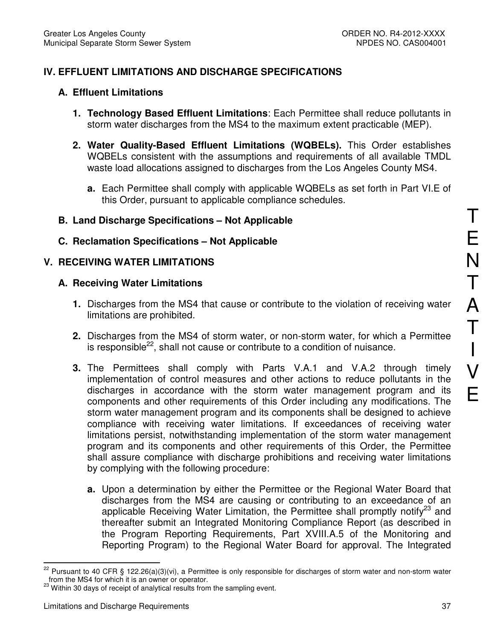# **IV. EFFLUENT LIMITATIONS AND DISCHARGE SPECIFICATIONS**

### **A. Effluent Limitations**

- **1. Technology Based Effluent Limitations**: Each Permittee shall reduce pollutants in storm water discharges from the MS4 to the maximum extent practicable (MEP).
- **2. Water Quality-Based Effluent Limitations (WQBELs).** This Order establishes WQBELs consistent with the assumptions and requirements of all available TMDL waste load allocations assigned to discharges from the Los Angeles County MS4.
	- **a.** Each Permittee shall comply with applicable WQBELs as set forth in Part VI.E of this Order, pursuant to applicable compliance schedules.

### **B. Land Discharge Specifications – Not Applicable**

**C. Reclamation Specifications – Not Applicable** 

# **V. RECEIVING WATER LIMITATIONS**

### **A. Receiving Water Limitations**

- **1.** Discharges from the MS4 that cause or contribute to the violation of receiving water limitations are prohibited.
- **2.** Discharges from the MS4 of storm water, or non-storm water, for which a Permittee is responsible<sup>22</sup>, shall not cause or contribute to a condition of nuisance.
- **3.** The Permittees shall comply with Parts V.A.1 and V.A.2 through timely implementation of control measures and other actions to reduce pollutants in the discharges in accordance with the storm water management program and its components and other requirements of this Order including any modifications. The storm water management program and its components shall be designed to achieve compliance with receiving water limitations. If exceedances of receiving water limitations persist, notwithstanding implementation of the storm water management program and its components and other requirements of this Order, the Permittee shall assure compliance with discharge prohibitions and receiving water limitations by complying with the following procedure:
	- **a.** Upon a determination by either the Permittee or the Regional Water Board that discharges from the MS4 are causing or contributing to an exceedance of an applicable Receiving Water Limitation, the Permittee shall promptly notify<sup>23</sup> and thereafter submit an Integrated Monitoring Compliance Report (as described in the Program Reporting Requirements, Part XVIII.A.5 of the Monitoring and Reporting Program) to the Regional Water Board for approval. The Integrated

<sup>22</sup> Pursuant to 40 CFR § 122.26(a)(3)(vi), a Permittee is only responsible for discharges of storm water and non-storm water from the MS4 for which it is an owner or operator.

<sup>&</sup>lt;sup>23</sup> Within 30 days of receipt of analytical results from the sampling event.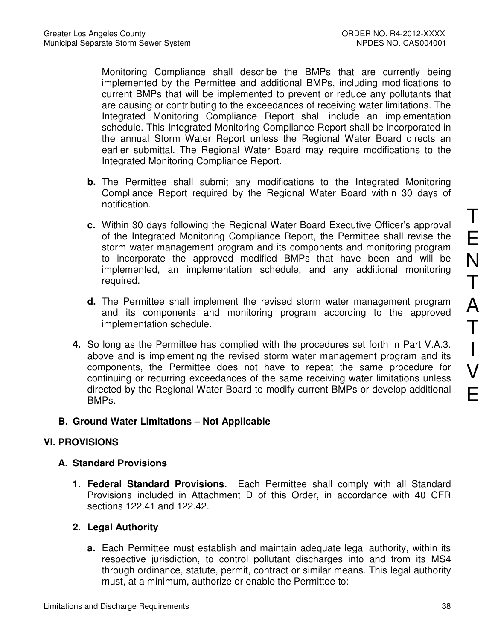Monitoring Compliance shall describe the BMPs that are currently being implemented by the Permittee and additional BMPs, including modifications to current BMPs that will be implemented to prevent or reduce any pollutants that are causing or contributing to the exceedances of receiving water limitations. The Integrated Monitoring Compliance Report shall include an implementation schedule. This Integrated Monitoring Compliance Report shall be incorporated in the annual Storm Water Report unless the Regional Water Board directs an earlier submittal. The Regional Water Board may require modifications to the Integrated Monitoring Compliance Report.

- **b.** The Permittee shall submit any modifications to the Integrated Monitoring Compliance Report required by the Regional Water Board within 30 days of notification.
- **c.** Within 30 days following the Regional Water Board Executive Officer's approval of the Integrated Monitoring Compliance Report, the Permittee shall revise the storm water management program and its components and monitoring program to incorporate the approved modified BMPs that have been and will be implemented, an implementation schedule, and any additional monitoring required.
- **d.** The Permittee shall implement the revised storm water management program and its components and monitoring program according to the approved implementation schedule.
- **4.** So long as the Permittee has complied with the procedures set forth in Part V.A.3. above and is implementing the revised storm water management program and its components, the Permittee does not have to repeat the same procedure for continuing or recurring exceedances of the same receiving water limitations unless directed by the Regional Water Board to modify current BMPs or develop additional BMPs.

# **B. Ground Water Limitations – Not Applicable**

# **VI. PROVISIONS**

# **A. Standard Provisions**

**1. Federal Standard Provisions.** Each Permittee shall comply with all Standard Provisions included in Attachment D of this Order, in accordance with 40 CFR sections 122.41 and 122.42.

# **2. Legal Authority**

**a.** Each Permittee must establish and maintain adequate legal authority, within its respective jurisdiction, to control pollutant discharges into and from its MS4 through ordinance, statute, permit, contract or similar means. This legal authority must, at a minimum, authorize or enable the Permittee to: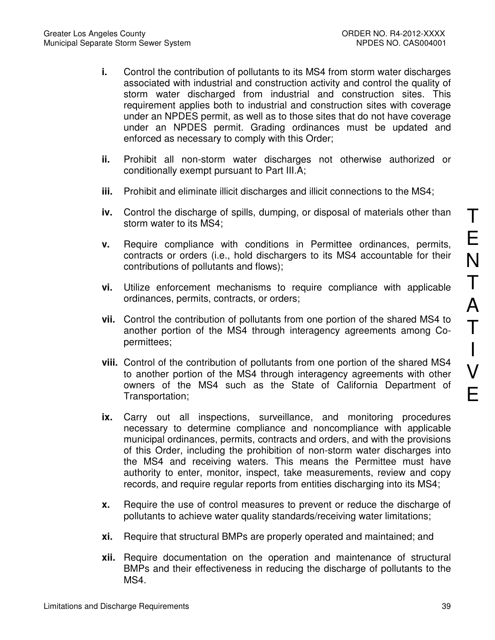- **i.** Control the contribution of pollutants to its MS4 from storm water discharges associated with industrial and construction activity and control the quality of storm water discharged from industrial and construction sites. This requirement applies both to industrial and construction sites with coverage under an NPDES permit, as well as to those sites that do not have coverage under an NPDES permit. Grading ordinances must be updated and enforced as necessary to comply with this Order;
- **ii.** Prohibit all non-storm water discharges not otherwise authorized or conditionally exempt pursuant to Part III.A;
- **iii.** Prohibit and eliminate illicit discharges and illicit connections to the MS4;
- **iv.** Control the discharge of spills, dumping, or disposal of materials other than storm water to its MS4;
- **v.** Require compliance with conditions in Permittee ordinances, permits, contracts or orders (i.e., hold dischargers to its MS4 accountable for their contributions of pollutants and flows);
- **vi.** Utilize enforcement mechanisms to require compliance with applicable ordinances, permits, contracts, or orders;
- **vii.** Control the contribution of pollutants from one portion of the shared MS4 to another portion of the MS4 through interagency agreements among Copermittees;
- **viii.** Control of the contribution of pollutants from one portion of the shared MS4 to another portion of the MS4 through interagency agreements with other owners of the MS4 such as the State of California Department of Transportation;
- **ix.** Carry out all inspections, surveillance, and monitoring procedures necessary to determine compliance and noncompliance with applicable municipal ordinances, permits, contracts and orders, and with the provisions of this Order, including the prohibition of non-storm water discharges into the MS4 and receiving waters. This means the Permittee must have authority to enter, monitor, inspect, take measurements, review and copy records, and require regular reports from entities discharging into its MS4;
- **x.** Require the use of control measures to prevent or reduce the discharge of pollutants to achieve water quality standards/receiving water limitations;
- **xi.** Require that structural BMPs are properly operated and maintained; and
- **xii.** Require documentation on the operation and maintenance of structural BMPs and their effectiveness in reducing the discharge of pollutants to the MS4.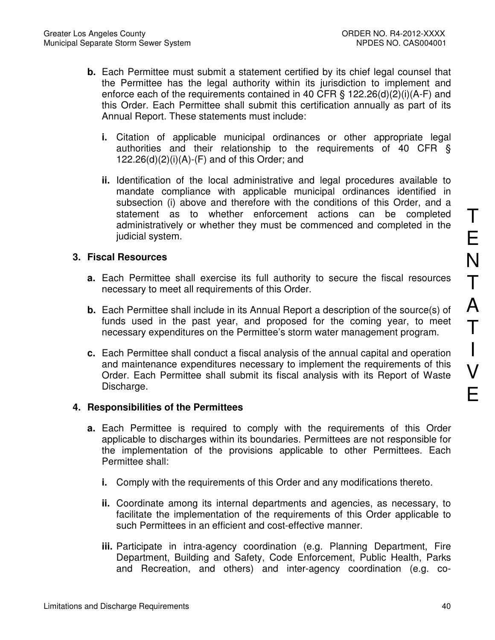- **b.** Each Permittee must submit a statement certified by its chief legal counsel that the Permittee has the legal authority within its jurisdiction to implement and enforce each of the requirements contained in 40 CFR § 122.26(d)(2)(i)(A-F) and this Order. Each Permittee shall submit this certification annually as part of its Annual Report. These statements must include:
	- **i.** Citation of applicable municipal ordinances or other appropriate legal authorities and their relationship to the requirements of 40 CFR §  $122.26(d)(2)(i)(A)-(F)$  and of this Order; and
	- **ii.** Identification of the local administrative and legal procedures available to mandate compliance with applicable municipal ordinances identified in subsection (i) above and therefore with the conditions of this Order, and a statement as to whether enforcement actions can be completed administratively or whether they must be commenced and completed in the judicial system.

# **3. Fiscal Resources**

- **a.** Each Permittee shall exercise its full authority to secure the fiscal resources necessary to meet all requirements of this Order.
- **b.** Each Permittee shall include in its Annual Report a description of the source(s) of funds used in the past year, and proposed for the coming year, to meet necessary expenditures on the Permittee's storm water management program.
- **c.** Each Permittee shall conduct a fiscal analysis of the annual capital and operation and maintenance expenditures necessary to implement the requirements of this Order. Each Permittee shall submit its fiscal analysis with its Report of Waste Discharge.

### **4. Responsibilities of the Permittees**

- **a.** Each Permittee is required to comply with the requirements of this Order applicable to discharges within its boundaries. Permittees are not responsible for the implementation of the provisions applicable to other Permittees. Each Permittee shall:
	- **i.** Comply with the requirements of this Order and any modifications thereto.
	- **ii.** Coordinate among its internal departments and agencies, as necessary, to facilitate the implementation of the requirements of this Order applicable to such Permittees in an efficient and cost-effective manner.
	- **iii.** Participate in intra-agency coordination (e.g. Planning Department, Fire Department, Building and Safety, Code Enforcement, Public Health, Parks and Recreation, and others) and inter-agency coordination (e.g. co-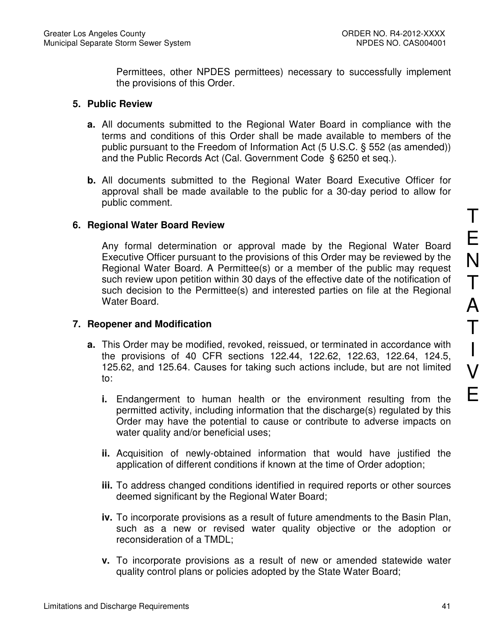Permittees, other NPDES permittees) necessary to successfully implement the provisions of this Order.

### **5. Public Review**

- **a.** All documents submitted to the Regional Water Board in compliance with the terms and conditions of this Order shall be made available to members of the public pursuant to the Freedom of Information Act (5 U.S.C. § 552 (as amended)) and the Public Records Act (Cal. Government Code § 6250 et seq.).
- **b.** All documents submitted to the Regional Water Board Executive Officer for approval shall be made available to the public for a 30-day period to allow for public comment.

### **6. Regional Water Board Review**

Any formal determination or approval made by the Regional Water Board Executive Officer pursuant to the provisions of this Order may be reviewed by the Regional Water Board. A Permittee(s) or a member of the public may request such review upon petition within 30 days of the effective date of the notification of such decision to the Permittee(s) and interested parties on file at the Regional Water Board.

### **7. Reopener and Modification**

- **a.** This Order may be modified, revoked, reissued, or terminated in accordance with the provisions of 40 CFR sections 122.44, 122.62, 122.63, 122.64, 124.5, 125.62, and 125.64. Causes for taking such actions include, but are not limited to:
	- **i.** Endangerment to human health or the environment resulting from the permitted activity, including information that the discharge(s) regulated by this Order may have the potential to cause or contribute to adverse impacts on water quality and/or beneficial uses;
	- **ii.** Acquisition of newly-obtained information that would have justified the application of different conditions if known at the time of Order adoption;
	- **iii.** To address changed conditions identified in required reports or other sources deemed significant by the Regional Water Board;
	- **iv.** To incorporate provisions as a result of future amendments to the Basin Plan, such as a new or revised water quality objective or the adoption or reconsideration of a TMDL;
	- **v.** To incorporate provisions as a result of new or amended statewide water quality control plans or policies adopted by the State Water Board;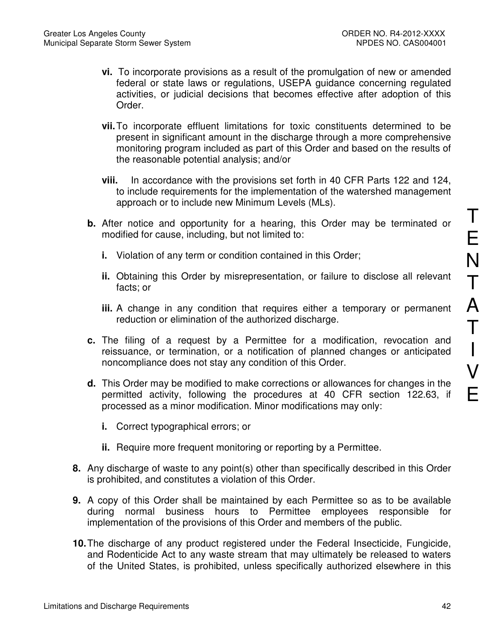- **vi.** To incorporate provisions as a result of the promulgation of new or amended federal or state laws or regulations, USEPA guidance concerning regulated activities, or judicial decisions that becomes effective after adoption of this Order.
- **vii.** To incorporate effluent limitations for toxic constituents determined to be present in significant amount in the discharge through a more comprehensive monitoring program included as part of this Order and based on the results of the reasonable potential analysis; and/or
- **viii.** In accordance with the provisions set forth in 40 CFR Parts 122 and 124, to include requirements for the implementation of the watershed management approach or to include new Minimum Levels (MLs).
- **b.** After notice and opportunity for a hearing, this Order may be terminated or modified for cause, including, but not limited to:
	- **i.** Violation of any term or condition contained in this Order;
	- **ii.** Obtaining this Order by misrepresentation, or failure to disclose all relevant facts; or
	- **iii.** A change in any condition that requires either a temporary or permanent reduction or elimination of the authorized discharge.
- **c.** The filing of a request by a Permittee for a modification, revocation and reissuance, or termination, or a notification of planned changes or anticipated noncompliance does not stay any condition of this Order.
- **d.** This Order may be modified to make corrections or allowances for changes in the permitted activity, following the procedures at 40 CFR section 122.63, if processed as a minor modification. Minor modifications may only:
	- **i.** Correct typographical errors; or
	- **ii.** Require more frequent monitoring or reporting by a Permittee.
- **8.** Any discharge of waste to any point(s) other than specifically described in this Order is prohibited, and constitutes a violation of this Order.
- **9.** A copy of this Order shall be maintained by each Permittee so as to be available during normal business hours to Permittee employees responsible for implementation of the provisions of this Order and members of the public.
- **10.** The discharge of any product registered under the Federal Insecticide, Fungicide, and Rodenticide Act to any waste stream that may ultimately be released to waters of the United States, is prohibited, unless specifically authorized elsewhere in this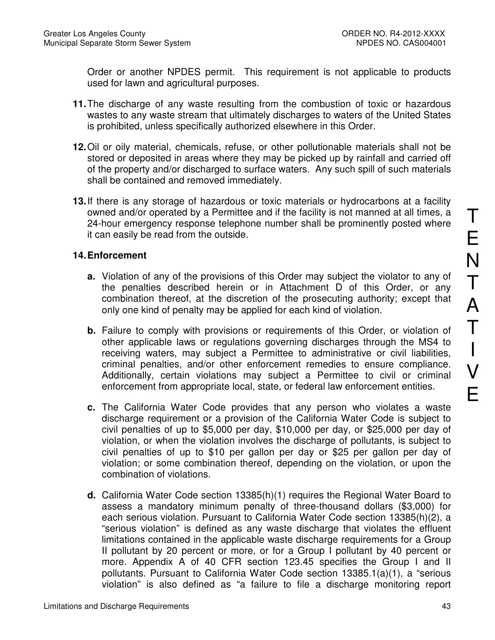Order or another NPDES permit. This requirement is not applicable to products used for lawn and agricultural purposes.

- **11.** The discharge of any waste resulting from the combustion of toxic or hazardous wastes to any waste stream that ultimately discharges to waters of the United States is prohibited, unless specifically authorized elsewhere in this Order.
- **12.** Oil or oily material, chemicals, refuse, or other pollutionable materials shall not be stored or deposited in areas where they may be picked up by rainfall and carried off of the property and/or discharged to surface waters. Any such spill of such materials shall be contained and removed immediately.
- **13.** If there is any storage of hazardous or toxic materials or hydrocarbons at a facility owned and/or operated by a Permittee and if the facility is not manned at all times, a 24-hour emergency response telephone number shall be prominently posted where it can easily be read from the outside.

# **14. Enforcement**

- **a.** Violation of any of the provisions of this Order may subject the violator to any of the penalties described herein or in Attachment D of this Order, or any combination thereof, at the discretion of the prosecuting authority; except that only one kind of penalty may be applied for each kind of violation.
- **b.** Failure to comply with provisions or requirements of this Order, or violation of other applicable laws or regulations governing discharges through the MS4 to receiving waters, may subject a Permittee to administrative or civil liabilities, criminal penalties, and/or other enforcement remedies to ensure compliance. Additionally, certain violations may subject a Permittee to civil or criminal enforcement from appropriate local, state, or federal law enforcement entities.
- **c.** The California Water Code provides that any person who violates a waste discharge requirement or a provision of the California Water Code is subject to civil penalties of up to \$5,000 per day, \$10,000 per day, or \$25,000 per day of violation, or when the violation involves the discharge of pollutants, is subject to civil penalties of up to \$10 per gallon per day or \$25 per gallon per day of violation; or some combination thereof, depending on the violation, or upon the combination of violations.
- **d.** California Water Code section 13385(h)(1) requires the Regional Water Board to assess a mandatory minimum penalty of three-thousand dollars (\$3,000) for each serious violation. Pursuant to California Water Code section 13385(h)(2), a "serious violation" is defined as any waste discharge that violates the effluent limitations contained in the applicable waste discharge requirements for a Group II pollutant by 20 percent or more, or for a Group I pollutant by 40 percent or more. Appendix A of 40 CFR section 123.45 specifies the Group I and II pollutants. Pursuant to California Water Code section 13385.1(a)(1), a "serious violation" is also defined as "a failure to file a discharge monitoring report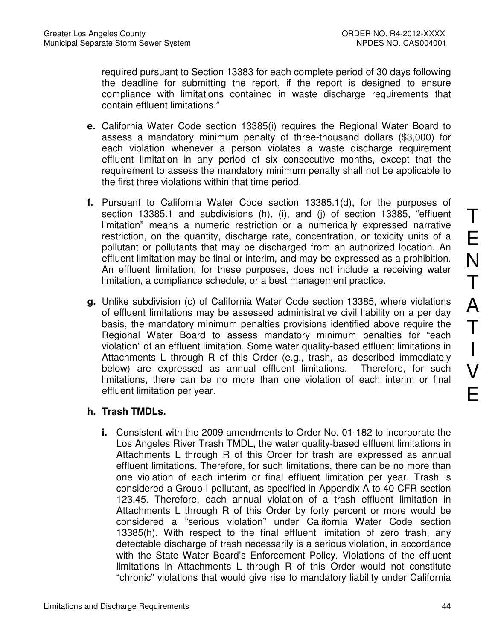required pursuant to Section 13383 for each complete period of 30 days following the deadline for submitting the report, if the report is designed to ensure compliance with limitations contained in waste discharge requirements that contain effluent limitations."

- **e.** California Water Code section 13385(i) requires the Regional Water Board to assess a mandatory minimum penalty of three-thousand dollars (\$3,000) for each violation whenever a person violates a waste discharge requirement effluent limitation in any period of six consecutive months, except that the requirement to assess the mandatory minimum penalty shall not be applicable to the first three violations within that time period.
- **f.** Pursuant to California Water Code section 13385.1(d), for the purposes of section 13385.1 and subdivisions (h), (i), and (j) of section 13385, "effluent limitation" means a numeric restriction or a numerically expressed narrative restriction, on the quantity, discharge rate, concentration, or toxicity units of a pollutant or pollutants that may be discharged from an authorized location. An effluent limitation may be final or interim, and may be expressed as a prohibition. An effluent limitation, for these purposes, does not include a receiving water limitation, a compliance schedule, or a best management practice.
- **g.** Unlike subdivision (c) of California Water Code section 13385, where violations of effluent limitations may be assessed administrative civil liability on a per day basis, the mandatory minimum penalties provisions identified above require the Regional Water Board to assess mandatory minimum penalties for "each violation" of an effluent limitation. Some water quality-based effluent limitations in Attachments L through R of this Order (e.g., trash, as described immediately below) are expressed as annual effluent limitations. Therefore, for such limitations, there can be no more than one violation of each interim or final effluent limitation per year.

### **h. Trash TMDLs.**

**i.** Consistent with the 2009 amendments to Order No. 01-182 to incorporate the Los Angeles River Trash TMDL, the water quality-based effluent limitations in Attachments L through R of this Order for trash are expressed as annual effluent limitations. Therefore, for such limitations, there can be no more than one violation of each interim or final effluent limitation per year. Trash is considered a Group I pollutant, as specified in Appendix A to 40 CFR section 123.45. Therefore, each annual violation of a trash effluent limitation in Attachments L through R of this Order by forty percent or more would be considered a "serious violation" under California Water Code section 13385(h). With respect to the final effluent limitation of zero trash, any detectable discharge of trash necessarily is a serious violation, in accordance with the State Water Board's Enforcement Policy. Violations of the effluent limitations in Attachments L through R of this Order would not constitute "chronic" violations that would give rise to mandatory liability under California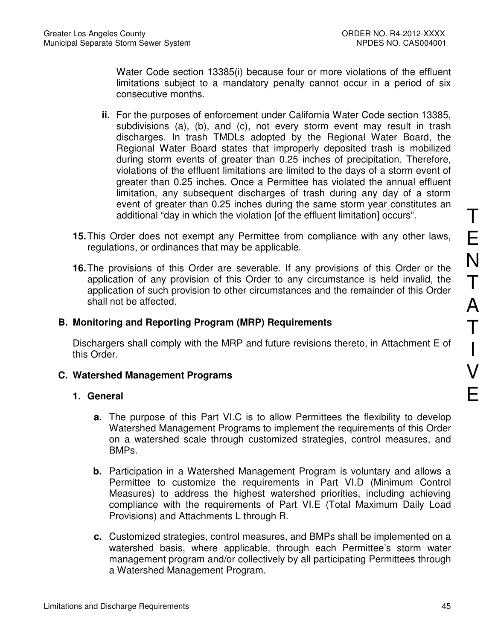Water Code section 13385(i) because four or more violations of the effluent limitations subject to a mandatory penalty cannot occur in a period of six consecutive months.

- **ii.** For the purposes of enforcement under California Water Code section 13385, subdivisions (a), (b), and (c), not every storm event may result in trash discharges. In trash TMDLs adopted by the Regional Water Board, the Regional Water Board states that improperly deposited trash is mobilized during storm events of greater than 0.25 inches of precipitation. Therefore, violations of the effluent limitations are limited to the days of a storm event of greater than 0.25 inches. Once a Permittee has violated the annual effluent limitation, any subsequent discharges of trash during any day of a storm event of greater than 0.25 inches during the same storm year constitutes an additional "day in which the violation [of the effluent limitation] occurs".
- **15.** This Order does not exempt any Permittee from compliance with any other laws, regulations, or ordinances that may be applicable.
- **16.** The provisions of this Order are severable. If any provisions of this Order or the application of any provision of this Order to any circumstance is held invalid, the application of such provision to other circumstances and the remainder of this Order shall not be affected.

## **B. Monitoring and Reporting Program (MRP) Requirements**

Dischargers shall comply with the MRP and future revisions thereto, in Attachment E of this Order.

### **C. Watershed Management Programs**

### **1. General**

- **a.** The purpose of this Part VI.C is to allow Permittees the flexibility to develop Watershed Management Programs to implement the requirements of this Order on a watershed scale through customized strategies, control measures, and BMPs.
- **b.** Participation in a Watershed Management Program is voluntary and allows a Permittee to customize the requirements in Part VI.D (Minimum Control Measures) to address the highest watershed priorities, including achieving compliance with the requirements of Part VI.E (Total Maximum Daily Load Provisions) and Attachments L through R.
- **c.** Customized strategies, control measures, and BMPs shall be implemented on a watershed basis, where applicable, through each Permittee's storm water management program and/or collectively by all participating Permittees through a Watershed Management Program.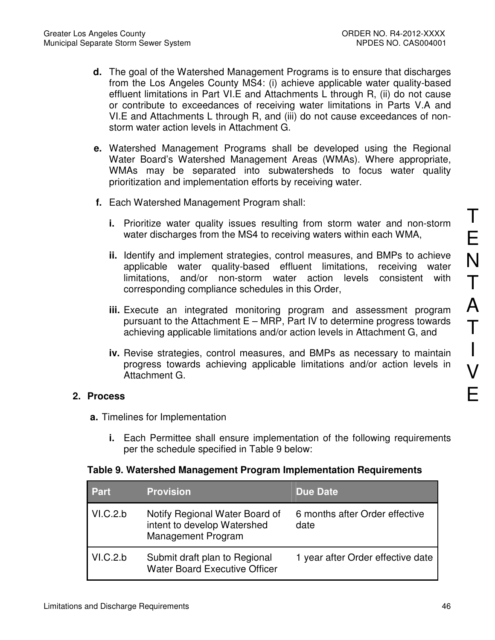- **d.** The goal of the Watershed Management Programs is to ensure that discharges from the Los Angeles County MS4: (i) achieve applicable water quality-based effluent limitations in Part VI.E and Attachments L through R, (ii) do not cause or contribute to exceedances of receiving water limitations in Parts V.A and VI.E and Attachments L through R, and (iii) do not cause exceedances of nonstorm water action levels in Attachment G.
- **e.** Watershed Management Programs shall be developed using the Regional Water Board's Watershed Management Areas (WMAs). Where appropriate, WMAs may be separated into subwatersheds to focus water quality prioritization and implementation efforts by receiving water.
- **f.** Each Watershed Management Program shall:
	- **i.** Prioritize water quality issues resulting from storm water and non-storm water discharges from the MS4 to receiving waters within each WMA,
	- **ii.** Identify and implement strategies, control measures, and BMPs to achieve applicable water quality-based effluent limitations, receiving water limitations, and/or non-storm water action levels consistent with corresponding compliance schedules in this Order,
	- **iii.** Execute an integrated monitoring program and assessment program pursuant to the Attachment E – MRP, Part IV to determine progress towards achieving applicable limitations and/or action levels in Attachment G, and
	- **iv.** Revise strategies, control measures, and BMPs as necessary to maintain progress towards achieving applicable limitations and/or action levels in Attachment G.

### **2. Process**

- **a.** Timelines for Implementation
	- **i.** Each Permittee shall ensure implementation of the following requirements per the schedule specified in Table 9 below:

### **Table 9. Watershed Management Program Implementation Requirements**

| <b>Part</b> | <b>Provision</b>                                                                           | Due Date                               |
|-------------|--------------------------------------------------------------------------------------------|----------------------------------------|
| VI.C.2.b    | Notify Regional Water Board of<br>intent to develop Watershed<br><b>Management Program</b> | 6 months after Order effective<br>date |
| VI.C.2.b    | Submit draft plan to Regional<br><b>Water Board Executive Officer</b>                      | 1 year after Order effective date      |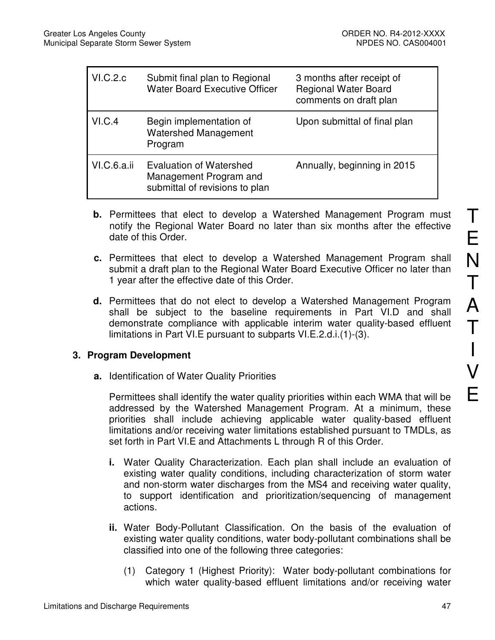| VI.C.2.c    | Submit final plan to Regional<br><b>Water Board Executive Officer</b>               | 3 months after receipt of<br><b>Regional Water Board</b><br>comments on draft plan |
|-------------|-------------------------------------------------------------------------------------|------------------------------------------------------------------------------------|
| VI.C.4      | Begin implementation of<br><b>Watershed Management</b><br>Program                   | Upon submittal of final plan                                                       |
| VI.C.6.a.ii | Evaluation of Watershed<br>Management Program and<br>submittal of revisions to plan | Annually, beginning in 2015                                                        |

- **b.** Permittees that elect to develop a Watershed Management Program must notify the Regional Water Board no later than six months after the effective date of this Order.
- **c.** Permittees that elect to develop a Watershed Management Program shall submit a draft plan to the Regional Water Board Executive Officer no later than 1 year after the effective date of this Order.
- **d.** Permittees that do not elect to develop a Watershed Management Program shall be subject to the baseline requirements in Part VI.D and shall demonstrate compliance with applicable interim water quality-based effluent limitations in Part VI.E pursuant to subparts VI.E.2.d.i.(1)-(3).

# **3. Program Development**

**a.** Identification of Water Quality Priorities

Permittees shall identify the water quality priorities within each WMA that will be addressed by the Watershed Management Program. At a minimum, these priorities shall include achieving applicable water quality-based effluent limitations and/or receiving water limitations established pursuant to TMDLs, as set forth in Part VI.E and Attachments L through R of this Order.

- **i.** Water Quality Characterization. Each plan shall include an evaluation of existing water quality conditions, including characterization of storm water and non-storm water discharges from the MS4 and receiving water quality, to support identification and prioritization/sequencing of management actions.
- **ii.** Water Body-Pollutant Classification. On the basis of the evaluation of existing water quality conditions, water body-pollutant combinations shall be classified into one of the following three categories:
	- (1) Category 1 (Highest Priority): Water body-pollutant combinations for which water quality-based effluent limitations and/or receiving water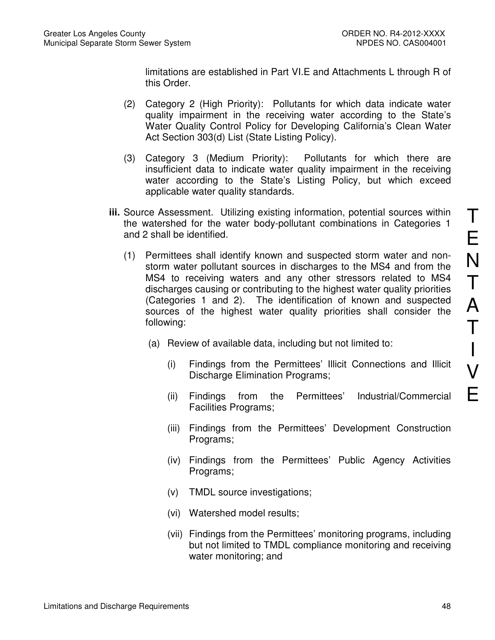limitations are established in Part VI.E and Attachments L through R of this Order.

- (2) Category 2 (High Priority): Pollutants for which data indicate water quality impairment in the receiving water according to the State's Water Quality Control Policy for Developing California's Clean Water Act Section 303(d) List (State Listing Policy).
- (3) Category 3 (Medium Priority): Pollutants for which there are insufficient data to indicate water quality impairment in the receiving water according to the State's Listing Policy, but which exceed applicable water quality standards.
- **iii.** Source Assessment. Utilizing existing information, potential sources within the watershed for the water body-pollutant combinations in Categories 1 and 2 shall be identified.
	- (1) Permittees shall identify known and suspected storm water and nonstorm water pollutant sources in discharges to the MS4 and from the MS4 to receiving waters and any other stressors related to MS4 discharges causing or contributing to the highest water quality priorities (Categories 1 and 2). The identification of known and suspected sources of the highest water quality priorities shall consider the following:
		- (a) Review of available data, including but not limited to:
			- (i) Findings from the Permittees' Illicit Connections and Illicit Discharge Elimination Programs;
			- (ii) Findings from the Permittees' Industrial/Commercial Facilities Programs;
			- (iii) Findings from the Permittees' Development Construction Programs;
			- (iv) Findings from the Permittees' Public Agency Activities Programs;
			- (v) TMDL source investigations;
			- (vi) Watershed model results;
			- (vii) Findings from the Permittees' monitoring programs, including but not limited to TMDL compliance monitoring and receiving water monitoring; and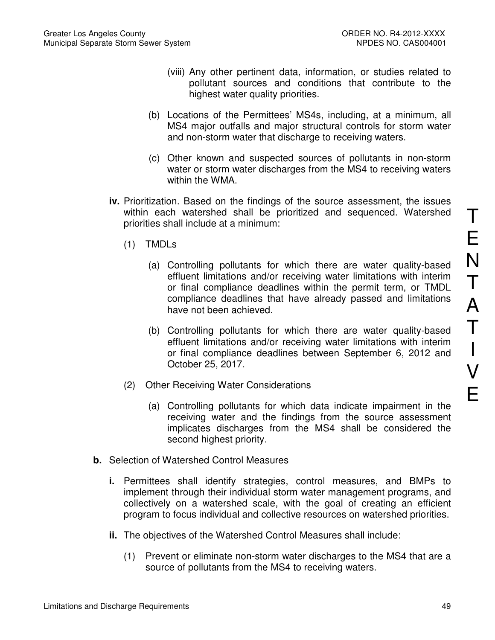- (viii) Any other pertinent data, information, or studies related to pollutant sources and conditions that contribute to the highest water quality priorities.
- (b) Locations of the Permittees' MS4s, including, at a minimum, all MS4 major outfalls and major structural controls for storm water and non-storm water that discharge to receiving waters.
- (c) Other known and suspected sources of pollutants in non-storm water or storm water discharges from the MS4 to receiving waters within the WMA.
- **iv.** Prioritization. Based on the findings of the source assessment, the issues within each watershed shall be prioritized and sequenced. Watershed priorities shall include at a minimum:
	- (1) TMDLs
		- (a) Controlling pollutants for which there are water quality-based effluent limitations and/or receiving water limitations with interim or final compliance deadlines within the permit term, or TMDL compliance deadlines that have already passed and limitations have not been achieved.
		- (b) Controlling pollutants for which there are water quality-based effluent limitations and/or receiving water limitations with interim or final compliance deadlines between September 6, 2012 and October 25, 2017.
	- (2) Other Receiving Water Considerations
		- (a) Controlling pollutants for which data indicate impairment in the receiving water and the findings from the source assessment implicates discharges from the MS4 shall be considered the second highest priority.
- **b.** Selection of Watershed Control Measures
	- **i.** Permittees shall identify strategies, control measures, and BMPs to implement through their individual storm water management programs, and collectively on a watershed scale, with the goal of creating an efficient program to focus individual and collective resources on watershed priorities.
	- **ii.** The objectives of the Watershed Control Measures shall include:
		- (1) Prevent or eliminate non-storm water discharges to the MS4 that are a source of pollutants from the MS4 to receiving waters.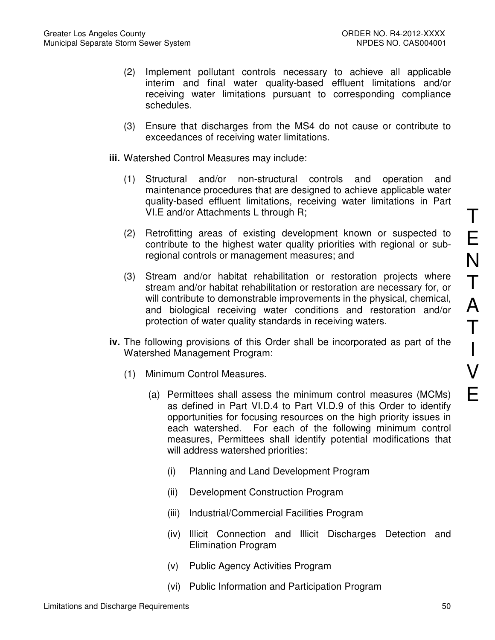- (2) Implement pollutant controls necessary to achieve all applicable interim and final water quality-based effluent limitations and/or receiving water limitations pursuant to corresponding compliance schedules.
- (3) Ensure that discharges from the MS4 do not cause or contribute to exceedances of receiving water limitations.
- **iii.** Watershed Control Measures may include:
	- (1) Structural and/or non-structural controls and operation and maintenance procedures that are designed to achieve applicable water quality-based effluent limitations, receiving water limitations in Part VI.E and/or Attachments L through R;
	- (2) Retrofitting areas of existing development known or suspected to contribute to the highest water quality priorities with regional or subregional controls or management measures; and
	- (3) Stream and/or habitat rehabilitation or restoration projects where stream and/or habitat rehabilitation or restoration are necessary for, or will contribute to demonstrable improvements in the physical, chemical, and biological receiving water conditions and restoration and/or protection of water quality standards in receiving waters.
- **iv.** The following provisions of this Order shall be incorporated as part of the Watershed Management Program:
	- (1) Minimum Control Measures.
		- (a) Permittees shall assess the minimum control measures (MCMs) as defined in Part VI.D.4 to Part VI.D.9 of this Order to identify opportunities for focusing resources on the high priority issues in each watershed. For each of the following minimum control measures, Permittees shall identify potential modifications that will address watershed priorities:
			- (i) Planning and Land Development Program
			- (ii) Development Construction Program
			- (iii) Industrial/Commercial Facilities Program
			- (iv) Illicit Connection and Illicit Discharges Detection and Elimination Program
			- (v) Public Agency Activities Program
			- (vi) Public Information and Participation Program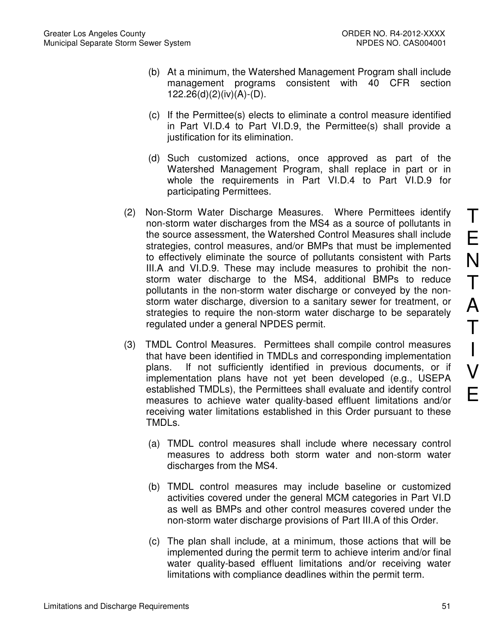- (b) At a minimum, the Watershed Management Program shall include management programs consistent with 40 CFR section 122.26(d)(2)(iv)(A)-(D).
- (c) If the Permittee(s) elects to eliminate a control measure identified in Part VI.D.4 to Part VI.D.9, the Permittee(s) shall provide a justification for its elimination.
- (d) Such customized actions, once approved as part of the Watershed Management Program, shall replace in part or in whole the requirements in Part VI.D.4 to Part VI.D.9 for participating Permittees.
- (2) Non-Storm Water Discharge Measures. Where Permittees identify non-storm water discharges from the MS4 as a source of pollutants in the source assessment, the Watershed Control Measures shall include strategies, control measures, and/or BMPs that must be implemented to effectively eliminate the source of pollutants consistent with Parts III.A and VI.D.9. These may include measures to prohibit the nonstorm water discharge to the MS4, additional BMPs to reduce pollutants in the non-storm water discharge or conveyed by the nonstorm water discharge, diversion to a sanitary sewer for treatment, or strategies to require the non-storm water discharge to be separately regulated under a general NPDES permit.
- (3) TMDL Control Measures. Permittees shall compile control measures that have been identified in TMDLs and corresponding implementation plans. If not sufficiently identified in previous documents, or if implementation plans have not yet been developed (e.g., USEPA established TMDLs), the Permittees shall evaluate and identify control measures to achieve water quality-based effluent limitations and/or receiving water limitations established in this Order pursuant to these TMDLs.
	- (a) TMDL control measures shall include where necessary control measures to address both storm water and non-storm water discharges from the MS4.
	- (b) TMDL control measures may include baseline or customized activities covered under the general MCM categories in Part VI.D as well as BMPs and other control measures covered under the non-storm water discharge provisions of Part III.A of this Order.
	- (c) The plan shall include, at a minimum, those actions that will be implemented during the permit term to achieve interim and/or final water quality-based effluent limitations and/or receiving water limitations with compliance deadlines within the permit term.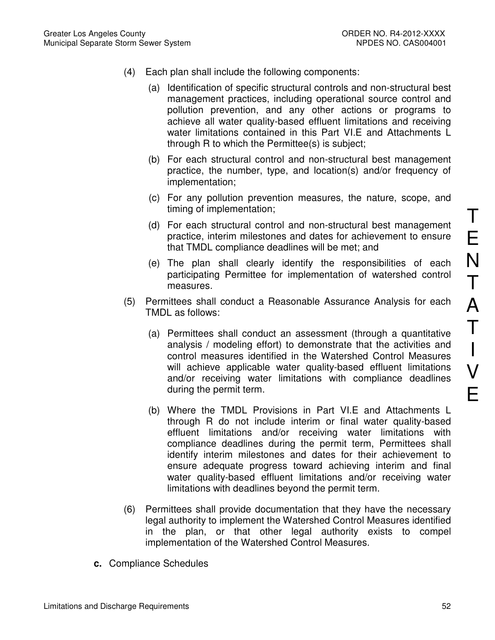- (4) Each plan shall include the following components:
	- (a) Identification of specific structural controls and non-structural best management practices, including operational source control and pollution prevention, and any other actions or programs to achieve all water quality-based effluent limitations and receiving water limitations contained in this Part VI.E and Attachments L through R to which the Permittee(s) is subject;
	- (b) For each structural control and non-structural best management practice, the number, type, and location(s) and/or frequency of implementation;
	- (c) For any pollution prevention measures, the nature, scope, and timing of implementation;
	- (d) For each structural control and non-structural best management practice, interim milestones and dates for achievement to ensure that TMDL compliance deadlines will be met; and
	- (e) The plan shall clearly identify the responsibilities of each participating Permittee for implementation of watershed control measures.
- (5) Permittees shall conduct a Reasonable Assurance Analysis for each TMDL as follows:
	- (a) Permittees shall conduct an assessment (through a quantitative analysis / modeling effort) to demonstrate that the activities and control measures identified in the Watershed Control Measures will achieve applicable water quality-based effluent limitations and/or receiving water limitations with compliance deadlines during the permit term.
	- (b) Where the TMDL Provisions in Part VI.E and Attachments L through R do not include interim or final water quality-based effluent limitations and/or receiving water limitations with compliance deadlines during the permit term, Permittees shall identify interim milestones and dates for their achievement to ensure adequate progress toward achieving interim and final water quality-based effluent limitations and/or receiving water limitations with deadlines beyond the permit term.
- (6) Permittees shall provide documentation that they have the necessary legal authority to implement the Watershed Control Measures identified in the plan, or that other legal authority exists to compel implementation of the Watershed Control Measures.
- **c.** Compliance Schedules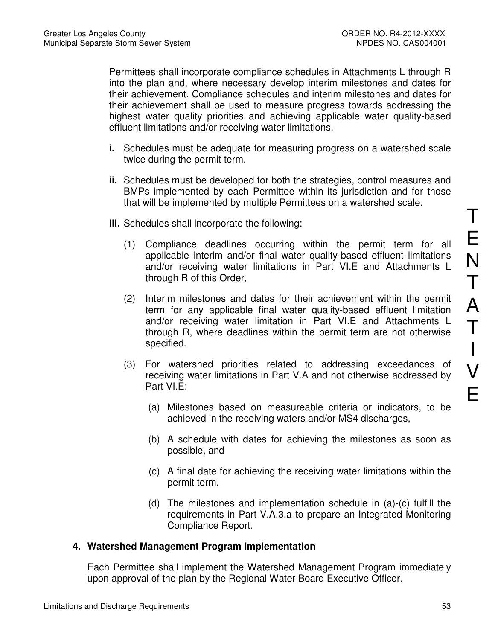Permittees shall incorporate compliance schedules in Attachments L through R into the plan and, where necessary develop interim milestones and dates for their achievement. Compliance schedules and interim milestones and dates for their achievement shall be used to measure progress towards addressing the highest water quality priorities and achieving applicable water quality-based effluent limitations and/or receiving water limitations.

- **i.** Schedules must be adequate for measuring progress on a watershed scale twice during the permit term.
- **ii.** Schedules must be developed for both the strategies, control measures and BMPs implemented by each Permittee within its jurisdiction and for those that will be implemented by multiple Permittees on a watershed scale.
- **iii.** Schedules shall incorporate the following:
	- (1) Compliance deadlines occurring within the permit term for all applicable interim and/or final water quality-based effluent limitations and/or receiving water limitations in Part VI.E and Attachments L through R of this Order,
	- (2) Interim milestones and dates for their achievement within the permit term for any applicable final water quality-based effluent limitation and/or receiving water limitation in Part VI.E and Attachments L through R, where deadlines within the permit term are not otherwise specified.
	- (3) For watershed priorities related to addressing exceedances of receiving water limitations in Part V.A and not otherwise addressed by Part VI.E:
		- (a) Milestones based on measureable criteria or indicators, to be achieved in the receiving waters and/or MS4 discharges,
		- (b) A schedule with dates for achieving the milestones as soon as possible, and
		- (c) A final date for achieving the receiving water limitations within the permit term.
		- (d) The milestones and implementation schedule in (a)-(c) fulfill the requirements in Part V.A.3.a to prepare an Integrated Monitoring Compliance Report.

### **4. Watershed Management Program Implementation**

Each Permittee shall implement the Watershed Management Program immediately upon approval of the plan by the Regional Water Board Executive Officer.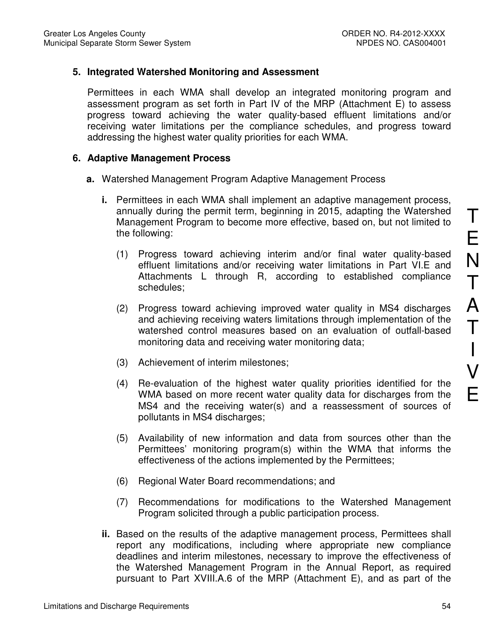## **5. Integrated Watershed Monitoring and Assessment**

Permittees in each WMA shall develop an integrated monitoring program and assessment program as set forth in Part IV of the MRP (Attachment E) to assess progress toward achieving the water quality-based effluent limitations and/or receiving water limitations per the compliance schedules, and progress toward addressing the highest water quality priorities for each WMA.

### **6. Adaptive Management Process**

- **a.** Watershed Management Program Adaptive Management Process
	- **i.** Permittees in each WMA shall implement an adaptive management process, annually during the permit term, beginning in 2015, adapting the Watershed Management Program to become more effective, based on, but not limited to the following:
		- (1) Progress toward achieving interim and/or final water quality-based effluent limitations and/or receiving water limitations in Part VI.E and Attachments L through R, according to established compliance schedules;
		- (2) Progress toward achieving improved water quality in MS4 discharges and achieving receiving waters limitations through implementation of the watershed control measures based on an evaluation of outfall-based monitoring data and receiving water monitoring data;
		- (3) Achievement of interim milestones;
		- (4) Re-evaluation of the highest water quality priorities identified for the WMA based on more recent water quality data for discharges from the MS4 and the receiving water(s) and a reassessment of sources of pollutants in MS4 discharges;
		- (5) Availability of new information and data from sources other than the Permittees' monitoring program(s) within the WMA that informs the effectiveness of the actions implemented by the Permittees;
		- (6) Regional Water Board recommendations; and
		- (7) Recommendations for modifications to the Watershed Management Program solicited through a public participation process.
	- **ii.** Based on the results of the adaptive management process, Permittees shall report any modifications, including where appropriate new compliance deadlines and interim milestones, necessary to improve the effectiveness of the Watershed Management Program in the Annual Report, as required pursuant to Part XVIII.A.6 of the MRP (Attachment E), and as part of the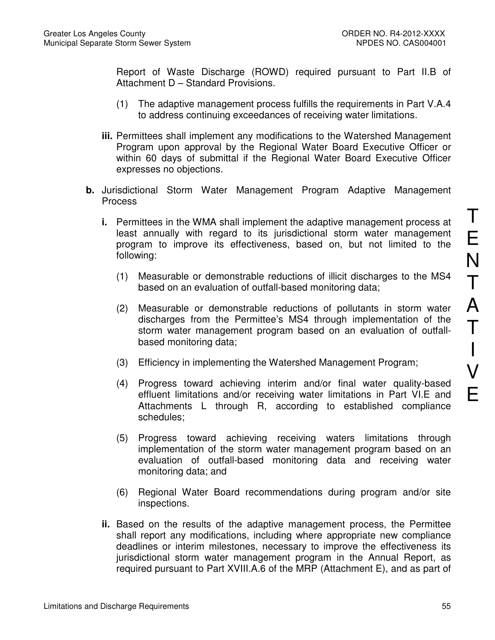Report of Waste Discharge (ROWD) required pursuant to Part II.B of Attachment D – Standard Provisions.

- (1) The adaptive management process fulfills the requirements in Part V.A.4 to address continuing exceedances of receiving water limitations.
- **iii.** Permittees shall implement any modifications to the Watershed Management Program upon approval by the Regional Water Board Executive Officer or within 60 days of submittal if the Regional Water Board Executive Officer expresses no objections.
- **b.** Jurisdictional Storm Water Management Program Adaptive Management Process
	- **i.** Permittees in the WMA shall implement the adaptive management process at least annually with regard to its jurisdictional storm water management program to improve its effectiveness, based on, but not limited to the following:
		- (1) Measurable or demonstrable reductions of illicit discharges to the MS4 based on an evaluation of outfall-based monitoring data;
		- (2) Measurable or demonstrable reductions of pollutants in storm water discharges from the Permittee's MS4 through implementation of the storm water management program based on an evaluation of outfallbased monitoring data;
		- (3) Efficiency in implementing the Watershed Management Program;
		- (4) Progress toward achieving interim and/or final water quality-based effluent limitations and/or receiving water limitations in Part VI.E and Attachments L through R, according to established compliance schedules;
		- (5) Progress toward achieving receiving waters limitations through implementation of the storm water management program based on an evaluation of outfall-based monitoring data and receiving water monitoring data; and
		- (6) Regional Water Board recommendations during program and/or site inspections.
	- **ii.** Based on the results of the adaptive management process, the Permittee shall report any modifications, including where appropriate new compliance deadlines or interim milestones, necessary to improve the effectiveness its jurisdictional storm water management program in the Annual Report, as required pursuant to Part XVIII.A.6 of the MRP (Attachment E), and as part of

T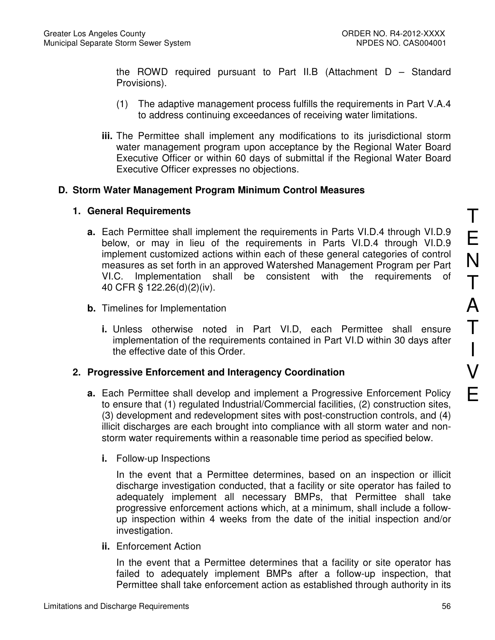the ROWD required pursuant to Part II.B (Attachment D – Standard Provisions).

- (1) The adaptive management process fulfills the requirements in Part V.A.4 to address continuing exceedances of receiving water limitations.
- **iii.** The Permittee shall implement any modifications to its jurisdictional storm water management program upon acceptance by the Regional Water Board Executive Officer or within 60 days of submittal if the Regional Water Board Executive Officer expresses no objections.

### **D. Storm Water Management Program Minimum Control Measures**

### **1. General Requirements**

- **a.** Each Permittee shall implement the requirements in Parts VI.D.4 through VI.D.9 below, or may in lieu of the requirements in Parts VI.D.4 through VI.D.9 implement customized actions within each of these general categories of control measures as set forth in an approved Watershed Management Program per Part VI.C. Implementation shall be consistent with the requirements of 40 CFR § 122.26(d)(2)(iv).
- **b.** Timelines for Implementation
	- **i.** Unless otherwise noted in Part VI.D, each Permittee shall ensure implementation of the requirements contained in Part VI.D within 30 days after the effective date of this Order.

# **2. Progressive Enforcement and Interagency Coordination**

- **a.** Each Permittee shall develop and implement a Progressive Enforcement Policy to ensure that (1) regulated Industrial/Commercial facilities, (2) construction sites, (3) development and redevelopment sites with post-construction controls, and (4) illicit discharges are each brought into compliance with all storm water and nonstorm water requirements within a reasonable time period as specified below.
	- **i.** Follow-up Inspections

In the event that a Permittee determines, based on an inspection or illicit discharge investigation conducted, that a facility or site operator has failed to adequately implement all necessary BMPs, that Permittee shall take progressive enforcement actions which, at a minimum, shall include a followup inspection within 4 weeks from the date of the initial inspection and/or investigation.

**ii.** Enforcement Action

In the event that a Permittee determines that a facility or site operator has failed to adequately implement BMPs after a follow-up inspection, that Permittee shall take enforcement action as established through authority in its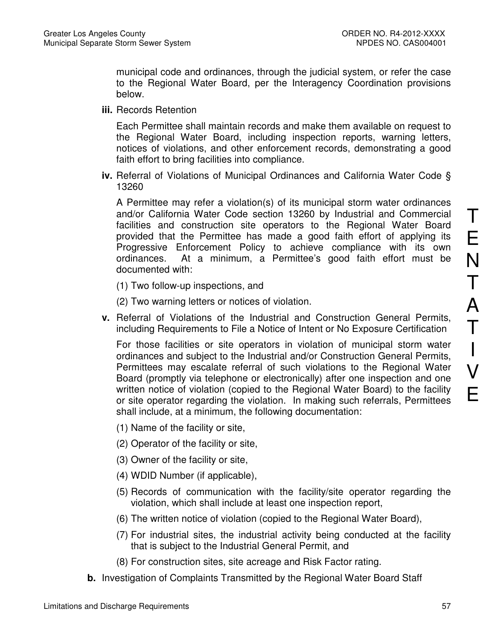municipal code and ordinances, through the judicial system, or refer the case to the Regional Water Board, per the Interagency Coordination provisions below.

**iii.** Records Retention

Each Permittee shall maintain records and make them available on request to the Regional Water Board, including inspection reports, warning letters, notices of violations, and other enforcement records, demonstrating a good faith effort to bring facilities into compliance.

**iv.** Referral of Violations of Municipal Ordinances and California Water Code § 13260

A Permittee may refer a violation(s) of its municipal storm water ordinances and/or California Water Code section 13260 by Industrial and Commercial facilities and construction site operators to the Regional Water Board provided that the Permittee has made a good faith effort of applying its Progressive Enforcement Policy to achieve compliance with its own ordinances. At a minimum, a Permittee's good faith effort must be documented with:

(1) Two follow-up inspections, and

(2) Two warning letters or notices of violation.

**v.** Referral of Violations of the Industrial and Construction General Permits, including Requirements to File a Notice of Intent or No Exposure Certification

For those facilities or site operators in violation of municipal storm water ordinances and subject to the Industrial and/or Construction General Permits, Permittees may escalate referral of such violations to the Regional Water Board (promptly via telephone or electronically) after one inspection and one written notice of violation (copied to the Regional Water Board) to the facility or site operator regarding the violation. In making such referrals, Permittees shall include, at a minimum, the following documentation:

- (1) Name of the facility or site,
- (2) Operator of the facility or site,
- (3) Owner of the facility or site,
- (4) WDID Number (if applicable),
- (5) Records of communication with the facility/site operator regarding the violation, which shall include at least one inspection report,
- (6) The written notice of violation (copied to the Regional Water Board),
- (7) For industrial sites, the industrial activity being conducted at the facility that is subject to the Industrial General Permit, and
- (8) For construction sites, site acreage and Risk Factor rating.
- **b.** Investigation of Complaints Transmitted by the Regional Water Board Staff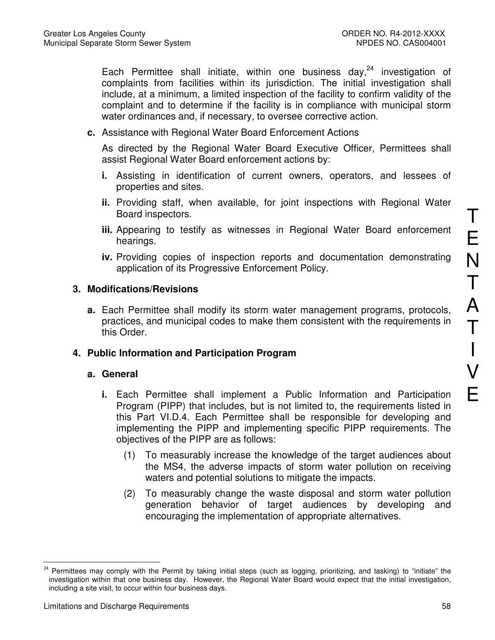Each Permittee shall initiate, within one business day,  $24$  investigation of complaints from facilities within its jurisdiction. The initial investigation shall include, at a minimum, a limited inspection of the facility to confirm validity of the complaint and to determine if the facility is in compliance with municipal storm water ordinances and, if necessary, to oversee corrective action.

**c.** Assistance with Regional Water Board Enforcement Actions

As directed by the Regional Water Board Executive Officer, Permittees shall assist Regional Water Board enforcement actions by:

- **i.** Assisting in identification of current owners, operators, and lessees of properties and sites.
- **ii.** Providing staff, when available, for joint inspections with Regional Water Board inspectors.
- **iii.** Appearing to testify as witnesses in Regional Water Board enforcement hearings.
- **iv.** Providing copies of inspection reports and documentation demonstrating application of its Progressive Enforcement Policy.

### **3. Modifications/Revisions**

**a.** Each Permittee shall modify its storm water management programs, protocols, practices, and municipal codes to make them consistent with the requirements in this Order.

### **4. Public Information and Participation Program**

### **a. General**

- **i.** Each Permittee shall implement a Public Information and Participation Program (PIPP) that includes, but is not limited to, the requirements listed in this Part VI.D.4. Each Permittee shall be responsible for developing and implementing the PIPP and implementing specific PIPP requirements. The objectives of the PIPP are as follows:
	- (1) To measurably increase the knowledge of the target audiences about the MS4, the adverse impacts of storm water pollution on receiving waters and potential solutions to mitigate the impacts.
	- (2) To measurably change the waste disposal and storm water pollution generation behavior of target audiences by developing and encouraging the implementation of appropriate alternatives.

E

 $\overline{a}$ <sup>24</sup> Permittees may comply with the Permit by taking initial steps (such as logging, prioritizing, and tasking) to "initiate" the investigation within that one business day. However, the Regional Water Board would expect that the initial investigation, including a site visit, to occur within four business days.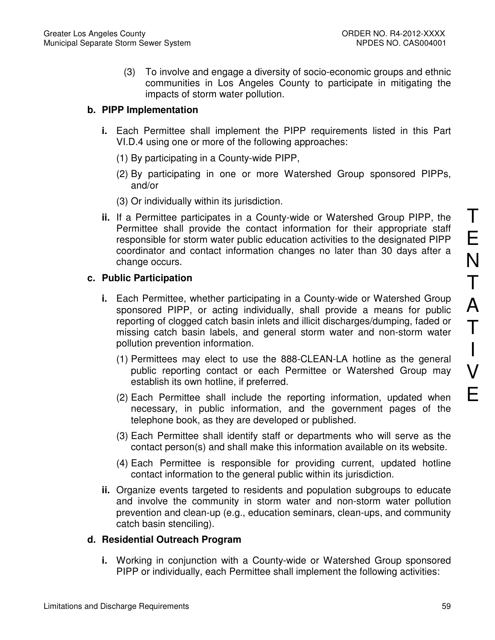(3) To involve and engage a diversity of socio-economic groups and ethnic communities in Los Angeles County to participate in mitigating the impacts of storm water pollution.

# **b. PIPP Implementation**

- **i.** Each Permittee shall implement the PIPP requirements listed in this Part VI.D.4 using one or more of the following approaches:
	- (1) By participating in a County-wide PIPP,
	- (2) By participating in one or more Watershed Group sponsored PIPPs, and/or
	- (3) Or individually within its jurisdiction.
- **ii.** If a Permittee participates in a County-wide or Watershed Group PIPP, the Permittee shall provide the contact information for their appropriate staff responsible for storm water public education activities to the designated PIPP coordinator and contact information changes no later than 30 days after a change occurs.

# **c. Public Participation**

- **i.** Each Permittee, whether participating in a County-wide or Watershed Group sponsored PIPP, or acting individually, shall provide a means for public reporting of clogged catch basin inlets and illicit discharges/dumping, faded or missing catch basin labels, and general storm water and non-storm water pollution prevention information.
	- (1) Permittees may elect to use the 888-CLEAN-LA hotline as the general public reporting contact or each Permittee or Watershed Group may establish its own hotline, if preferred.
	- (2) Each Permittee shall include the reporting information, updated when necessary, in public information, and the government pages of the telephone book, as they are developed or published.
	- (3) Each Permittee shall identify staff or departments who will serve as the contact person(s) and shall make this information available on its website.
	- (4) Each Permittee is responsible for providing current, updated hotline contact information to the general public within its jurisdiction.
- **ii.** Organize events targeted to residents and population subgroups to educate and involve the community in storm water and non-storm water pollution prevention and clean-up (e.g., education seminars, clean-ups, and community catch basin stenciling).

# **d. Residential Outreach Program**

**i.** Working in conjunction with a County-wide or Watershed Group sponsored PIPP or individually, each Permittee shall implement the following activities: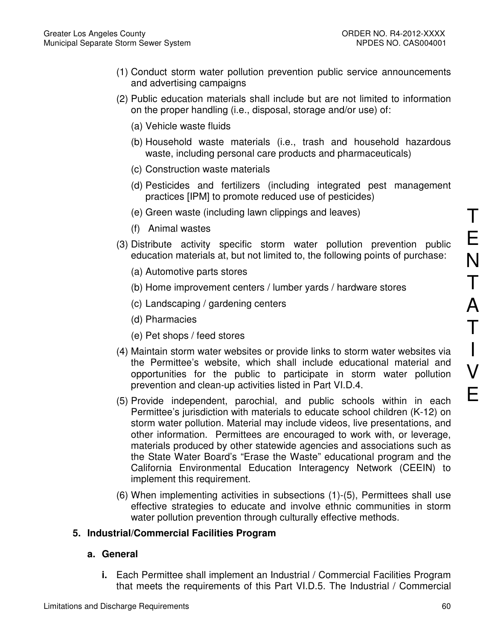- (1) Conduct storm water pollution prevention public service announcements and advertising campaigns
- (2) Public education materials shall include but are not limited to information on the proper handling (i.e., disposal, storage and/or use) of:
	- (a) Vehicle waste fluids
	- (b) Household waste materials (i.e., trash and household hazardous waste, including personal care products and pharmaceuticals)
	- (c) Construction waste materials
	- (d) Pesticides and fertilizers (including integrated pest management practices [IPM] to promote reduced use of pesticides)
	- (e) Green waste (including lawn clippings and leaves)
	- (f) Animal wastes
- (3) Distribute activity specific storm water pollution prevention public education materials at, but not limited to, the following points of purchase:
	- (a) Automotive parts stores
	- (b) Home improvement centers / lumber yards / hardware stores
	- (c) Landscaping / gardening centers
	- (d) Pharmacies
	- (e) Pet shops / feed stores
- (4) Maintain storm water websites or provide links to storm water websites via the Permittee's website, which shall include educational material and opportunities for the public to participate in storm water pollution prevention and clean-up activities listed in Part VI.D.4.
- (5) Provide independent, parochial, and public schools within in each Permittee's jurisdiction with materials to educate school children (K-12) on storm water pollution. Material may include videos, live presentations, and other information. Permittees are encouraged to work with, or leverage, materials produced by other statewide agencies and associations such as the State Water Board's "Erase the Waste" educational program and the California Environmental Education Interagency Network (CEEIN) to implement this requirement.
- (6) When implementing activities in subsections (1)-(5), Permittees shall use effective strategies to educate and involve ethnic communities in storm water pollution prevention through culturally effective methods.

# **5. Industrial/Commercial Facilities Program**

### **a. General**

**i.** Each Permittee shall implement an Industrial / Commercial Facilities Program that meets the requirements of this Part VI.D.5. The Industrial / Commercial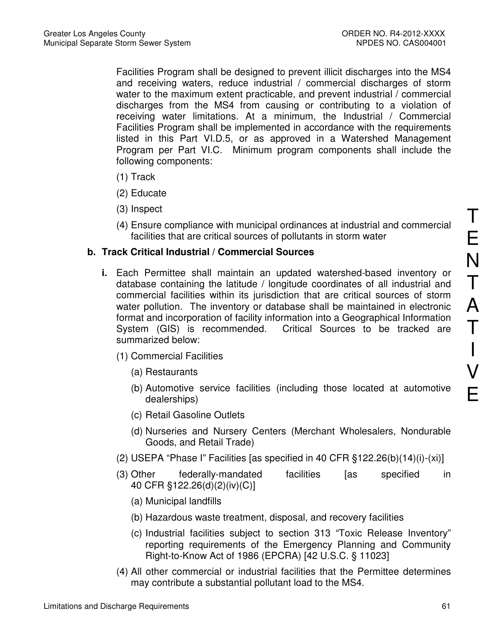Facilities Program shall be designed to prevent illicit discharges into the MS4 and receiving waters, reduce industrial / commercial discharges of storm water to the maximum extent practicable, and prevent industrial / commercial discharges from the MS4 from causing or contributing to a violation of receiving water limitations. At a minimum, the Industrial / Commercial Facilities Program shall be implemented in accordance with the requirements listed in this Part VI.D.5, or as approved in a Watershed Management Program per Part VI.C. Minimum program components shall include the following components:

- (1) Track
- (2) Educate
- (3) Inspect
- (4) Ensure compliance with municipal ordinances at industrial and commercial facilities that are critical sources of pollutants in storm water

# **b. Track Critical Industrial / Commercial Sources**

- **i.** Each Permittee shall maintain an updated watershed-based inventory or database containing the latitude / longitude coordinates of all industrial and commercial facilities within its jurisdiction that are critical sources of storm water pollution. The inventory or database shall be maintained in electronic format and incorporation of facility information into a Geographical Information System (GIS) is recommended. Critical Sources to be tracked are summarized below:
	- (1) Commercial Facilities
		- (a) Restaurants
		- (b) Automotive service facilities (including those located at automotive dealerships)
		- (c) Retail Gasoline Outlets
		- (d) Nurseries and Nursery Centers (Merchant Wholesalers, Nondurable Goods, and Retail Trade)
	- (2) USEPA "Phase I" Facilities [as specified in 40 CFR §122.26(b)(14)(i)-(xi)]
	- (3) Other federally-mandated facilities [as specified in 40 CFR §122.26(d)(2)(iv)(C)]
		- (a) Municipal landfills
		- (b) Hazardous waste treatment, disposal, and recovery facilities
		- (c) Industrial facilities subject to section 313 "Toxic Release Inventory" reporting requirements of the Emergency Planning and Community Right-to-Know Act of 1986 (EPCRA) [42 U.S.C. § 11023]
	- (4) All other commercial or industrial facilities that the Permittee determines may contribute a substantial pollutant load to the MS4.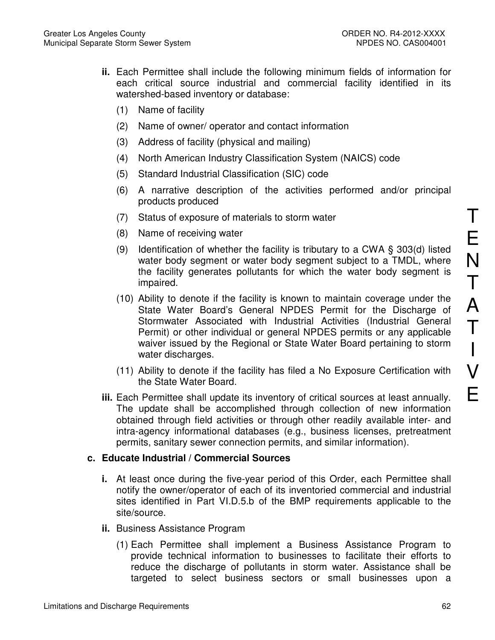- **ii.** Each Permittee shall include the following minimum fields of information for each critical source industrial and commercial facility identified in its watershed-based inventory or database:
	- (1) Name of facility
	- (2) Name of owner/ operator and contact information
	- (3) Address of facility (physical and mailing)
	- (4) North American Industry Classification System (NAICS) code
	- (5) Standard Industrial Classification (SIC) code
	- (6) A narrative description of the activities performed and/or principal products produced
	- (7) Status of exposure of materials to storm water
	- (8) Name of receiving water
	- (9) Identification of whether the facility is tributary to a CWA  $\S$  303(d) listed water body segment or water body segment subject to a TMDL, where the facility generates pollutants for which the water body segment is impaired.
	- (10) Ability to denote if the facility is known to maintain coverage under the State Water Board's General NPDES Permit for the Discharge of Stormwater Associated with Industrial Activities (Industrial General Permit) or other individual or general NPDES permits or any applicable waiver issued by the Regional or State Water Board pertaining to storm water discharges.
	- (11) Ability to denote if the facility has filed a No Exposure Certification with the State Water Board.
- **iii.** Each Permittee shall update its inventory of critical sources at least annually. The update shall be accomplished through collection of new information obtained through field activities or through other readily available inter- and intra-agency informational databases (e.g., business licenses, pretreatment permits, sanitary sewer connection permits, and similar information).

# **c. Educate Industrial / Commercial Sources**

- **i.** At least once during the five-year period of this Order, each Permittee shall notify the owner/operator of each of its inventoried commercial and industrial sites identified in Part VI.D.5.b of the BMP requirements applicable to the site/source.
- **ii.** Business Assistance Program
	- (1) Each Permittee shall implement a Business Assistance Program to provide technical information to businesses to facilitate their efforts to reduce the discharge of pollutants in storm water. Assistance shall be targeted to select business sectors or small businesses upon a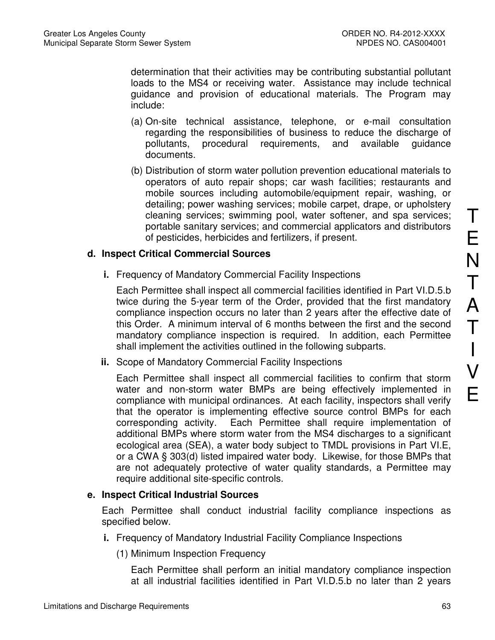determination that their activities may be contributing substantial pollutant loads to the MS4 or receiving water. Assistance may include technical guidance and provision of educational materials. The Program may include:

- (a) On-site technical assistance, telephone, or e-mail consultation regarding the responsibilities of business to reduce the discharge of pollutants, procedural requirements, and available guidance documents.
- (b) Distribution of storm water pollution prevention educational materials to operators of auto repair shops; car wash facilities; restaurants and mobile sources including automobile/equipment repair, washing, or detailing; power washing services; mobile carpet, drape, or upholstery cleaning services; swimming pool, water softener, and spa services; portable sanitary services; and commercial applicators and distributors of pesticides, herbicides and fertilizers, if present.

### **d. Inspect Critical Commercial Sources**

**i.** Frequency of Mandatory Commercial Facility Inspections

Each Permittee shall inspect all commercial facilities identified in Part VI.D.5.b twice during the 5-year term of the Order, provided that the first mandatory compliance inspection occurs no later than 2 years after the effective date of this Order. A minimum interval of 6 months between the first and the second mandatory compliance inspection is required. In addition, each Permittee shall implement the activities outlined in the following subparts.

**ii.** Scope of Mandatory Commercial Facility Inspections

Each Permittee shall inspect all commercial facilities to confirm that storm water and non-storm water BMPs are being effectively implemented in compliance with municipal ordinances. At each facility, inspectors shall verify that the operator is implementing effective source control BMPs for each corresponding activity. Each Permittee shall require implementation of additional BMPs where storm water from the MS4 discharges to a significant ecological area (SEA), a water body subject to TMDL provisions in Part VI.E, or a CWA § 303(d) listed impaired water body. Likewise, for those BMPs that are not adequately protective of water quality standards, a Permittee may require additional site-specific controls.

### **e. Inspect Critical Industrial Sources**

Each Permittee shall conduct industrial facility compliance inspections as specified below.

- **i.** Frequency of Mandatory Industrial Facility Compliance Inspections
	- (1) Minimum Inspection Frequency

Each Permittee shall perform an initial mandatory compliance inspection at all industrial facilities identified in Part VI.D.5.b no later than 2 years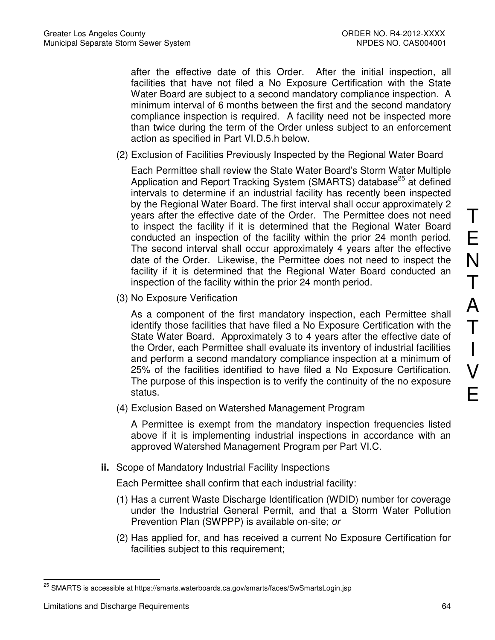after the effective date of this Order. After the initial inspection, all facilities that have not filed a No Exposure Certification with the State Water Board are subject to a second mandatory compliance inspection. A minimum interval of 6 months between the first and the second mandatory compliance inspection is required. A facility need not be inspected more than twice during the term of the Order unless subject to an enforcement action as specified in Part VI.D.5.h below.

(2) Exclusion of Facilities Previously Inspected by the Regional Water Board

Each Permittee shall review the State Water Board's Storm Water Multiple Application and Report Tracking System (SMARTS) database<sup>25</sup> at defined intervals to determine if an industrial facility has recently been inspected by the Regional Water Board. The first interval shall occur approximately 2 years after the effective date of the Order. The Permittee does not need to inspect the facility if it is determined that the Regional Water Board conducted an inspection of the facility within the prior 24 month period. The second interval shall occur approximately 4 years after the effective date of the Order. Likewise, the Permittee does not need to inspect the facility if it is determined that the Regional Water Board conducted an inspection of the facility within the prior 24 month period.

(3) No Exposure Verification

As a component of the first mandatory inspection, each Permittee shall identify those facilities that have filed a No Exposure Certification with the State Water Board. Approximately 3 to 4 years after the effective date of the Order, each Permittee shall evaluate its inventory of industrial facilities and perform a second mandatory compliance inspection at a minimum of 25% of the facilities identified to have filed a No Exposure Certification. The purpose of this inspection is to verify the continuity of the no exposure status.

(4) Exclusion Based on Watershed Management Program

A Permittee is exempt from the mandatory inspection frequencies listed above if it is implementing industrial inspections in accordance with an approved Watershed Management Program per Part VI.C.

**ii.** Scope of Mandatory Industrial Facility Inspections

Each Permittee shall confirm that each industrial facility:

- (1) Has a current Waste Discharge Identification (WDID) number for coverage under the Industrial General Permit, and that a Storm Water Pollution Prevention Plan (SWPPP) is available on-site; or
- (2) Has applied for, and has received a current No Exposure Certification for facilities subject to this requirement;

T

E

N

 $\overline{a}$ <sup>25</sup> SMARTS is accessible at https://smarts.waterboards.ca.gov/smarts/faces/SwSmartsLogin.jsp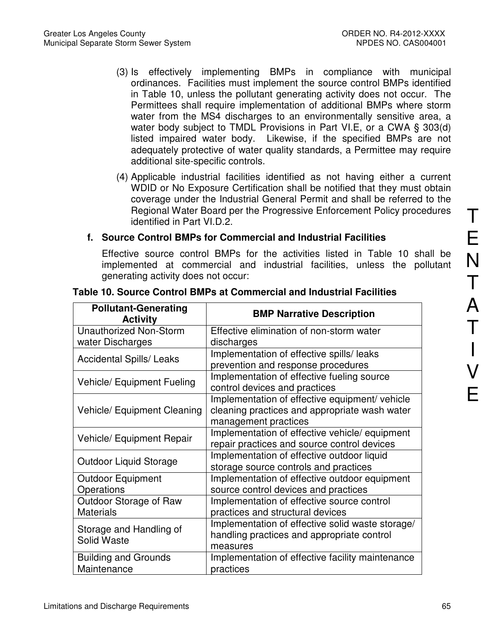- (3) Is effectively implementing BMPs in compliance with municipal ordinances. Facilities must implement the source control BMPs identified in Table 10, unless the pollutant generating activity does not occur. The Permittees shall require implementation of additional BMPs where storm water from the MS4 discharges to an environmentally sensitive area, a water body subject to TMDL Provisions in Part VI.E, or a CWA § 303(d) listed impaired water body. Likewise, if the specified BMPs are not adequately protective of water quality standards, a Permittee may require additional site-specific controls.
- (4) Applicable industrial facilities identified as not having either a current WDID or No Exposure Certification shall be notified that they must obtain coverage under the Industrial General Permit and shall be referred to the Regional Water Board per the Progressive Enforcement Policy procedures identified in Part VI.D.2.

# **f. Source Control BMPs for Commercial and Industrial Facilities**

Effective source control BMPs for the activities listed in Table 10 shall be implemented at commercial and industrial facilities, unless the pollutant generating activity does not occur:

| <b>Pollutant-Generating</b><br><b>Activity</b> | <b>BMP Narrative Description</b>                                                                                        |
|------------------------------------------------|-------------------------------------------------------------------------------------------------------------------------|
| <b>Unauthorized Non-Storm</b>                  | Effective elimination of non-storm water                                                                                |
| water Discharges                               | discharges                                                                                                              |
| <b>Accidental Spills/ Leaks</b>                | Implementation of effective spills/ leaks<br>prevention and response procedures                                         |
| <b>Vehicle/ Equipment Fueling</b>              | Implementation of effective fueling source<br>control devices and practices                                             |
| <b>Vehicle/ Equipment Cleaning</b>             | Implementation of effective equipment/ vehicle<br>cleaning practices and appropriate wash water<br>management practices |
| <b>Vehicle/ Equipment Repair</b>               | Implementation of effective vehicle/ equipment<br>repair practices and source control devices                           |
| Outdoor Liquid Storage                         | Implementation of effective outdoor liquid<br>storage source controls and practices                                     |
| <b>Outdoor Equipment</b><br>Operations         | Implementation of effective outdoor equipment<br>source control devices and practices                                   |
| Outdoor Storage of Raw<br><b>Materials</b>     | Implementation of effective source control<br>practices and structural devices                                          |
| Storage and Handling of<br><b>Solid Waste</b>  | Implementation of effective solid waste storage/<br>handling practices and appropriate control<br>measures              |
| <b>Building and Grounds</b><br>Maintenance     | Implementation of effective facility maintenance<br>practices                                                           |

# **Table 10. Source Control BMPs at Commercial and Industrial Facilities**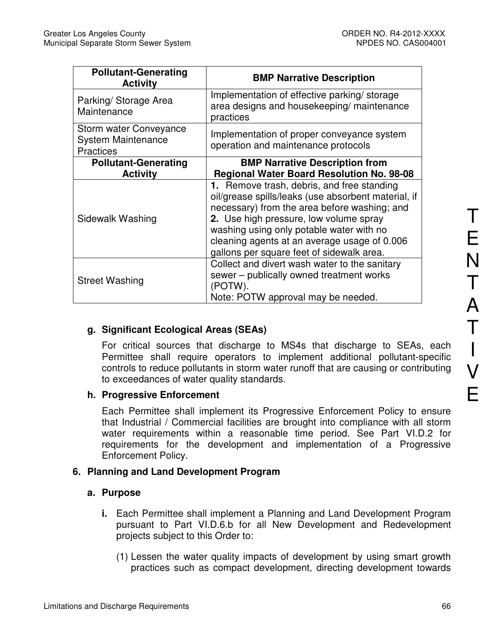| <b>Pollutant-Generating</b><br><b>Activity</b>                          | <b>BMP Narrative Description</b>                                                                                                                                                                                                                                                                                                     |
|-------------------------------------------------------------------------|--------------------------------------------------------------------------------------------------------------------------------------------------------------------------------------------------------------------------------------------------------------------------------------------------------------------------------------|
| Parking/ Storage Area<br>Maintenance                                    | Implementation of effective parking/storage<br>area designs and housekeeping/ maintenance<br>practices                                                                                                                                                                                                                               |
| Storm water Conveyance<br><b>System Maintenance</b><br><b>Practices</b> | Implementation of proper conveyance system<br>operation and maintenance protocols                                                                                                                                                                                                                                                    |
| <b>Pollutant-Generating</b>                                             | <b>BMP Narrative Description from</b>                                                                                                                                                                                                                                                                                                |
| <b>Activity</b>                                                         | <b>Regional Water Board Resolution No. 98-08</b>                                                                                                                                                                                                                                                                                     |
| Sidewalk Washing                                                        | 1. Remove trash, debris, and free standing<br>oil/grease spills/leaks (use absorbent material, if<br>necessary) from the area before washing; and<br>2. Use high pressure, low volume spray<br>washing using only potable water with no<br>cleaning agents at an average usage of 0.006<br>gallons per square feet of sidewalk area. |
| <b>Street Washing</b>                                                   | Collect and divert wash water to the sanitary<br>sewer - publically owned treatment works<br>(POTW).<br>Note: POTW approval may be needed.                                                                                                                                                                                           |

# **g. Significant Ecological Areas (SEAs)**

For critical sources that discharge to MS4s that discharge to SEAs, each Permittee shall require operators to implement additional pollutant-specific controls to reduce pollutants in storm water runoff that are causing or contributing to exceedances of water quality standards.

# **h. Progressive Enforcement**

Each Permittee shall implement its Progressive Enforcement Policy to ensure that Industrial / Commercial facilities are brought into compliance with all storm water requirements within a reasonable time period. See Part VI.D.2 for requirements for the development and implementation of a Progressive Enforcement Policy.

# **6. Planning and Land Development Program**

# **a. Purpose**

- **i.** Each Permittee shall implement a Planning and Land Development Program pursuant to Part VI.D.6.b for all New Development and Redevelopment projects subject to this Order to:
	- (1) Lessen the water quality impacts of development by using smart growth practices such as compact development, directing development towards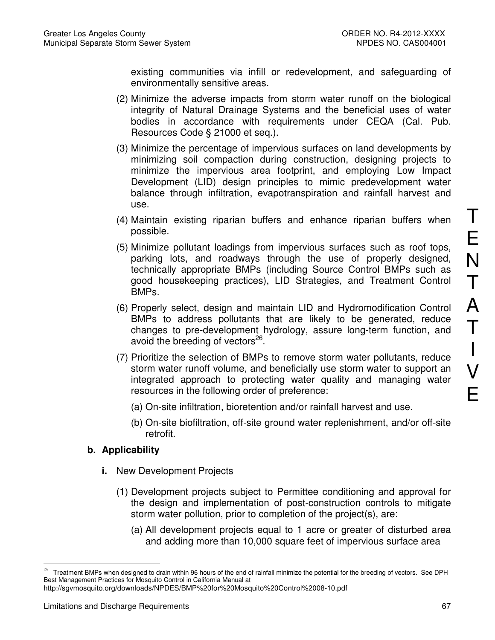existing communities via infill or redevelopment, and safeguarding of environmentally sensitive areas.

- (2) Minimize the adverse impacts from storm water runoff on the biological integrity of Natural Drainage Systems and the beneficial uses of water bodies in accordance with requirements under CEQA (Cal. Pub. Resources Code § 21000 et seq.).
- (3) Minimize the percentage of impervious surfaces on land developments by minimizing soil compaction during construction, designing projects to minimize the impervious area footprint, and employing Low Impact Development (LID) design principles to mimic predevelopment water balance through infiltration, evapotranspiration and rainfall harvest and use.
- (4) Maintain existing riparian buffers and enhance riparian buffers when possible.
- (5) Minimize pollutant loadings from impervious surfaces such as roof tops, parking lots, and roadways through the use of properly designed, technically appropriate BMPs (including Source Control BMPs such as good housekeeping practices), LID Strategies, and Treatment Control BMPs.
- (6) Properly select, design and maintain LID and Hydromodification Control BMPs to address pollutants that are likely to be generated, reduce changes to pre-development hydrology, assure long-term function, and avoid the breeding of vectors $^{26}$ .
- (7) Prioritize the selection of BMPs to remove storm water pollutants, reduce storm water runoff volume, and beneficially use storm water to support an integrated approach to protecting water quality and managing water resources in the following order of preference:
	- (a) On-site infiltration, bioretention and/or rainfall harvest and use.
	- (b) On-site biofiltration, off-site ground water replenishment, and/or off-site retrofit.

# **b. Applicability**

- **i.** New Development Projects
	- (1) Development projects subject to Permittee conditioning and approval for the design and implementation of post-construction controls to mitigate storm water pollution, prior to completion of the project(s), are:
		- (a) All development projects equal to 1 acre or greater of disturbed area and adding more than 10,000 square feet of impervious surface area

http://sgvmosquito.org/downloads/NPDES/BMP%20for%20Mosquito%20Control%2008-10.pdf

<u>.</u>

<sup>26</sup> Treatment BMPs when designed to drain within 96 hours of the end of rainfall minimize the potential for the breeding of vectors. See DPH Best Management Practices for Mosquito Control in California Manual at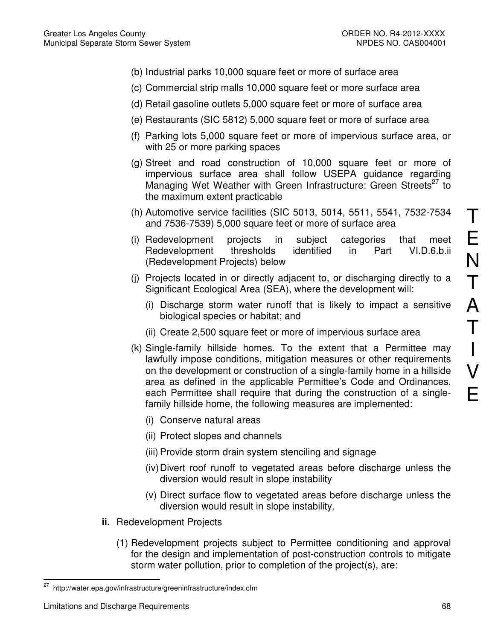- (b) Industrial parks 10,000 square feet or more of surface area
- (c) Commercial strip malls 10,000 square feet or more surface area
- (d) Retail gasoline outlets 5,000 square feet or more of surface area
- (e) Restaurants (SIC 5812) 5,000 square feet or more of surface area
- (f) Parking lots 5,000 square feet or more of impervious surface area, or with 25 or more parking spaces
- (g) Street and road construction of 10,000 square feet or more of impervious surface area shall follow USEPA guidance regarding Managing Wet Weather with Green Infrastructure: Green Streets<sup>27</sup> to the maximum extent practicable
- (h) Automotive service facilities (SIC 5013, 5014, 5511, 5541, 7532-7534 and 7536-7539) 5,000 square feet or more of surface area
- (i) Redevelopment projects in subject categories that meet Redevelopment thresholds identified in Part VI.D.6.b.ii (Redevelopment Projects) below
- (j) Projects located in or directly adjacent to, or discharging directly to a Significant Ecological Area (SEA), where the development will:
	- (i) Discharge storm water runoff that is likely to impact a sensitive biological species or habitat; and
	- (ii) Create 2,500 square feet or more of impervious surface area
- (k) Single-family hillside homes. To the extent that a Permittee may lawfully impose conditions, mitigation measures or other requirements on the development or construction of a single-family home in a hillside area as defined in the applicable Permittee's Code and Ordinances, each Permittee shall require that during the construction of a singlefamily hillside home, the following measures are implemented:
	- (i) Conserve natural areas
	- (ii) Protect slopes and channels
	- (iii) Provide storm drain system stenciling and signage
	- (iv) Divert roof runoff to vegetated areas before discharge unless the diversion would result in slope instability
	- (v) Direct surface flow to vegetated areas before discharge unless the diversion would result in slope instability.
- **ii.** Redevelopment Projects
	- (1) Redevelopment projects subject to Permittee conditioning and approval for the design and implementation of post-construction controls to mitigate storm water pollution, prior to completion of the project(s), are:

T

E

N

T

<sup>27</sup> <sup>27</sup> http://water.epa.gov/infrastructure/greeninfrastructure/index.cfm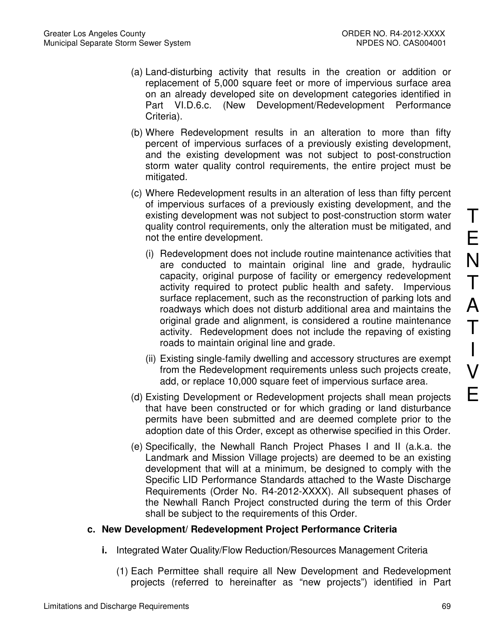- (a) Land-disturbing activity that results in the creation or addition or replacement of 5,000 square feet or more of impervious surface area on an already developed site on development categories identified in Part VI.D.6.c. (New Development/Redevelopment Performance Criteria).
- (b) Where Redevelopment results in an alteration to more than fifty percent of impervious surfaces of a previously existing development, and the existing development was not subject to post-construction storm water quality control requirements, the entire project must be mitigated.
- (c) Where Redevelopment results in an alteration of less than fifty percent of impervious surfaces of a previously existing development, and the existing development was not subject to post-construction storm water quality control requirements, only the alteration must be mitigated, and not the entire development.
	- (i) Redevelopment does not include routine maintenance activities that are conducted to maintain original line and grade, hydraulic capacity, original purpose of facility or emergency redevelopment activity required to protect public health and safety. Impervious surface replacement, such as the reconstruction of parking lots and roadways which does not disturb additional area and maintains the original grade and alignment, is considered a routine maintenance activity. Redevelopment does not include the repaving of existing roads to maintain original line and grade.
	- (ii) Existing single-family dwelling and accessory structures are exempt from the Redevelopment requirements unless such projects create, add, or replace 10,000 square feet of impervious surface area.
- (d) Existing Development or Redevelopment projects shall mean projects that have been constructed or for which grading or land disturbance permits have been submitted and are deemed complete prior to the adoption date of this Order, except as otherwise specified in this Order.
- (e) Specifically, the Newhall Ranch Project Phases I and II (a.k.a. the Landmark and Mission Village projects) are deemed to be an existing development that will at a minimum, be designed to comply with the Specific LID Performance Standards attached to the Waste Discharge Requirements (Order No. R4-2012-XXXX). All subsequent phases of the Newhall Ranch Project constructed during the term of this Order shall be subject to the requirements of this Order.

# **c. New Development/ Redevelopment Project Performance Criteria**

- **i.** Integrated Water Quality/Flow Reduction/Resources Management Criteria
	- (1) Each Permittee shall require all New Development and Redevelopment projects (referred to hereinafter as "new projects") identified in Part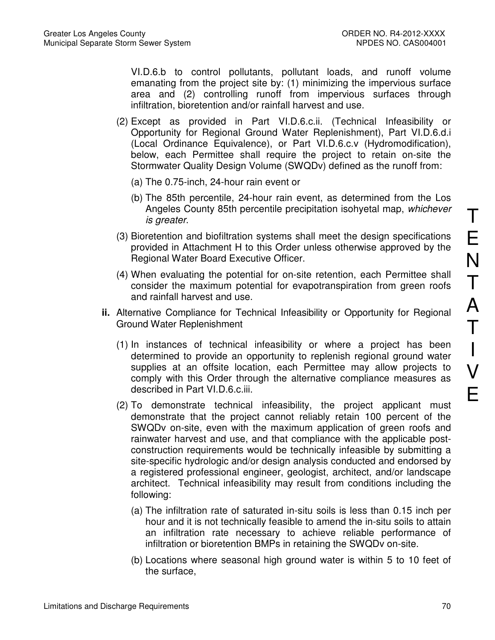VI.D.6.b to control pollutants, pollutant loads, and runoff volume emanating from the project site by: (1) minimizing the impervious surface area and (2) controlling runoff from impervious surfaces through infiltration, bioretention and/or rainfall harvest and use.

- (2) Except as provided in Part VI.D.6.c.ii. (Technical Infeasibility or Opportunity for Regional Ground Water Replenishment), Part VI.D.6.d.i (Local Ordinance Equivalence), or Part VI.D.6.c.v (Hydromodification), below, each Permittee shall require the project to retain on-site the Stormwater Quality Design Volume (SWQDv) defined as the runoff from:
	- (a) The 0.75-inch, 24-hour rain event or
	- (b) The 85th percentile, 24-hour rain event, as determined from the Los Angeles County 85th percentile precipitation isohyetal map, whichever is greater.
- (3) Bioretention and biofiltration systems shall meet the design specifications provided in Attachment H to this Order unless otherwise approved by the Regional Water Board Executive Officer.
- (4) When evaluating the potential for on-site retention, each Permittee shall consider the maximum potential for evapotranspiration from green roofs and rainfall harvest and use.
- **ii.** Alternative Compliance for Technical Infeasibility or Opportunity for Regional Ground Water Replenishment
	- (1) In instances of technical infeasibility or where a project has been determined to provide an opportunity to replenish regional ground water supplies at an offsite location, each Permittee may allow projects to comply with this Order through the alternative compliance measures as described in Part VI.D.6.c.iii.
	- (2) To demonstrate technical infeasibility, the project applicant must demonstrate that the project cannot reliably retain 100 percent of the SWQDv on-site, even with the maximum application of green roofs and rainwater harvest and use, and that compliance with the applicable postconstruction requirements would be technically infeasible by submitting a site-specific hydrologic and/or design analysis conducted and endorsed by a registered professional engineer, geologist, architect, and/or landscape architect. Technical infeasibility may result from conditions including the following:
		- (a) The infiltration rate of saturated in-situ soils is less than 0.15 inch per hour and it is not technically feasible to amend the in-situ soils to attain an infiltration rate necessary to achieve reliable performance of infiltration or bioretention BMPs in retaining the SWQDv on-site.
		- (b) Locations where seasonal high ground water is within 5 to 10 feet of the surface,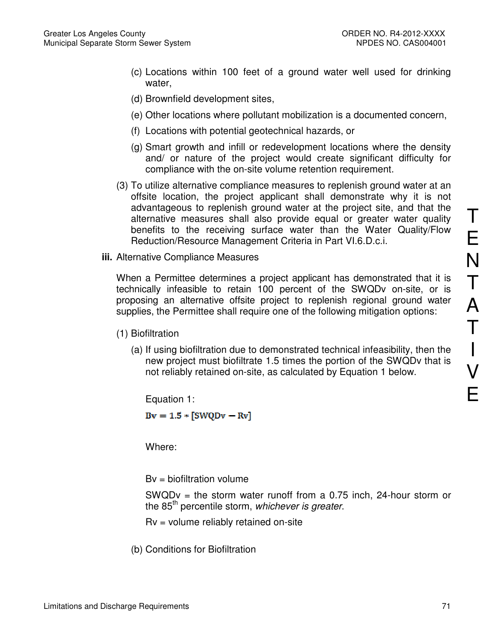- (c) Locations within 100 feet of a ground water well used for drinking water,
- (d) Brownfield development sites,
- (e) Other locations where pollutant mobilization is a documented concern,
- (f) Locations with potential geotechnical hazards, or
- (g) Smart growth and infill or redevelopment locations where the density and/ or nature of the project would create significant difficulty for compliance with the on-site volume retention requirement.
- (3) To utilize alternative compliance measures to replenish ground water at an offsite location, the project applicant shall demonstrate why it is not advantageous to replenish ground water at the project site, and that the alternative measures shall also provide equal or greater water quality benefits to the receiving surface water than the Water Quality/Flow Reduction/Resource Management Criteria in Part VI.6.D.c.i.
- **iii.** Alternative Compliance Measures

When a Permittee determines a project applicant has demonstrated that it is technically infeasible to retain 100 percent of the SWQDv on-site, or is proposing an alternative offsite project to replenish regional ground water supplies, the Permittee shall require one of the following mitigation options:

- (1) Biofiltration
	- (a) If using biofiltration due to demonstrated technical infeasibility, then the new project must biofiltrate 1.5 times the portion of the SWQDv that is not reliably retained on-site, as calculated by Equation 1 below.

Equation 1:

 $Bv = 1.5$  \*  $[SWQDv - Rv]$ 

Where:

 $Bv = biofiltration volume$ 

SWQDv = the storm water runoff from a  $0.75$  inch, 24-hour storm or the 85<sup>th</sup> percentile storm, whichever is greater.

Rv = volume reliably retained on-site

(b) Conditions for Biofiltration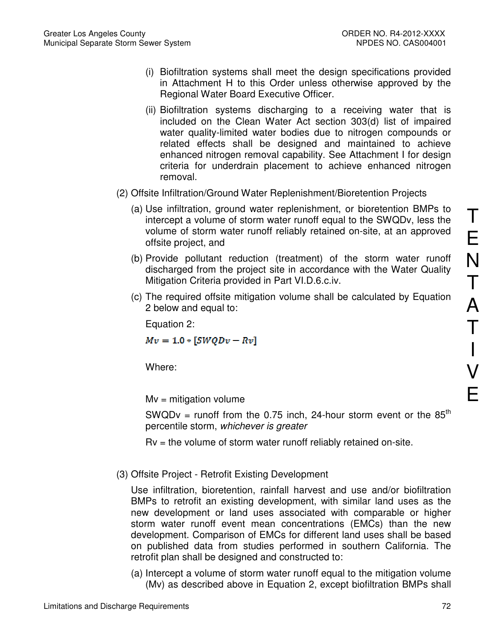- (i) Biofiltration systems shall meet the design specifications provided in Attachment H to this Order unless otherwise approved by the Regional Water Board Executive Officer.
- (ii) Biofiltration systems discharging to a receiving water that is included on the Clean Water Act section 303(d) list of impaired water quality-limited water bodies due to nitrogen compounds or related effects shall be designed and maintained to achieve enhanced nitrogen removal capability. See Attachment I for design criteria for underdrain placement to achieve enhanced nitrogen removal.
- (2) Offsite Infiltration/Ground Water Replenishment/Bioretention Projects
	- (a) Use infiltration, ground water replenishment, or bioretention BMPs to intercept a volume of storm water runoff equal to the SWQDv, less the volume of storm water runoff reliably retained on-site, at an approved offsite project, and
	- (b) Provide pollutant reduction (treatment) of the storm water runoff discharged from the project site in accordance with the Water Quality Mitigation Criteria provided in Part VI.D.6.c.iv.
	- (c) The required offsite mitigation volume shall be calculated by Equation 2 below and equal to:

Equation 2:

 $Mv = 1.0 \cdot [SWQDv - Rv]$ 

Where:

 $Mv =$  mitigation volume

SWQDv = runoff from the 0.75 inch, 24-hour storm event or the  $85<sup>th</sup>$ percentile storm, whichever is greater

 $Rv =$  the volume of storm water runoff reliably retained on-site.

(3) Offsite Project - Retrofit Existing Development

Use infiltration, bioretention, rainfall harvest and use and/or biofiltration BMPs to retrofit an existing development, with similar land uses as the new development or land uses associated with comparable or higher storm water runoff event mean concentrations (EMCs) than the new development. Comparison of EMCs for different land uses shall be based on published data from studies performed in southern California. The retrofit plan shall be designed and constructed to:

(a) Intercept a volume of storm water runoff equal to the mitigation volume (Mv) as described above in Equation 2, except biofiltration BMPs shall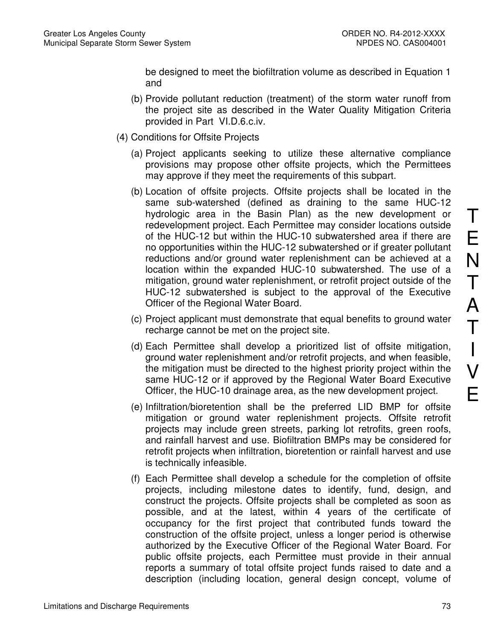be designed to meet the biofiltration volume as described in Equation 1 and

- (b) Provide pollutant reduction (treatment) of the storm water runoff from the project site as described in the Water Quality Mitigation Criteria provided in Part VI.D.6.c.iv.
- (4) Conditions for Offsite Projects
	- (a) Project applicants seeking to utilize these alternative compliance provisions may propose other offsite projects, which the Permittees may approve if they meet the requirements of this subpart.
	- (b) Location of offsite projects. Offsite projects shall be located in the same sub-watershed (defined as draining to the same HUC-12 hydrologic area in the Basin Plan) as the new development or redevelopment project. Each Permittee may consider locations outside of the HUC-12 but within the HUC-10 subwatershed area if there are no opportunities within the HUC-12 subwatershed or if greater pollutant reductions and/or ground water replenishment can be achieved at a location within the expanded HUC-10 subwatershed. The use of a mitigation, ground water replenishment, or retrofit project outside of the HUC-12 subwatershed is subject to the approval of the Executive Officer of the Regional Water Board.
	- (c) Project applicant must demonstrate that equal benefits to ground water recharge cannot be met on the project site.
	- (d) Each Permittee shall develop a prioritized list of offsite mitigation, ground water replenishment and/or retrofit projects, and when feasible, the mitigation must be directed to the highest priority project within the same HUC-12 or if approved by the Regional Water Board Executive Officer, the HUC-10 drainage area, as the new development project.
	- (e) Infiltration/bioretention shall be the preferred LID BMP for offsite mitigation or ground water replenishment projects. Offsite retrofit projects may include green streets, parking lot retrofits, green roofs, and rainfall harvest and use. Biofiltration BMPs may be considered for retrofit projects when infiltration, bioretention or rainfall harvest and use is technically infeasible.
	- (f) Each Permittee shall develop a schedule for the completion of offsite projects, including milestone dates to identify, fund, design, and construct the projects. Offsite projects shall be completed as soon as possible, and at the latest, within 4 years of the certificate of occupancy for the first project that contributed funds toward the construction of the offsite project, unless a longer period is otherwise authorized by the Executive Officer of the Regional Water Board. For public offsite projects, each Permittee must provide in their annual reports a summary of total offsite project funds raised to date and a description (including location, general design concept, volume of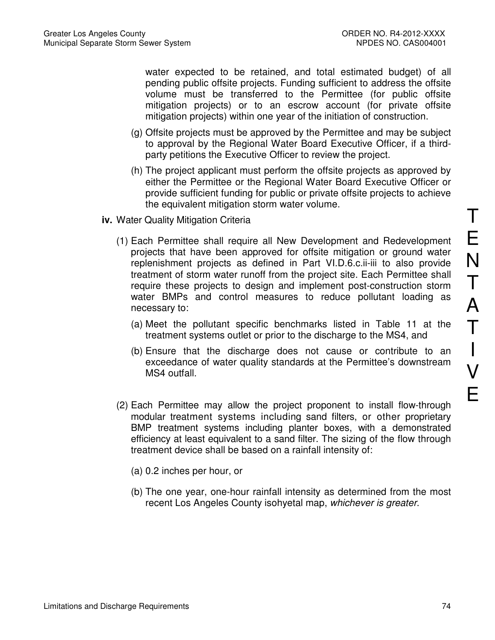water expected to be retained, and total estimated budget) of all pending public offsite projects. Funding sufficient to address the offsite volume must be transferred to the Permittee (for public offsite mitigation projects) or to an escrow account (for private offsite mitigation projects) within one year of the initiation of construction.

- (g) Offsite projects must be approved by the Permittee and may be subject to approval by the Regional Water Board Executive Officer, if a thirdparty petitions the Executive Officer to review the project.
- (h) The project applicant must perform the offsite projects as approved by either the Permittee or the Regional Water Board Executive Officer or provide sufficient funding for public or private offsite projects to achieve the equivalent mitigation storm water volume.
- **iv.** Water Quality Mitigation Criteria
	- (1) Each Permittee shall require all New Development and Redevelopment projects that have been approved for offsite mitigation or ground water replenishment projects as defined in Part VI.D.6.c.ii-iii to also provide treatment of storm water runoff from the project site. Each Permittee shall require these projects to design and implement post-construction storm water BMPs and control measures to reduce pollutant loading as necessary to:
		- (a) Meet the pollutant specific benchmarks listed in Table 11 at the treatment systems outlet or prior to the discharge to the MS4, and
		- (b) Ensure that the discharge does not cause or contribute to an exceedance of water quality standards at the Permittee's downstream MS4 outfall.
	- (2) Each Permittee may allow the project proponent to install flow-through modular treatment systems including sand filters, or other proprietary BMP treatment systems including planter boxes, with a demonstrated efficiency at least equivalent to a sand filter. The sizing of the flow through treatment device shall be based on a rainfall intensity of:
		- (a) 0.2 inches per hour, or
		- (b) The one year, one-hour rainfall intensity as determined from the most recent Los Angeles County isohyetal map, whichever is greater.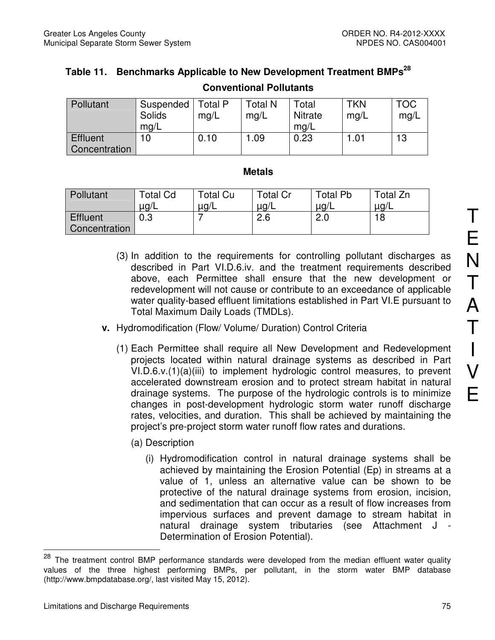# **Table 11. Benchmarks Applicable to New Development Treatment BMPs<sup>28</sup>**

| Pollutant                                | Suspended   Total P<br>Solids<br>mq/L | mg/L | <b>Total N</b><br>mq/L | Total<br><b>Nitrate</b><br>mq/L | TKN<br>mq/L | <b>TOC</b><br>mq/L |
|------------------------------------------|---------------------------------------|------|------------------------|---------------------------------|-------------|--------------------|
| <b>E</b> ffluent<br><b>Concentration</b> |                                       | 0.10 | 09. ا                  | 0.23                            | $.0^{\ast}$ | 13                 |

# **Conventional Pollutants**

#### **Metals**

| Pollutant     | <b>Total Cd</b> | Total Cu  | Total Cr  | Total Pb | Total Zn  |
|---------------|-----------------|-----------|-----------|----------|-----------|
|               | $\mu$ g/L       | $\mu$ g/L | $\mu$ g/L | ⊔ug/∟    | $\mu$ g/L |
| Effluent      | 0.3             |           | 2.6       | 2.0      | 18        |
| Concentration |                 |           |           |          |           |

- (3) In addition to the requirements for controlling pollutant discharges as described in Part VI.D.6.iv. and the treatment requirements described above, each Permittee shall ensure that the new development or redevelopment will not cause or contribute to an exceedance of applicable water quality-based effluent limitations established in Part VI.E pursuant to Total Maximum Daily Loads (TMDLs).
- **v.** Hydromodification (Flow/ Volume/ Duration) Control Criteria
	- (1) Each Permittee shall require all New Development and Redevelopment projects located within natural drainage systems as described in Part VI.D.6.v.(1)(a)(iii) to implement hydrologic control measures, to prevent accelerated downstream erosion and to protect stream habitat in natural drainage systems. The purpose of the hydrologic controls is to minimize changes in post-development hydrologic storm water runoff discharge rates, velocities, and duration. This shall be achieved by maintaining the project's pre-project storm water runoff flow rates and durations.
		- (a) Description
			- (i) Hydromodification control in natural drainage systems shall be achieved by maintaining the Erosion Potential (Ep) in streams at a value of 1, unless an alternative value can be shown to be protective of the natural drainage systems from erosion, incision, and sedimentation that can occur as a result of flow increases from impervious surfaces and prevent damage to stream habitat in natural drainage system tributaries (see Attachment J - Determination of Erosion Potential).

<u>.</u>

<sup>&</sup>lt;sup>28</sup> The treatment control BMP performance standards were developed from the median effluent water quality values of the three highest performing BMPs, per pollutant, in the storm water BMP database (http://www.bmpdatabase.org/, last visited May 15, 2012).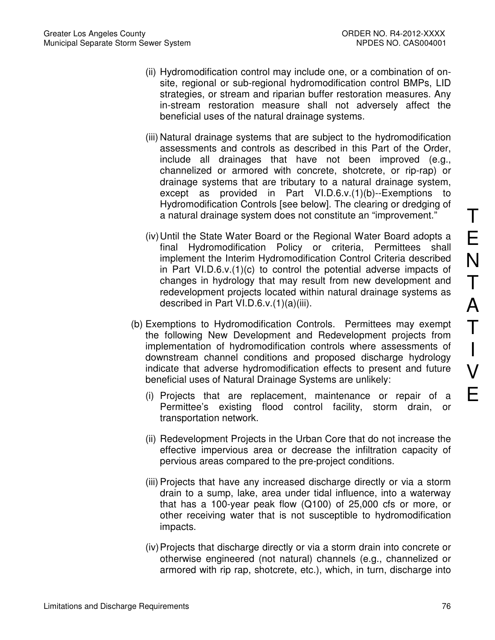- (ii) Hydromodification control may include one, or a combination of onsite, regional or sub-regional hydromodification control BMPs, LID strategies, or stream and riparian buffer restoration measures. Any in-stream restoration measure shall not adversely affect the beneficial uses of the natural drainage systems.
- (iii) Natural drainage systems that are subject to the hydromodification assessments and controls as described in this Part of the Order, include all drainages that have not been improved (e.g., channelized or armored with concrete, shotcrete, or rip-rap) or drainage systems that are tributary to a natural drainage system, except as provided in Part VI.D.6.v.(1)(b)--Exemptions to Hydromodification Controls [see below]. The clearing or dredging of a natural drainage system does not constitute an "improvement."
- (iv) Until the State Water Board or the Regional Water Board adopts a final Hydromodification Policy or criteria, Permittees shall implement the Interim Hydromodification Control Criteria described in Part VI.D.6.v.(1)(c) to control the potential adverse impacts of changes in hydrology that may result from new development and redevelopment projects located within natural drainage systems as described in Part VI.D.6.v.(1)(a)(iii).
- (b) Exemptions to Hydromodification Controls. Permittees may exempt the following New Development and Redevelopment projects from implementation of hydromodification controls where assessments of downstream channel conditions and proposed discharge hydrology indicate that adverse hydromodification effects to present and future beneficial uses of Natural Drainage Systems are unlikely:
	- (i) Projects that are replacement, maintenance or repair of a Permittee's existing flood control facility, storm drain, or transportation network.
	- (ii) Redevelopment Projects in the Urban Core that do not increase the effective impervious area or decrease the infiltration capacity of pervious areas compared to the pre-project conditions.
	- (iii) Projects that have any increased discharge directly or via a storm drain to a sump, lake, area under tidal influence, into a waterway that has a 100-year peak flow (Q100) of 25,000 cfs or more, or other receiving water that is not susceptible to hydromodification impacts.
	- (iv) Projects that discharge directly or via a storm drain into concrete or otherwise engineered (not natural) channels (e.g., channelized or armored with rip rap, shotcrete, etc.), which, in turn, discharge into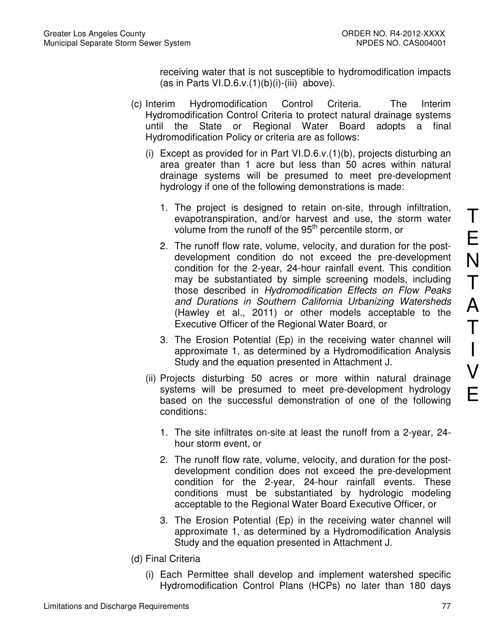receiving water that is not susceptible to hydromodification impacts (as in Parts VI.D.6.v. $(1)(b)(i)$ -(iii) above).

- (c) Interim Hydromodification Control Criteria. The Interim Hydromodification Control Criteria to protect natural drainage systems until the State or Regional Water Board adopts a final Hydromodification Policy or criteria are as follows:
	- (i) Except as provided for in Part VI.D.6.v.(1)(b), projects disturbing an area greater than 1 acre but less than 50 acres within natural drainage systems will be presumed to meet pre-development hydrology if one of the following demonstrations is made:
		- 1. The project is designed to retain on-site, through infiltration, evapotranspiration, and/or harvest and use, the storm water volume from the runoff of the 95<sup>th</sup> percentile storm, or
		- 2. The runoff flow rate, volume, velocity, and duration for the postdevelopment condition do not exceed the pre-development condition for the 2-year, 24-hour rainfall event. This condition may be substantiated by simple screening models, including those described in Hydromodification Effects on Flow Peaks and Durations in Southern California Urbanizing Watersheds (Hawley et al., 2011) or other models acceptable to the Executive Officer of the Regional Water Board, or
		- 3. The Erosion Potential (Ep) in the receiving water channel will approximate 1, as determined by a Hydromodification Analysis Study and the equation presented in Attachment J.
	- (ii) Projects disturbing 50 acres or more within natural drainage systems will be presumed to meet pre-development hydrology based on the successful demonstration of one of the following conditions:
		- 1. The site infiltrates on-site at least the runoff from a 2-year, 24 hour storm event, or
		- 2. The runoff flow rate, volume, velocity, and duration for the postdevelopment condition does not exceed the pre-development condition for the 2-year, 24-hour rainfall events. These conditions must be substantiated by hydrologic modeling acceptable to the Regional Water Board Executive Officer, or
		- 3. The Erosion Potential (Ep) in the receiving water channel will approximate 1, as determined by a Hydromodification Analysis Study and the equation presented in Attachment J.
- (d) Final Criteria
	- (i) Each Permittee shall develop and implement watershed specific Hydromodification Control Plans (HCPs) no later than 180 days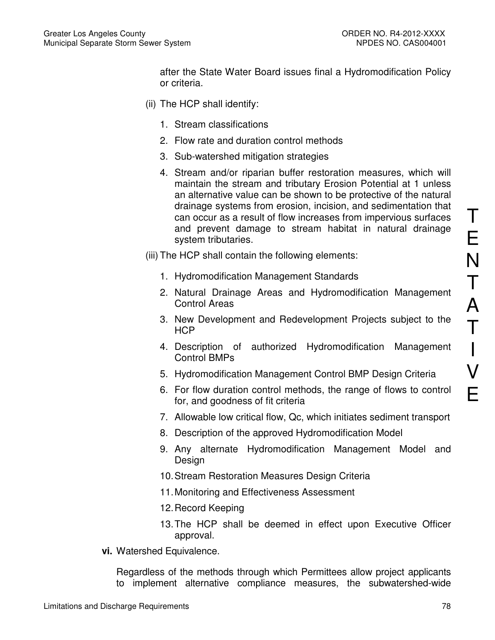after the State Water Board issues final a Hydromodification Policy or criteria.

- (ii) The HCP shall identify:
	- 1. Stream classifications
	- 2. Flow rate and duration control methods
	- 3. Sub-watershed mitigation strategies
	- 4. Stream and/or riparian buffer restoration measures, which will maintain the stream and tributary Erosion Potential at 1 unless an alternative value can be shown to be protective of the natural drainage systems from erosion, incision, and sedimentation that can occur as a result of flow increases from impervious surfaces and prevent damage to stream habitat in natural drainage system tributaries.
- (iii) The HCP shall contain the following elements:
	- 1. Hydromodification Management Standards
	- 2. Natural Drainage Areas and Hydromodification Management Control Areas
	- 3. New Development and Redevelopment Projects subject to the **HCP**
	- 4. Description of authorized Hydromodification Management Control BMPs
	- 5. Hydromodification Management Control BMP Design Criteria
	- 6. For flow duration control methods, the range of flows to control for, and goodness of fit criteria
	- 7. Allowable low critical flow, Qc, which initiates sediment transport
	- 8. Description of the approved Hydromodification Model
	- 9. Any alternate Hydromodification Management Model and Design
	- 10. Stream Restoration Measures Design Criteria
	- 11. Monitoring and Effectiveness Assessment
	- 12. Record Keeping
	- 13. The HCP shall be deemed in effect upon Executive Officer approval.
- **vi.** Watershed Equivalence.

Regardless of the methods through which Permittees allow project applicants to implement alternative compliance measures, the subwatershed-wide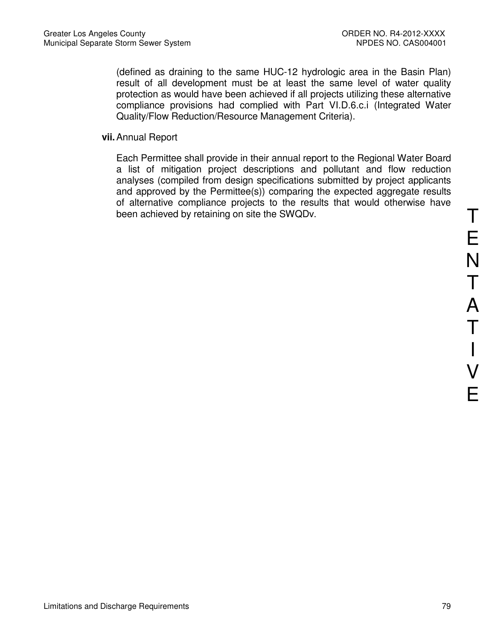(defined as draining to the same HUC-12 hydrologic area in the Basin Plan) result of all development must be at least the same level of water quality protection as would have been achieved if all projects utilizing these alternative compliance provisions had complied with Part VI.D.6.c.i (Integrated Water Quality/Flow Reduction/Resource Management Criteria).

**vii.** Annual Report

Each Permittee shall provide in their annual report to the Regional Water Board a list of mitigation project descriptions and pollutant and flow reduction analyses (compiled from design specifications submitted by project applicants and approved by the Permittee(s)) comparing the expected aggregate results of alternative compliance projects to the results that would otherwise have been achieved by retaining on site the SWQDv.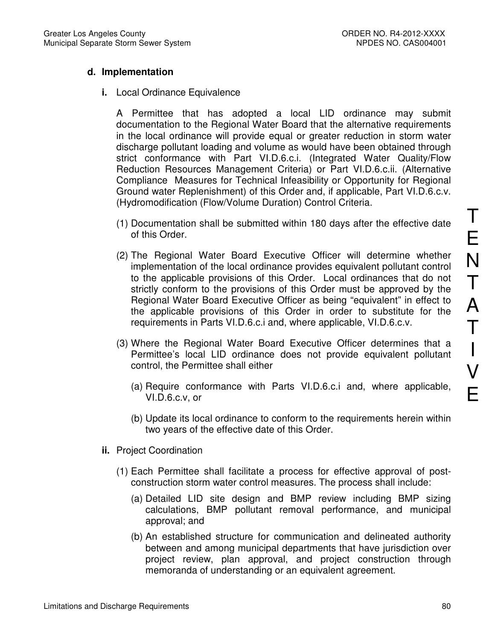# **d. Implementation**

**i.** Local Ordinance Equivalence

A Permittee that has adopted a local LID ordinance may submit documentation to the Regional Water Board that the alternative requirements in the local ordinance will provide equal or greater reduction in storm water discharge pollutant loading and volume as would have been obtained through strict conformance with Part VI.D.6.c.i. (Integrated Water Quality/Flow Reduction Resources Management Criteria) or Part VI.D.6.c.ii. (Alternative Compliance Measures for Technical Infeasibility or Opportunity for Regional Ground water Replenishment) of this Order and, if applicable, Part VI.D.6.c.v. (Hydromodification (Flow/Volume Duration) Control Criteria.

- (1) Documentation shall be submitted within 180 days after the effective date of this Order.
- (2) The Regional Water Board Executive Officer will determine whether implementation of the local ordinance provides equivalent pollutant control to the applicable provisions of this Order. Local ordinances that do not strictly conform to the provisions of this Order must be approved by the Regional Water Board Executive Officer as being "equivalent" in effect to the applicable provisions of this Order in order to substitute for the requirements in Parts VI.D.6.c.i and, where applicable, VI.D.6.c.v.
- (3) Where the Regional Water Board Executive Officer determines that a Permittee's local LID ordinance does not provide equivalent pollutant control, the Permittee shall either
	- (a) Require conformance with Parts VI.D.6.c.i and, where applicable, VI.D.6.c.v, or
	- (b) Update its local ordinance to conform to the requirements herein within two years of the effective date of this Order.
- **ii.** Project Coordination
	- (1) Each Permittee shall facilitate a process for effective approval of postconstruction storm water control measures. The process shall include:
		- (a) Detailed LID site design and BMP review including BMP sizing calculations, BMP pollutant removal performance, and municipal approval; and
		- (b) An established structure for communication and delineated authority between and among municipal departments that have jurisdiction over project review, plan approval, and project construction through memoranda of understanding or an equivalent agreement.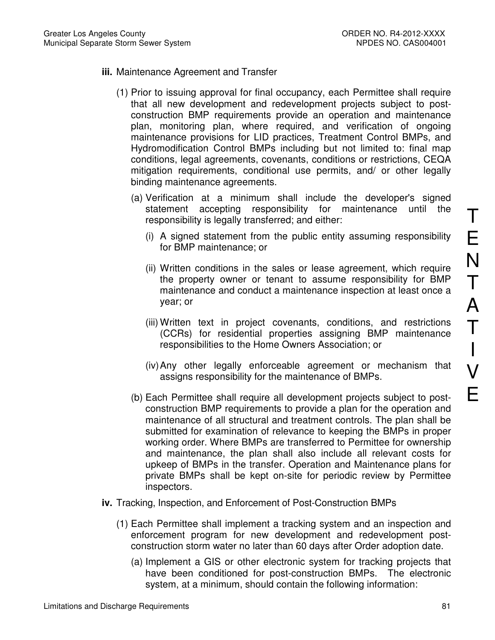- **iii.** Maintenance Agreement and Transfer
	- (1) Prior to issuing approval for final occupancy, each Permittee shall require that all new development and redevelopment projects subject to postconstruction BMP requirements provide an operation and maintenance plan, monitoring plan, where required, and verification of ongoing maintenance provisions for LID practices, Treatment Control BMPs, and Hydromodification Control BMPs including but not limited to: final map conditions, legal agreements, covenants, conditions or restrictions, CEQA mitigation requirements, conditional use permits, and/ or other legally binding maintenance agreements.
		- (a) Verification at a minimum shall include the developer's signed statement accepting responsibility for maintenance until the responsibility is legally transferred; and either:
			- (i) A signed statement from the public entity assuming responsibility for BMP maintenance; or
			- (ii) Written conditions in the sales or lease agreement, which require the property owner or tenant to assume responsibility for BMP maintenance and conduct a maintenance inspection at least once a year; or
			- (iii) Written text in project covenants, conditions, and restrictions (CCRs) for residential properties assigning BMP maintenance responsibilities to the Home Owners Association; or
			- (iv) Any other legally enforceable agreement or mechanism that assigns responsibility for the maintenance of BMPs.
		- (b) Each Permittee shall require all development projects subject to postconstruction BMP requirements to provide a plan for the operation and maintenance of all structural and treatment controls. The plan shall be submitted for examination of relevance to keeping the BMPs in proper working order. Where BMPs are transferred to Permittee for ownership and maintenance, the plan shall also include all relevant costs for upkeep of BMPs in the transfer. Operation and Maintenance plans for private BMPs shall be kept on-site for periodic review by Permittee inspectors.
- **iv.** Tracking, Inspection, and Enforcement of Post-Construction BMPs
	- (1) Each Permittee shall implement a tracking system and an inspection and enforcement program for new development and redevelopment postconstruction storm water no later than 60 days after Order adoption date.
		- (a) Implement a GIS or other electronic system for tracking projects that have been conditioned for post-construction BMPs. The electronic system, at a minimum, should contain the following information: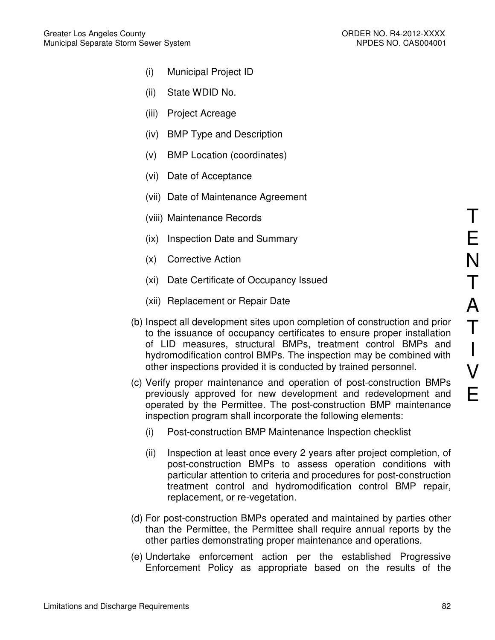- (i) Municipal Project ID
- (ii) State WDID No.
- (iii) Project Acreage
- (iv) BMP Type and Description
- (v) BMP Location (coordinates)
- (vi) Date of Acceptance
- (vii) Date of Maintenance Agreement
- (viii) Maintenance Records
- (ix) Inspection Date and Summary
- (x) Corrective Action
- (xi) Date Certificate of Occupancy Issued
- (xii) Replacement or Repair Date
- (b) Inspect all development sites upon completion of construction and prior to the issuance of occupancy certificates to ensure proper installation of LID measures, structural BMPs, treatment control BMPs and hydromodification control BMPs. The inspection may be combined with other inspections provided it is conducted by trained personnel.
- (c) Verify proper maintenance and operation of post-construction BMPs previously approved for new development and redevelopment and operated by the Permittee. The post-construction BMP maintenance inspection program shall incorporate the following elements:
	- (i) Post-construction BMP Maintenance Inspection checklist
	- (ii) Inspection at least once every 2 years after project completion, of post-construction BMPs to assess operation conditions with particular attention to criteria and procedures for post-construction treatment control and hydromodification control BMP repair, replacement, or re-vegetation.
- (d) For post-construction BMPs operated and maintained by parties other than the Permittee, the Permittee shall require annual reports by the other parties demonstrating proper maintenance and operations.
- (e) Undertake enforcement action per the established Progressive Enforcement Policy as appropriate based on the results of the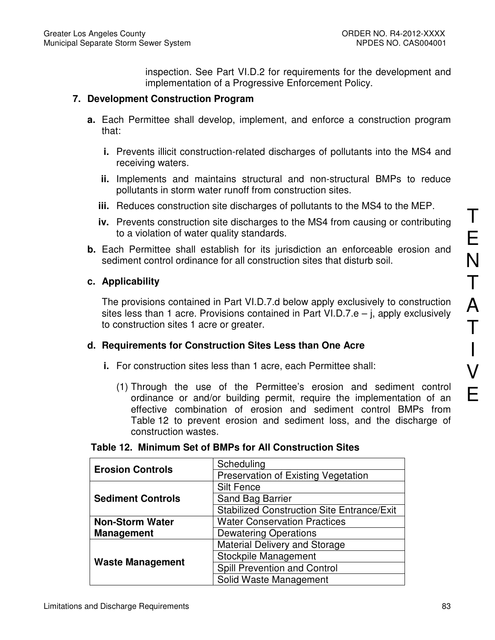inspection. See Part VI.D.2 for requirements for the development and implementation of a Progressive Enforcement Policy.

## **7. Development Construction Program**

- **a.** Each Permittee shall develop, implement, and enforce a construction program that:
	- **i.** Prevents illicit construction-related discharges of pollutants into the MS4 and receiving waters.
	- **ii.** Implements and maintains structural and non-structural BMPs to reduce pollutants in storm water runoff from construction sites.
	- **iii.** Reduces construction site discharges of pollutants to the MS4 to the MEP.
	- **iv.** Prevents construction site discharges to the MS4 from causing or contributing to a violation of water quality standards.
- **b.** Each Permittee shall establish for its jurisdiction an enforceable erosion and sediment control ordinance for all construction sites that disturb soil.

#### **c. Applicability**

The provisions contained in Part VI.D.7.d below apply exclusively to construction sites less than 1 acre. Provisions contained in Part VI.D.7.e – j, apply exclusively to construction sites 1 acre or greater.

#### **d. Requirements for Construction Sites Less than One Acre**

- **i.** For construction sites less than 1 acre, each Permittee shall:
	- (1) Through the use of the Permittee's erosion and sediment control ordinance or and/or building permit, require the implementation of an effective combination of erosion and sediment control BMPs from Table 12 to prevent erosion and sediment loss, and the discharge of construction wastes.

| <b>Erosion Controls</b>  | Scheduling                                        |
|--------------------------|---------------------------------------------------|
|                          | Preservation of Existing Vegetation               |
|                          | <b>Silt Fence</b>                                 |
| <b>Sediment Controls</b> | Sand Bag Barrier                                  |
|                          | <b>Stabilized Construction Site Entrance/Exit</b> |
| <b>Non-Storm Water</b>   | <b>Water Conservation Practices</b>               |
| <b>Management</b>        | <b>Dewatering Operations</b>                      |
|                          | Material Delivery and Storage                     |
| <b>Waste Management</b>  | Stockpile Management                              |
|                          | Spill Prevention and Control                      |
|                          | Solid Waste Management                            |

#### **Table 12. Minimum Set of BMPs for All Construction Sites**

T

E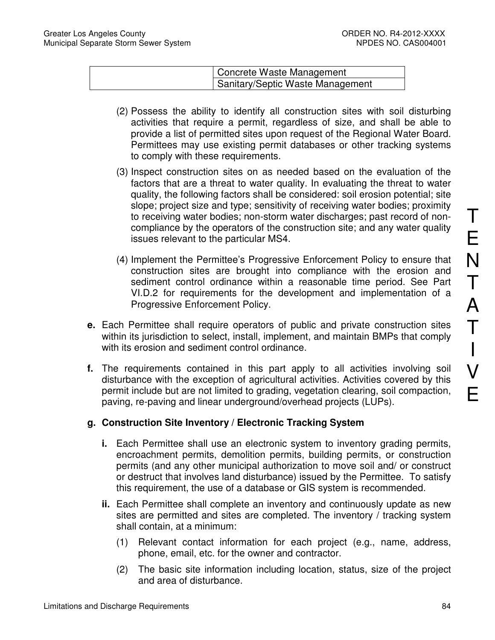| Concrete Waste Management        |
|----------------------------------|
| Sanitary/Septic Waste Management |

- (2) Possess the ability to identify all construction sites with soil disturbing activities that require a permit, regardless of size, and shall be able to provide a list of permitted sites upon request of the Regional Water Board. Permittees may use existing permit databases or other tracking systems to comply with these requirements.
- (3) Inspect construction sites on as needed based on the evaluation of the factors that are a threat to water quality. In evaluating the threat to water quality, the following factors shall be considered: soil erosion potential; site slope; project size and type; sensitivity of receiving water bodies; proximity to receiving water bodies; non-storm water discharges; past record of noncompliance by the operators of the construction site; and any water quality issues relevant to the particular MS4.
- (4) Implement the Permittee's Progressive Enforcement Policy to ensure that construction sites are brought into compliance with the erosion and sediment control ordinance within a reasonable time period. See Part VI.D.2 for requirements for the development and implementation of a Progressive Enforcement Policy.
- **e.** Each Permittee shall require operators of public and private construction sites within its jurisdiction to select, install, implement, and maintain BMPs that comply with its erosion and sediment control ordinance.
- **f.** The requirements contained in this part apply to all activities involving soil disturbance with the exception of agricultural activities. Activities covered by this permit include but are not limited to grading, vegetation clearing, soil compaction, paving, re-paving and linear underground/overhead projects (LUPs).

# **g. Construction Site Inventory / Electronic Tracking System**

- **i.** Each Permittee shall use an electronic system to inventory grading permits, encroachment permits, demolition permits, building permits, or construction permits (and any other municipal authorization to move soil and/ or construct or destruct that involves land disturbance) issued by the Permittee. To satisfy this requirement, the use of a database or GIS system is recommended.
- **ii.** Each Permittee shall complete an inventory and continuously update as new sites are permitted and sites are completed. The inventory / tracking system shall contain, at a minimum:
	- (1) Relevant contact information for each project (e.g., name, address, phone, email, etc. for the owner and contractor.
	- (2) The basic site information including location, status, size of the project and area of disturbance.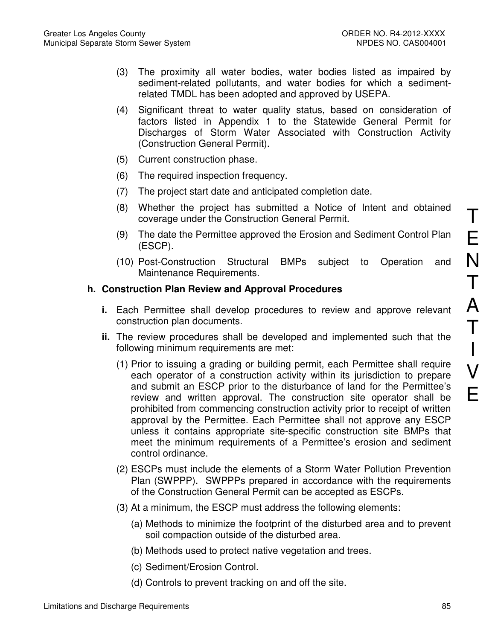- (3) The proximity all water bodies, water bodies listed as impaired by sediment-related pollutants, and water bodies for which a sedimentrelated TMDL has been adopted and approved by USEPA.
- (4) Significant threat to water quality status, based on consideration of factors listed in Appendix 1 to the Statewide General Permit for Discharges of Storm Water Associated with Construction Activity (Construction General Permit).
- (5) Current construction phase.
- (6) The required inspection frequency.
- (7) The project start date and anticipated completion date.
- (8) Whether the project has submitted a Notice of Intent and obtained coverage under the Construction General Permit.
- (9) The date the Permittee approved the Erosion and Sediment Control Plan (ESCP).
- (10) Post-Construction Structural BMPs subject to Operation and Maintenance Requirements.

## **h. Construction Plan Review and Approval Procedures**

- **i.** Each Permittee shall develop procedures to review and approve relevant construction plan documents.
- **ii.** The review procedures shall be developed and implemented such that the following minimum requirements are met:
	- (1) Prior to issuing a grading or building permit, each Permittee shall require each operator of a construction activity within its jurisdiction to prepare and submit an ESCP prior to the disturbance of land for the Permittee's review and written approval. The construction site operator shall be prohibited from commencing construction activity prior to receipt of written approval by the Permittee. Each Permittee shall not approve any ESCP unless it contains appropriate site-specific construction site BMPs that meet the minimum requirements of a Permittee's erosion and sediment control ordinance.
	- (2) ESCPs must include the elements of a Storm Water Pollution Prevention Plan (SWPPP). SWPPPs prepared in accordance with the requirements of the Construction General Permit can be accepted as ESCPs.
	- (3) At a minimum, the ESCP must address the following elements:
		- (a) Methods to minimize the footprint of the disturbed area and to prevent soil compaction outside of the disturbed area.
		- (b) Methods used to protect native vegetation and trees.
		- (c) Sediment/Erosion Control.
		- (d) Controls to prevent tracking on and off the site.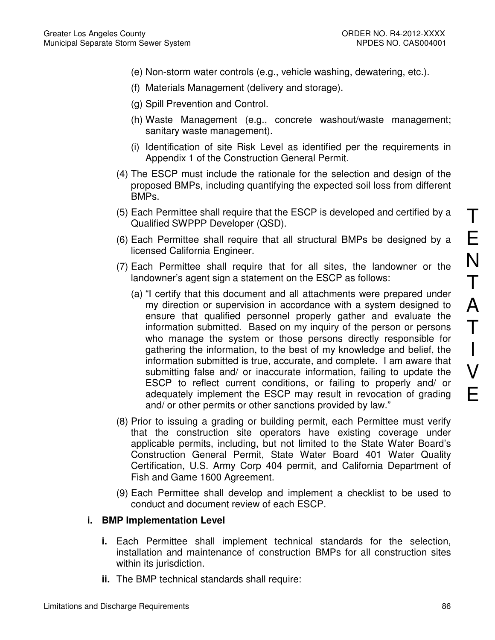- (e) Non-storm water controls (e.g., vehicle washing, dewatering, etc.).
- (f) Materials Management (delivery and storage).
- (g) Spill Prevention and Control.
- (h) Waste Management (e.g., concrete washout/waste management; sanitary waste management).
- (i) Identification of site Risk Level as identified per the requirements in Appendix 1 of the Construction General Permit.
- (4) The ESCP must include the rationale for the selection and design of the proposed BMPs, including quantifying the expected soil loss from different BMPs.
- (5) Each Permittee shall require that the ESCP is developed and certified by a Qualified SWPPP Developer (QSD).
- (6) Each Permittee shall require that all structural BMPs be designed by a licensed California Engineer.
- (7) Each Permittee shall require that for all sites, the landowner or the landowner's agent sign a statement on the ESCP as follows:
	- (a) "I certify that this document and all attachments were prepared under my direction or supervision in accordance with a system designed to ensure that qualified personnel properly gather and evaluate the information submitted. Based on my inquiry of the person or persons who manage the system or those persons directly responsible for gathering the information, to the best of my knowledge and belief, the information submitted is true, accurate, and complete. I am aware that submitting false and/ or inaccurate information, failing to update the ESCP to reflect current conditions, or failing to properly and/ or adequately implement the ESCP may result in revocation of grading and/ or other permits or other sanctions provided by law."
- (8) Prior to issuing a grading or building permit, each Permittee must verify that the construction site operators have existing coverage under applicable permits, including, but not limited to the State Water Board's Construction General Permit, State Water Board 401 Water Quality Certification, U.S. Army Corp 404 permit, and California Department of Fish and Game 1600 Agreement.
- (9) Each Permittee shall develop and implement a checklist to be used to conduct and document review of each ESCP.

#### **i. BMP Implementation Level**

- **i.** Each Permittee shall implement technical standards for the selection, installation and maintenance of construction BMPs for all construction sites within its jurisdiction.
- **ii.** The BMP technical standards shall require: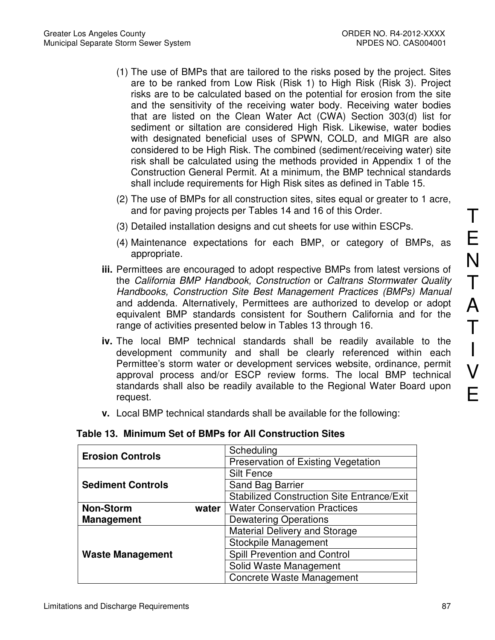- (1) The use of BMPs that are tailored to the risks posed by the project. Sites are to be ranked from Low Risk (Risk 1) to High Risk (Risk 3). Project risks are to be calculated based on the potential for erosion from the site and the sensitivity of the receiving water body. Receiving water bodies that are listed on the Clean Water Act (CWA) Section 303(d) list for sediment or siltation are considered High Risk. Likewise, water bodies with designated beneficial uses of SPWN, COLD, and MIGR are also considered to be High Risk. The combined (sediment/receiving water) site risk shall be calculated using the methods provided in Appendix 1 of the Construction General Permit. At a minimum, the BMP technical standards shall include requirements for High Risk sites as defined in Table 15.
- (2) The use of BMPs for all construction sites, sites equal or greater to 1 acre, and for paving projects per Tables 14 and 16 of this Order.
- (3) Detailed installation designs and cut sheets for use within ESCPs.
- (4) Maintenance expectations for each BMP, or category of BMPs, as appropriate.
- **iii.** Permittees are encouraged to adopt respective BMPs from latest versions of the California BMP Handbook, Construction or Caltrans Stormwater Quality Handbooks, Construction Site Best Management Practices (BMPs) Manual and addenda. Alternatively, Permittees are authorized to develop or adopt equivalent BMP standards consistent for Southern California and for the range of activities presented below in Tables 13 through 16.
- **iv.** The local BMP technical standards shall be readily available to the development community and shall be clearly referenced within each Permittee's storm water or development services website, ordinance, permit approval process and/or ESCP review forms. The local BMP technical standards shall also be readily available to the Regional Water Board upon request.
- **v.** Local BMP technical standards shall be available for the following:

| <b>Erosion Controls</b>   | Scheduling                                        |
|---------------------------|---------------------------------------------------|
|                           | Preservation of Existing Vegetation               |
|                           | <b>Silt Fence</b>                                 |
| <b>Sediment Controls</b>  | Sand Bag Barrier                                  |
|                           | <b>Stabilized Construction Site Entrance/Exit</b> |
| <b>Non-Storm</b><br>water | <b>Water Conservation Practices</b>               |
| <b>Management</b>         | <b>Dewatering Operations</b>                      |
|                           | <b>Material Delivery and Storage</b>              |
|                           | Stockpile Management                              |
| <b>Waste Management</b>   | Spill Prevention and Control                      |
|                           | Solid Waste Management                            |
|                           | <b>Concrete Waste Management</b>                  |

#### **Table 13. Minimum Set of BMPs for All Construction Sites**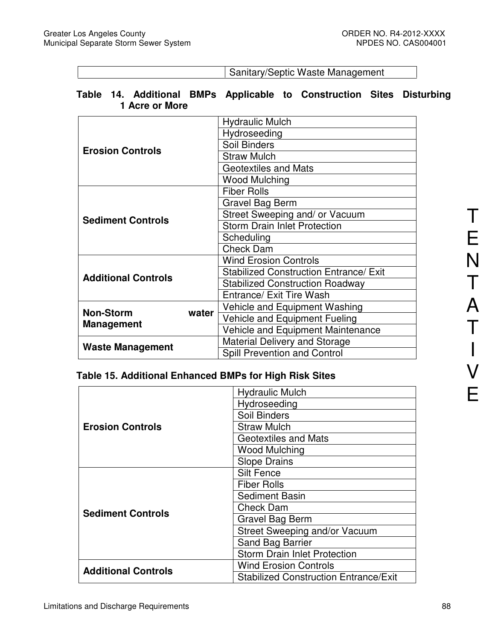Sanitary/Septic Waste Management

# **Table 14. Additional BMPs Applicable to Construction Sites Disturbing 1 Acre or More**

|                            | <b>Hydraulic Mulch</b>                        |  |
|----------------------------|-----------------------------------------------|--|
|                            | Hydroseeding                                  |  |
| <b>Erosion Controls</b>    | <b>Soil Binders</b>                           |  |
|                            | <b>Straw Mulch</b>                            |  |
|                            | <b>Geotextiles and Mats</b>                   |  |
|                            | <b>Wood Mulching</b>                          |  |
|                            | <b>Fiber Rolls</b>                            |  |
|                            | Gravel Bag Berm                               |  |
| <b>Sediment Controls</b>   | Street Sweeping and/ or Vacuum                |  |
|                            | <b>Storm Drain Inlet Protection</b>           |  |
|                            | Scheduling                                    |  |
|                            | <b>Check Dam</b>                              |  |
|                            | <b>Wind Erosion Controls</b>                  |  |
| <b>Additional Controls</b> | <b>Stabilized Construction Entrance/ Exit</b> |  |
|                            | <b>Stabilized Construction Roadway</b>        |  |
|                            | Entrance/ Exit Tire Wash                      |  |
| <b>Non-Storm</b><br>water  | Vehicle and Equipment Washing                 |  |
| <b>Management</b>          | Vehicle and Equipment Fueling                 |  |
|                            | Vehicle and Equipment Maintenance             |  |
| <b>Waste Management</b>    | Material Delivery and Storage                 |  |
|                            | Spill Prevention and Control                  |  |

# **Table 15. Additional Enhanced BMPs for High Risk Sites**

|                            | <b>Hydraulic Mulch</b>                       |  |
|----------------------------|----------------------------------------------|--|
|                            | Hydroseeding                                 |  |
|                            | Soil Binders                                 |  |
| <b>Erosion Controls</b>    | <b>Straw Mulch</b>                           |  |
|                            | <b>Geotextiles and Mats</b>                  |  |
|                            | <b>Wood Mulching</b>                         |  |
|                            | <b>Slope Drains</b>                          |  |
|                            | <b>Silt Fence</b>                            |  |
|                            | <b>Fiber Rolls</b>                           |  |
|                            | <b>Sediment Basin</b>                        |  |
| <b>Sediment Controls</b>   | <b>Check Dam</b>                             |  |
|                            | <b>Gravel Bag Berm</b>                       |  |
|                            | Street Sweeping and/or Vacuum                |  |
|                            | Sand Bag Barrier                             |  |
|                            | <b>Storm Drain Inlet Protection</b>          |  |
| <b>Additional Controls</b> | <b>Wind Erosion Controls</b>                 |  |
|                            | <b>Stabilized Construction Entrance/Exit</b> |  |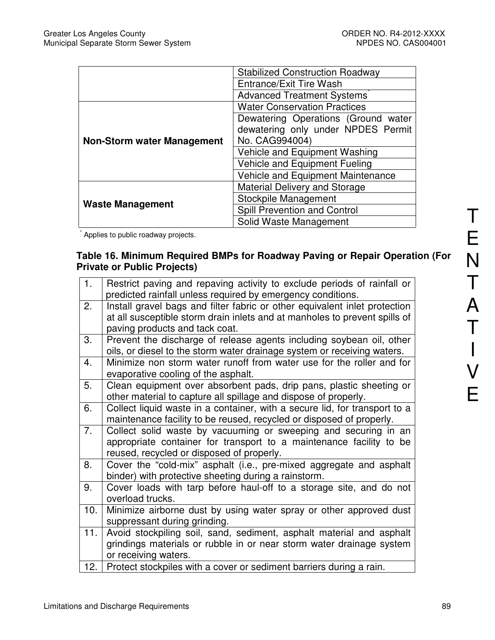|                                   | <b>Stabilized Construction Roadway</b> |
|-----------------------------------|----------------------------------------|
|                                   | Entrance/Exit Tire Wash                |
|                                   | <b>Advanced Treatment Systems</b>      |
|                                   | <b>Water Conservation Practices</b>    |
|                                   | Dewatering Operations (Ground water    |
| <b>Non-Storm water Management</b> | dewatering only under NPDES Permit     |
|                                   | No. CAG994004)                         |
|                                   | Vehicle and Equipment Washing          |
|                                   | Vehicle and Equipment Fueling          |
|                                   | Vehicle and Equipment Maintenance      |
|                                   | <b>Material Delivery and Storage</b>   |
| <b>Waste Management</b>           | Stockpile Management                   |
|                                   | Spill Prevention and Control           |
|                                   | Solid Waste Management                 |

\* Applies to public roadway projects.

# **Table 16. Minimum Required BMPs for Roadway Paving or Repair Operation (For Private or Public Projects)**

| 1.  | Restrict paving and repaving activity to exclude periods of rainfall or<br>predicted rainfall unless required by emergency conditions.                                                     |
|-----|--------------------------------------------------------------------------------------------------------------------------------------------------------------------------------------------|
| 2.  | Install gravel bags and filter fabric or other equivalent inlet protection<br>at all susceptible storm drain inlets and at manholes to prevent spills of<br>paving products and tack coat. |
| 3.  | Prevent the discharge of release agents including soybean oil, other<br>oils, or diesel to the storm water drainage system or receiving waters.                                            |
| 4.  | Minimize non storm water runoff from water use for the roller and for<br>evaporative cooling of the asphalt.                                                                               |
| 5.  | Clean equipment over absorbent pads, drip pans, plastic sheeting or<br>other material to capture all spillage and dispose of properly.                                                     |
| 6.  | Collect liquid waste in a container, with a secure lid, for transport to a<br>maintenance facility to be reused, recycled or disposed of properly.                                         |
| 7.  | Collect solid waste by vacuuming or sweeping and securing in an<br>appropriate container for transport to a maintenance facility to be<br>reused, recycled or disposed of properly.        |
| 8.  | Cover the "cold-mix" asphalt (i.e., pre-mixed aggregate and asphalt<br>binder) with protective sheeting during a rainstorm.                                                                |
| 9.  | Cover loads with tarp before haul-off to a storage site, and do not<br>overload trucks.                                                                                                    |
| 10. | Minimize airborne dust by using water spray or other approved dust<br>suppressant during grinding.                                                                                         |
| 11. | Avoid stockpiling soil, sand, sediment, asphalt material and asphalt<br>grindings materials or rubble in or near storm water drainage system<br>or receiving waters.                       |
| 12. | Protect stockpiles with a cover or sediment barriers during a rain.                                                                                                                        |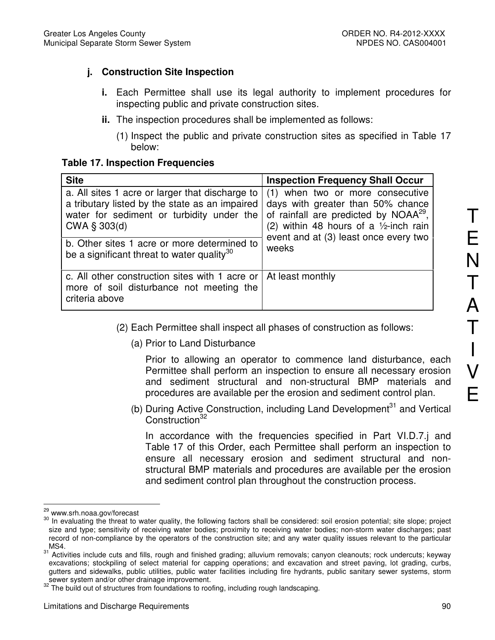# **j. Construction Site Inspection**

- **i.** Each Permittee shall use its legal authority to implement procedures for inspecting public and private construction sites.
- **ii.** The inspection procedures shall be implemented as follows:
	- (1) Inspect the public and private construction sites as specified in Table 17 below:

#### **Table 17. Inspection Frequencies**

| <b>Site</b>                                                                                                                                                    | <b>Inspection Frequency Shall Occur</b>                                                                                                                                                                          |  |
|----------------------------------------------------------------------------------------------------------------------------------------------------------------|------------------------------------------------------------------------------------------------------------------------------------------------------------------------------------------------------------------|--|
| a. All sites 1 acre or larger that discharge to<br>a tributary listed by the state as an impaired<br>water for sediment or turbidity under the<br>CWA § 303(d) | (1) when two or more consecutive<br>days with greater than 50% chance<br>of rainfall are predicted by NOAA <sup>29</sup> ,<br>(2) within 48 hours of a $1/2$ -inch rain<br>event and at (3) least once every two |  |
| b. Other sites 1 acre or more determined to<br>be a significant threat to water quality <sup>30</sup>                                                          | weeks                                                                                                                                                                                                            |  |
| c. All other construction sites with 1 acre or<br>more of soil disturbance not meeting the<br>criteria above                                                   | At least monthly                                                                                                                                                                                                 |  |

- (2) Each Permittee shall inspect all phases of construction as follows:
	- (a) Prior to Land Disturbance

Prior to allowing an operator to commence land disturbance, each Permittee shall perform an inspection to ensure all necessary erosion and sediment structural and non-structural BMP materials and procedures are available per the erosion and sediment control plan.

(b) During Active Construction, including Land Development<sup>31</sup> and Vertical Construction<sup>32</sup>

In accordance with the frequencies specified in Part VI.D.7.j and Table 17 of this Order, each Permittee shall perform an inspection to ensure all necessary erosion and sediment structural and nonstructural BMP materials and procedures are available per the erosion and sediment control plan throughout the construction process.

 $\overline{a}$ www.srh.noaa.gov/forecast

<sup>30</sup> In evaluating the threat to water quality, the following factors shall be considered: soil erosion potential; site slope; project size and type; sensitivity of receiving water bodies; proximity to receiving water bodies; non-storm water discharges; past record of non-compliance by the operators of the construction site; and any water quality issues relevant to the particular  $MS4.$ 

Activities include cuts and fills, rough and finished grading; alluvium removals; canyon cleanouts; rock undercuts; keyway excavations; stockpiling of select material for capping operations; and excavation and street paving, lot grading, curbs, gutters and sidewalks, public utilities, public water facilities including fire hydrants, public sanitary sewer systems, storm sewer system and/or other drainage improvement.

<sup>&</sup>lt;sup>32</sup> The build out of structures from foundations to roofing, including rough landscaping.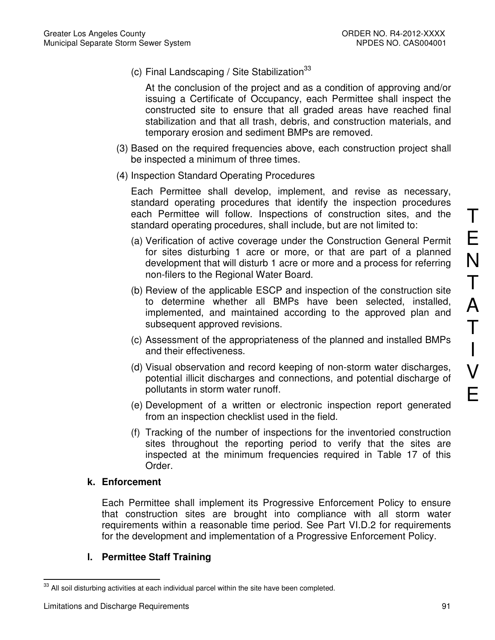(c) Final Landscaping / Site Stabilization $33$ 

At the conclusion of the project and as a condition of approving and/or issuing a Certificate of Occupancy, each Permittee shall inspect the constructed site to ensure that all graded areas have reached final stabilization and that all trash, debris, and construction materials, and temporary erosion and sediment BMPs are removed.

- (3) Based on the required frequencies above, each construction project shall be inspected a minimum of three times.
- (4) Inspection Standard Operating Procedures

Each Permittee shall develop, implement, and revise as necessary, standard operating procedures that identify the inspection procedures each Permittee will follow. Inspections of construction sites, and the standard operating procedures, shall include, but are not limited to:

- (a) Verification of active coverage under the Construction General Permit for sites disturbing 1 acre or more, or that are part of a planned development that will disturb 1 acre or more and a process for referring non-filers to the Regional Water Board.
- (b) Review of the applicable ESCP and inspection of the construction site to determine whether all BMPs have been selected, installed, implemented, and maintained according to the approved plan and subsequent approved revisions.
- (c) Assessment of the appropriateness of the planned and installed BMPs and their effectiveness.
- (d) Visual observation and record keeping of non-storm water discharges, potential illicit discharges and connections, and potential discharge of pollutants in storm water runoff.
- (e) Development of a written or electronic inspection report generated from an inspection checklist used in the field.
- (f) Tracking of the number of inspections for the inventoried construction sites throughout the reporting period to verify that the sites are inspected at the minimum frequencies required in Table 17 of this Order.

#### **k. Enforcement**

Each Permittee shall implement its Progressive Enforcement Policy to ensure that construction sites are brought into compliance with all storm water requirements within a reasonable time period. See Part VI.D.2 for requirements for the development and implementation of a Progressive Enforcement Policy.

# **l. Permittee Staff Training**

T

E

 $\overline{a}$  $33$  All soil disturbing activities at each individual parcel within the site have been completed.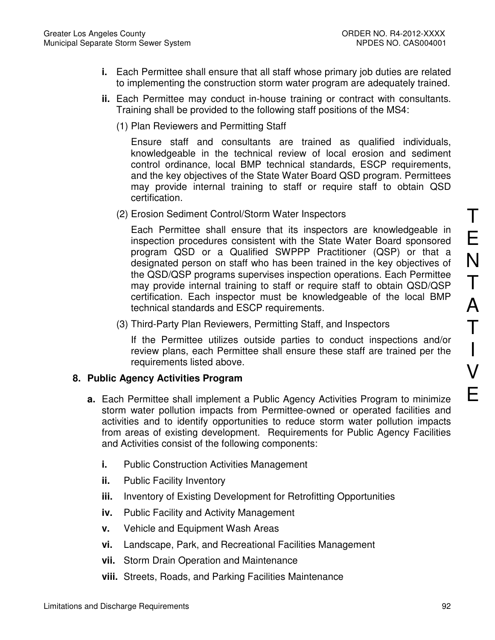- **i.** Each Permittee shall ensure that all staff whose primary job duties are related to implementing the construction storm water program are adequately trained.
- **ii.** Each Permittee may conduct in-house training or contract with consultants. Training shall be provided to the following staff positions of the MS4:
	- (1) Plan Reviewers and Permitting Staff

Ensure staff and consultants are trained as qualified individuals, knowledgeable in the technical review of local erosion and sediment control ordinance, local BMP technical standards, ESCP requirements, and the key objectives of the State Water Board QSD program. Permittees may provide internal training to staff or require staff to obtain QSD certification.

(2) Erosion Sediment Control/Storm Water Inspectors

Each Permittee shall ensure that its inspectors are knowledgeable in inspection procedures consistent with the State Water Board sponsored program QSD or a Qualified SWPPP Practitioner (QSP) or that a designated person on staff who has been trained in the key objectives of the QSD/QSP programs supervises inspection operations. Each Permittee may provide internal training to staff or require staff to obtain QSD/QSP certification. Each inspector must be knowledgeable of the local BMP technical standards and ESCP requirements.

(3) Third-Party Plan Reviewers, Permitting Staff, and Inspectors

If the Permittee utilizes outside parties to conduct inspections and/or review plans, each Permittee shall ensure these staff are trained per the requirements listed above.

#### **8. Public Agency Activities Program**

- **a.** Each Permittee shall implement a Public Agency Activities Program to minimize storm water pollution impacts from Permittee-owned or operated facilities and activities and to identify opportunities to reduce storm water pollution impacts from areas of existing development. Requirements for Public Agency Facilities and Activities consist of the following components:
	- **i.** Public Construction Activities Management
	- **ii.** Public Facility Inventory
	- **iii.** Inventory of Existing Development for Retrofitting Opportunities
	- **iv.** Public Facility and Activity Management
	- **v.** Vehicle and Equipment Wash Areas
	- **vi.** Landscape, Park, and Recreational Facilities Management
	- **vii.** Storm Drain Operation and Maintenance
	- **viii.** Streets, Roads, and Parking Facilities Maintenance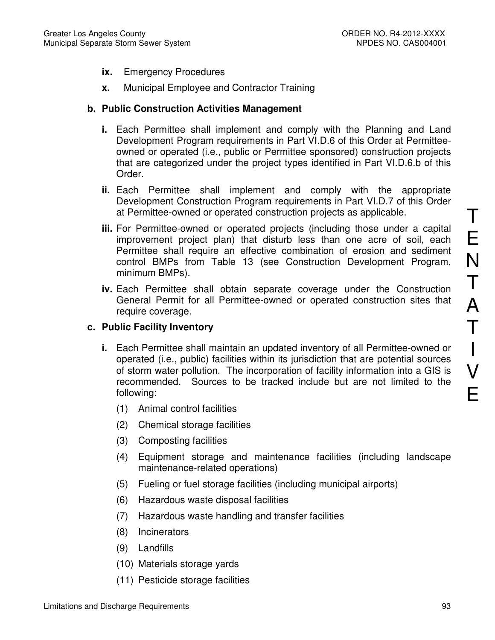- **ix.** Emergency Procedures
- **x.** Municipal Employee and Contractor Training

# **b. Public Construction Activities Management**

- **i.** Each Permittee shall implement and comply with the Planning and Land Development Program requirements in Part VI.D.6 of this Order at Permitteeowned or operated (i.e., public or Permittee sponsored) construction projects that are categorized under the project types identified in Part VI.D.6.b of this Order.
- **ii.** Each Permittee shall implement and comply with the appropriate Development Construction Program requirements in Part VI.D.7 of this Order at Permittee-owned or operated construction projects as applicable.
- **iii.** For Permittee-owned or operated projects (including those under a capital improvement project plan) that disturb less than one acre of soil, each Permittee shall require an effective combination of erosion and sediment control BMPs from Table 13 (see Construction Development Program, minimum BMPs).
- **iv.** Each Permittee shall obtain separate coverage under the Construction General Permit for all Permittee-owned or operated construction sites that require coverage.

#### **c. Public Facility Inventory**

- **i.** Each Permittee shall maintain an updated inventory of all Permittee-owned or operated (i.e., public) facilities within its jurisdiction that are potential sources of storm water pollution. The incorporation of facility information into a GIS is recommended. Sources to be tracked include but are not limited to the following:
	- (1) Animal control facilities
	- (2) Chemical storage facilities
	- (3) Composting facilities
	- (4) Equipment storage and maintenance facilities (including landscape maintenance-related operations)
	- (5) Fueling or fuel storage facilities (including municipal airports)
	- (6) Hazardous waste disposal facilities
	- (7) Hazardous waste handling and transfer facilities
	- (8) Incinerators
	- (9) Landfills
	- (10) Materials storage yards
	- (11) Pesticide storage facilities

T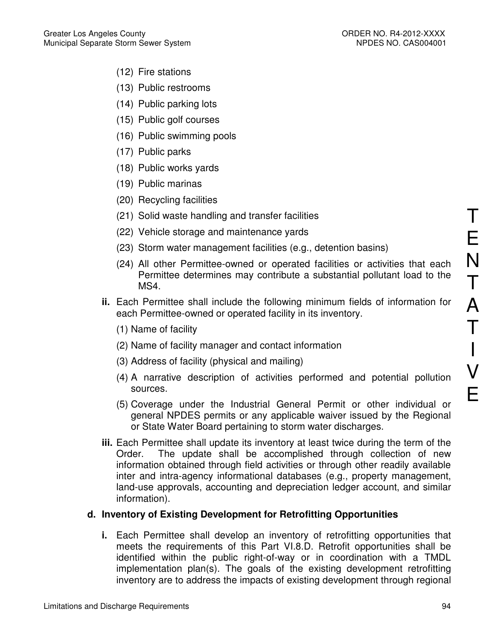- (12) Fire stations
- (13) Public restrooms
- (14) Public parking lots
- (15) Public golf courses
- (16) Public swimming pools
- (17) Public parks
- (18) Public works yards
- (19) Public marinas
- (20) Recycling facilities
- (21) Solid waste handling and transfer facilities
- (22) Vehicle storage and maintenance yards
- (23) Storm water management facilities (e.g., detention basins)
- (24) All other Permittee-owned or operated facilities or activities that each Permittee determines may contribute a substantial pollutant load to the MS4.
- **ii.** Each Permittee shall include the following minimum fields of information for each Permittee-owned or operated facility in its inventory.
	- (1) Name of facility
	- (2) Name of facility manager and contact information
	- (3) Address of facility (physical and mailing)
	- (4) A narrative description of activities performed and potential pollution sources.
	- (5) Coverage under the Industrial General Permit or other individual or general NPDES permits or any applicable waiver issued by the Regional or State Water Board pertaining to storm water discharges.
- **iii.** Each Permittee shall update its inventory at least twice during the term of the Order. The update shall be accomplished through collection of new information obtained through field activities or through other readily available inter and intra-agency informational databases (e.g., property management, land-use approvals, accounting and depreciation ledger account, and similar information).

# **d. Inventory of Existing Development for Retrofitting Opportunities**

**i.** Each Permittee shall develop an inventory of retrofitting opportunities that meets the requirements of this Part VI.8.D. Retrofit opportunities shall be identified within the public right-of-way or in coordination with a TMDL implementation plan(s). The goals of the existing development retrofitting inventory are to address the impacts of existing development through regional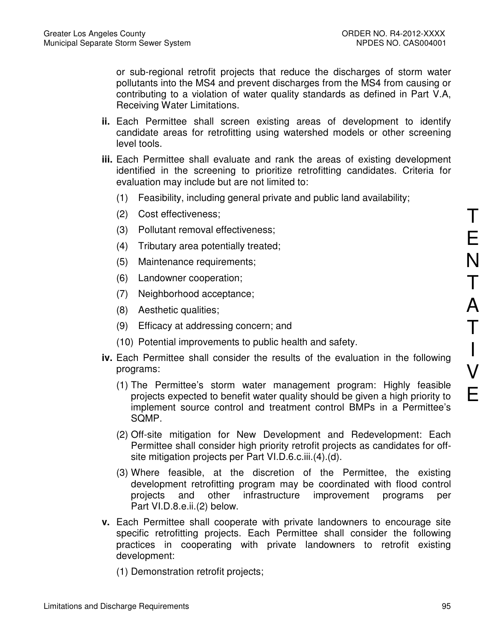or sub-regional retrofit projects that reduce the discharges of storm water pollutants into the MS4 and prevent discharges from the MS4 from causing or contributing to a violation of water quality standards as defined in Part V.A, Receiving Water Limitations.

- **ii.** Each Permittee shall screen existing areas of development to identify candidate areas for retrofitting using watershed models or other screening level tools.
- **iii.** Each Permittee shall evaluate and rank the areas of existing development identified in the screening to prioritize retrofitting candidates. Criteria for evaluation may include but are not limited to:
	- (1) Feasibility, including general private and public land availability;
	- (2) Cost effectiveness;
	- (3) Pollutant removal effectiveness;
	- (4) Tributary area potentially treated;
	- (5) Maintenance requirements;
	- (6) Landowner cooperation;
	- (7) Neighborhood acceptance;
	- (8) Aesthetic qualities;
	- (9) Efficacy at addressing concern; and
	- (10) Potential improvements to public health and safety.
- **iv.** Each Permittee shall consider the results of the evaluation in the following programs:
	- (1) The Permittee's storm water management program: Highly feasible projects expected to benefit water quality should be given a high priority to implement source control and treatment control BMPs in a Permittee's SQMP.
	- (2) Off-site mitigation for New Development and Redevelopment: Each Permittee shall consider high priority retrofit projects as candidates for offsite mitigation projects per Part VI.D.6.c.iii.(4).(d).
	- (3) Where feasible, at the discretion of the Permittee, the existing development retrofitting program may be coordinated with flood control projects and other infrastructure improvement programs per Part VI.D.8.e.ii.(2) below.
- **v.** Each Permittee shall cooperate with private landowners to encourage site specific retrofitting projects. Each Permittee shall consider the following practices in cooperating with private landowners to retrofit existing development:
	- (1) Demonstration retrofit projects;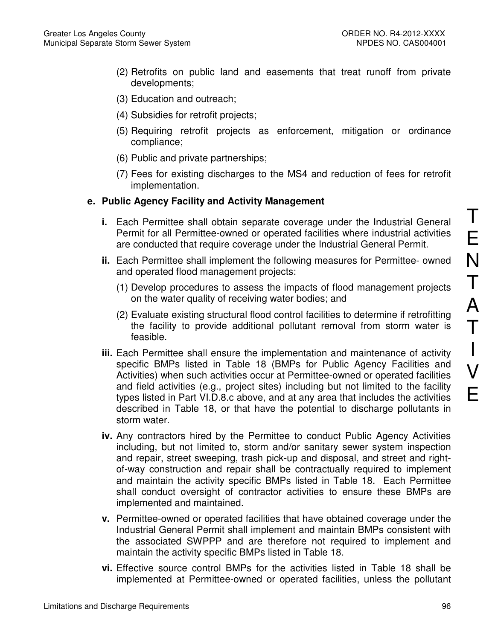- (2) Retrofits on public land and easements that treat runoff from private developments;
- (3) Education and outreach;
- (4) Subsidies for retrofit projects;
- (5) Requiring retrofit projects as enforcement, mitigation or ordinance compliance;
- (6) Public and private partnerships;
- (7) Fees for existing discharges to the MS4 and reduction of fees for retrofit implementation.

# **e. Public Agency Facility and Activity Management**

- **i.** Each Permittee shall obtain separate coverage under the Industrial General Permit for all Permittee-owned or operated facilities where industrial activities are conducted that require coverage under the Industrial General Permit.
- **ii.** Each Permittee shall implement the following measures for Permittee- owned and operated flood management projects:
	- (1) Develop procedures to assess the impacts of flood management projects on the water quality of receiving water bodies; and
	- (2) Evaluate existing structural flood control facilities to determine if retrofitting the facility to provide additional pollutant removal from storm water is feasible.
- **iii.** Each Permittee shall ensure the implementation and maintenance of activity specific BMPs listed in Table 18 (BMPs for Public Agency Facilities and Activities) when such activities occur at Permittee-owned or operated facilities and field activities (e.g., project sites) including but not limited to the facility types listed in Part VI.D.8.c above, and at any area that includes the activities described in Table 18, or that have the potential to discharge pollutants in storm water.
- **iv.** Any contractors hired by the Permittee to conduct Public Agency Activities including, but not limited to, storm and/or sanitary sewer system inspection and repair, street sweeping, trash pick-up and disposal, and street and rightof-way construction and repair shall be contractually required to implement and maintain the activity specific BMPs listed in Table 18. Each Permittee shall conduct oversight of contractor activities to ensure these BMPs are implemented and maintained.
- **v.** Permittee-owned or operated facilities that have obtained coverage under the Industrial General Permit shall implement and maintain BMPs consistent with the associated SWPPP and are therefore not required to implement and maintain the activity specific BMPs listed in Table 18.
- **vi.** Effective source control BMPs for the activities listed in Table 18 shall be implemented at Permittee-owned or operated facilities, unless the pollutant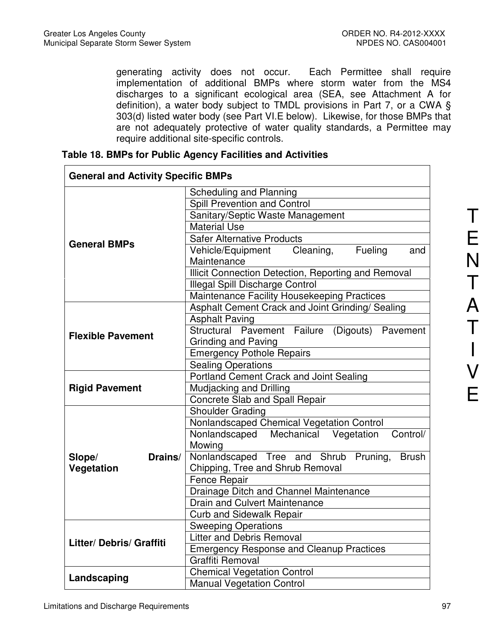generating activity does not occur. Each Permittee shall require implementation of additional BMPs where storm water from the MS4 discharges to a significant ecological area (SEA, see Attachment A for definition), a water body subject to TMDL provisions in Part 7, or a CWA § 303(d) listed water body (see Part VI.E below). Likewise, for those BMPs that are not adequately protective of water quality standards, a Permittee may require additional site-specific controls.

| <b>General and Activity Specific BMPs</b> |                                                                                              |  |
|-------------------------------------------|----------------------------------------------------------------------------------------------|--|
|                                           | Scheduling and Planning                                                                      |  |
|                                           | Spill Prevention and Control                                                                 |  |
|                                           | Sanitary/Septic Waste Management                                                             |  |
|                                           | <b>Material Use</b>                                                                          |  |
|                                           | <b>Safer Alternative Products</b>                                                            |  |
| <b>General BMPs</b>                       | Vehicle/Equipment Cleaning,<br>Fueling<br>and                                                |  |
|                                           | Maintenance                                                                                  |  |
|                                           | Illicit Connection Detection, Reporting and Removal                                          |  |
|                                           | Illegal Spill Discharge Control                                                              |  |
|                                           | Maintenance Facility Housekeeping Practices                                                  |  |
|                                           | Asphalt Cement Crack and Joint Grinding/ Sealing                                             |  |
|                                           | <b>Asphalt Paving</b>                                                                        |  |
| <b>Flexible Pavement</b>                  | Structural Pavement Failure (Digouts)<br>Pavement                                            |  |
|                                           | <b>Grinding and Paving</b>                                                                   |  |
|                                           | <b>Emergency Pothole Repairs</b>                                                             |  |
|                                           | <b>Sealing Operations</b>                                                                    |  |
|                                           | <b>Portland Cement Crack and Joint Sealing</b>                                               |  |
| <b>Rigid Pavement</b>                     | Mudjacking and Drilling                                                                      |  |
|                                           | <b>Concrete Slab and Spall Repair</b><br>Shoulder Grading                                    |  |
|                                           |                                                                                              |  |
|                                           | Nonlandscaped Chemical Vegetation Control<br>Nonlandscaped Mechanical Vegetation<br>Control/ |  |
|                                           | Mowing                                                                                       |  |
| Drains/<br>Slope/                         | Nonlandscaped Tree and Shrub Pruning,<br><b>Brush</b>                                        |  |
| Vegetation                                | Chipping, Tree and Shrub Removal                                                             |  |
|                                           | Fence Repair                                                                                 |  |
|                                           | Drainage Ditch and Channel Maintenance                                                       |  |
|                                           | <b>Drain and Culvert Maintenance</b>                                                         |  |
|                                           | <b>Curb and Sidewalk Repair</b>                                                              |  |
|                                           | <b>Sweeping Operations</b>                                                                   |  |
| <b>Litter/ Debris/ Graffiti</b>           | <b>Litter and Debris Removal</b>                                                             |  |
|                                           | <b>Emergency Response and Cleanup Practices</b>                                              |  |
|                                           | Graffiti Removal                                                                             |  |
| Landscaping                               | <b>Chemical Vegetation Control</b>                                                           |  |
|                                           | <b>Manual Vegetation Control</b>                                                             |  |

**Table 18. BMPs for Public Agency Facilities and Activities**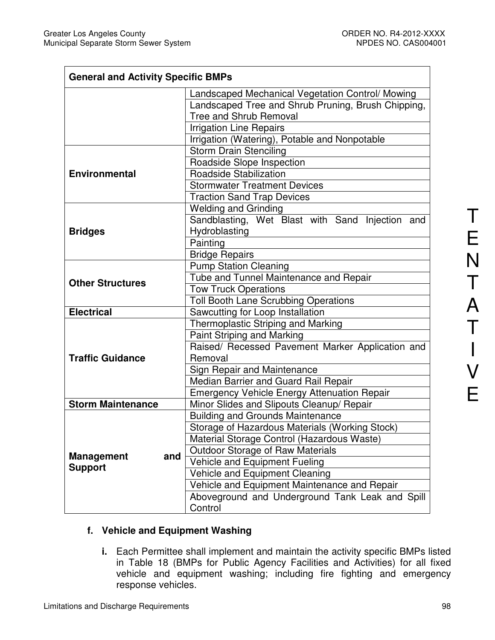$\mathsf{r}$ 

| <b>General and Activity Specific BMPs</b> |                                                    |  |  |
|-------------------------------------------|----------------------------------------------------|--|--|
|                                           | Landscaped Mechanical Vegetation Control/ Mowing   |  |  |
|                                           | Landscaped Tree and Shrub Pruning, Brush Chipping, |  |  |
|                                           | <b>Tree and Shrub Removal</b>                      |  |  |
|                                           | <b>Irrigation Line Repairs</b>                     |  |  |
|                                           | Irrigation (Watering), Potable and Nonpotable      |  |  |
|                                           | <b>Storm Drain Stenciling</b>                      |  |  |
|                                           | Roadside Slope Inspection                          |  |  |
| <b>Environmental</b>                      | Roadside Stabilization                             |  |  |
|                                           | <b>Stormwater Treatment Devices</b>                |  |  |
|                                           | <b>Traction Sand Trap Devices</b>                  |  |  |
|                                           | <b>Welding and Grinding</b>                        |  |  |
|                                           | Sandblasting, Wet Blast with Sand Injection and    |  |  |
| <b>Bridges</b>                            | Hydroblasting                                      |  |  |
|                                           | Painting                                           |  |  |
|                                           | <b>Bridge Repairs</b>                              |  |  |
|                                           | <b>Pump Station Cleaning</b>                       |  |  |
| <b>Other Structures</b>                   | Tube and Tunnel Maintenance and Repair             |  |  |
|                                           | <b>Tow Truck Operations</b>                        |  |  |
|                                           | Toll Booth Lane Scrubbing Operations               |  |  |
| <b>Electrical</b>                         | Sawcutting for Loop Installation                   |  |  |
|                                           | Thermoplastic Striping and Marking                 |  |  |
|                                           | Paint Striping and Marking                         |  |  |
|                                           | Raised/ Recessed Pavement Marker Application and   |  |  |
| <b>Traffic Guidance</b>                   | Removal                                            |  |  |
|                                           | Sign Repair and Maintenance                        |  |  |
|                                           | Median Barrier and Guard Rail Repair               |  |  |
|                                           | <b>Emergency Vehicle Energy Attenuation Repair</b> |  |  |
| <b>Storm Maintenance</b>                  | Minor Slides and Slipouts Cleanup/ Repair          |  |  |
|                                           | <b>Building and Grounds Maintenance</b>            |  |  |
|                                           | Storage of Hazardous Materials (Working Stock)     |  |  |
|                                           | Material Storage Control (Hazardous Waste)         |  |  |
| <b>Management</b><br>and                  | Outdoor Storage of Raw Materials                   |  |  |
| <b>Support</b>                            | Vehicle and Equipment Fueling                      |  |  |
|                                           | Vehicle and Equipment Cleaning                     |  |  |
|                                           | Vehicle and Equipment Maintenance and Repair       |  |  |
|                                           | Aboveground and Underground Tank Leak and Spill    |  |  |
|                                           | Control                                            |  |  |

# **f. Vehicle and Equipment Washing**

**i.** Each Permittee shall implement and maintain the activity specific BMPs listed in Table 18 (BMPs for Public Agency Facilities and Activities) for all fixed vehicle and equipment washing; including fire fighting and emergency response vehicles.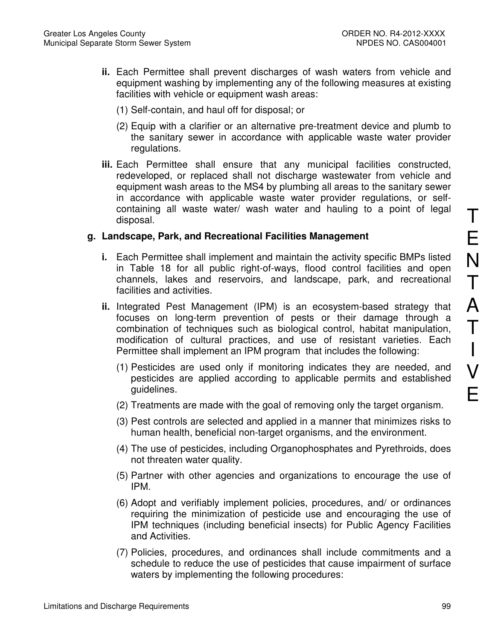- **ii.** Each Permittee shall prevent discharges of wash waters from vehicle and equipment washing by implementing any of the following measures at existing facilities with vehicle or equipment wash areas:
	- (1) Self-contain, and haul off for disposal; or
	- (2) Equip with a clarifier or an alternative pre-treatment device and plumb to the sanitary sewer in accordance with applicable waste water provider regulations.
- **iii.** Each Permittee shall ensure that any municipal facilities constructed, redeveloped, or replaced shall not discharge wastewater from vehicle and equipment wash areas to the MS4 by plumbing all areas to the sanitary sewer in accordance with applicable waste water provider regulations, or selfcontaining all waste water/ wash water and hauling to a point of legal disposal.

## **g. Landscape, Park, and Recreational Facilities Management**

- **i.** Each Permittee shall implement and maintain the activity specific BMPs listed in Table 18 for all public right-of-ways, flood control facilities and open channels, lakes and reservoirs, and landscape, park, and recreational facilities and activities.
- **ii.** Integrated Pest Management (IPM) is an ecosystem-based strategy that focuses on long-term prevention of pests or their damage through a combination of techniques such as biological control, habitat manipulation, modification of cultural practices, and use of resistant varieties. Each Permittee shall implement an IPM program that includes the following:
	- (1) Pesticides are used only if monitoring indicates they are needed, and pesticides are applied according to applicable permits and established guidelines.
	- (2) Treatments are made with the goal of removing only the target organism.
	- (3) Pest controls are selected and applied in a manner that minimizes risks to human health, beneficial non-target organisms, and the environment.
	- (4) The use of pesticides, including Organophosphates and Pyrethroids, does not threaten water quality.
	- (5) Partner with other agencies and organizations to encourage the use of IPM.
	- (6) Adopt and verifiably implement policies, procedures, and/ or ordinances requiring the minimization of pesticide use and encouraging the use of IPM techniques (including beneficial insects) for Public Agency Facilities and Activities.
	- (7) Policies, procedures, and ordinances shall include commitments and a schedule to reduce the use of pesticides that cause impairment of surface waters by implementing the following procedures: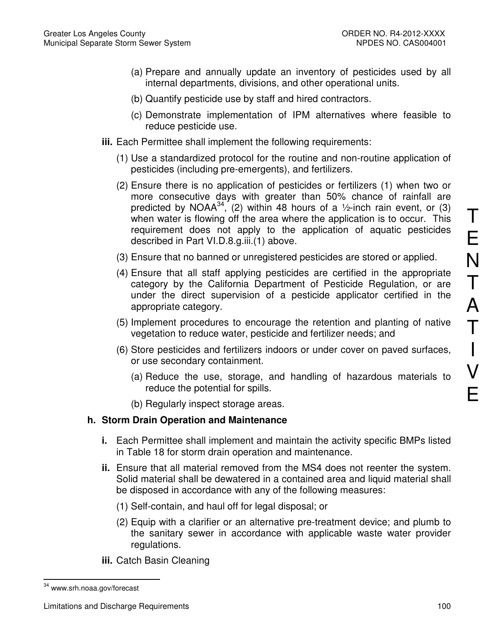- (a) Prepare and annually update an inventory of pesticides used by all internal departments, divisions, and other operational units.
- (b) Quantify pesticide use by staff and hired contractors.
- (c) Demonstrate implementation of IPM alternatives where feasible to reduce pesticide use.
- **iii.** Each Permittee shall implement the following requirements:
	- (1) Use a standardized protocol for the routine and non-routine application of pesticides (including pre-emergents), and fertilizers.
	- (2) Ensure there is no application of pesticides or fertilizers (1) when two or more consecutive days with greater than 50% chance of rainfall are predicted by NOAA<sup>34</sup>, (2) within 48 hours of a  $\frac{1}{2}$ -inch rain event, or (3) when water is flowing off the area where the application is to occur. This requirement does not apply to the application of aquatic pesticides described in Part VI.D.8.g.iii.(1) above.
	- (3) Ensure that no banned or unregistered pesticides are stored or applied.
	- (4) Ensure that all staff applying pesticides are certified in the appropriate category by the California Department of Pesticide Regulation, or are under the direct supervision of a pesticide applicator certified in the appropriate category.
	- (5) Implement procedures to encourage the retention and planting of native vegetation to reduce water, pesticide and fertilizer needs; and
	- (6) Store pesticides and fertilizers indoors or under cover on paved surfaces, or use secondary containment.
		- (a) Reduce the use, storage, and handling of hazardous materials to reduce the potential for spills.
		- (b) Regularly inspect storage areas.

# **h. Storm Drain Operation and Maintenance**

- **i.** Each Permittee shall implement and maintain the activity specific BMPs listed in Table 18 for storm drain operation and maintenance.
- **ii.** Ensure that all material removed from the MS4 does not reenter the system. Solid material shall be dewatered in a contained area and liquid material shall be disposed in accordance with any of the following measures:
	- (1) Self-contain, and haul off for legal disposal; or
	- (2) Equip with a clarifier or an alternative pre-treatment device; and plumb to the sanitary sewer in accordance with applicable waste water provider regulations.
- **iii.** Catch Basin Cleaning

 $\overline{a}$ <sup>34</sup> www.srh.noaa.gov/forecast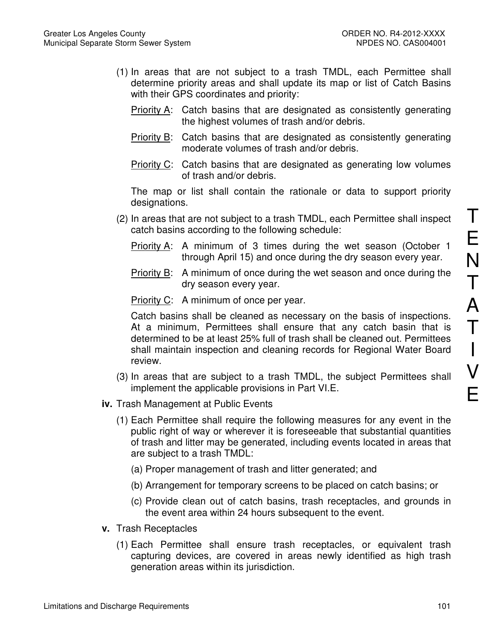- (1) In areas that are not subject to a trash TMDL, each Permittee shall determine priority areas and shall update its map or list of Catch Basins with their GPS coordinates and priority:
	- Priority A: Catch basins that are designated as consistently generating the highest volumes of trash and/or debris.
	- **Priority B:** Catch basins that are designated as consistently generating moderate volumes of trash and/or debris.
	- Priority C: Catch basins that are designated as generating low volumes of trash and/or debris.

The map or list shall contain the rationale or data to support priority designations.

- (2) In areas that are not subject to a trash TMDL, each Permittee shall inspect catch basins according to the following schedule:
	- Priority A: A minimum of 3 times during the wet season (October 1 through April 15) and once during the dry season every year.
	- Priority B: A minimum of once during the wet season and once during the dry season every year.
	- Priority C: A minimum of once per year.

Catch basins shall be cleaned as necessary on the basis of inspections. At a minimum, Permittees shall ensure that any catch basin that is determined to be at least 25% full of trash shall be cleaned out. Permittees shall maintain inspection and cleaning records for Regional Water Board review.

- (3) In areas that are subject to a trash TMDL, the subject Permittees shall implement the applicable provisions in Part VI.E.
- **iv.** Trash Management at Public Events
	- (1) Each Permittee shall require the following measures for any event in the public right of way or wherever it is foreseeable that substantial quantities of trash and litter may be generated, including events located in areas that are subject to a trash TMDL:
		- (a) Proper management of trash and litter generated; and
		- (b) Arrangement for temporary screens to be placed on catch basins; or
		- (c) Provide clean out of catch basins, trash receptacles, and grounds in the event area within 24 hours subsequent to the event.
- **v.** Trash Receptacles
	- (1) Each Permittee shall ensure trash receptacles, or equivalent trash capturing devices, are covered in areas newly identified as high trash generation areas within its jurisdiction.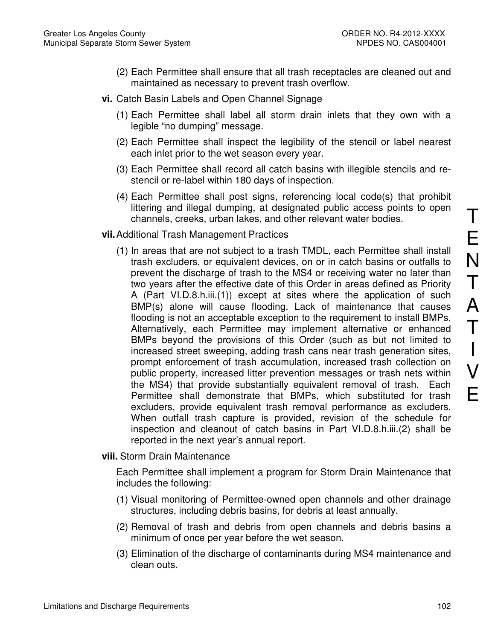- (2) Each Permittee shall ensure that all trash receptacles are cleaned out and maintained as necessary to prevent trash overflow.
- **vi.** Catch Basin Labels and Open Channel Signage
	- (1) Each Permittee shall label all storm drain inlets that they own with a legible "no dumping" message.
	- (2) Each Permittee shall inspect the legibility of the stencil or label nearest each inlet prior to the wet season every year.
	- (3) Each Permittee shall record all catch basins with illegible stencils and restencil or re-label within 180 days of inspection.
	- (4) Each Permittee shall post signs, referencing local code(s) that prohibit littering and illegal dumping, at designated public access points to open channels, creeks, urban lakes, and other relevant water bodies.

## **vii.** Additional Trash Management Practices

(1) In areas that are not subject to a trash TMDL, each Permittee shall install trash excluders, or equivalent devices, on or in catch basins or outfalls to prevent the discharge of trash to the MS4 or receiving water no later than two years after the effective date of this Order in areas defined as Priority A (Part VI.D.8.h.iii.(1)) except at sites where the application of such BMP(s) alone will cause flooding. Lack of maintenance that causes flooding is not an acceptable exception to the requirement to install BMPs. Alternatively, each Permittee may implement alternative or enhanced BMPs beyond the provisions of this Order (such as but not limited to increased street sweeping, adding trash cans near trash generation sites, prompt enforcement of trash accumulation, increased trash collection on public property, increased litter prevention messages or trash nets within the MS4) that provide substantially equivalent removal of trash. Each Permittee shall demonstrate that BMPs, which substituted for trash excluders, provide equivalent trash removal performance as excluders. When outfall trash capture is provided, revision of the schedule for inspection and cleanout of catch basins in Part VI.D.8.h.iii.(2) shall be reported in the next year's annual report.

#### **viii.** Storm Drain Maintenance

Each Permittee shall implement a program for Storm Drain Maintenance that includes the following:

- (1) Visual monitoring of Permittee-owned open channels and other drainage structures, including debris basins, for debris at least annually.
- (2) Removal of trash and debris from open channels and debris basins a minimum of once per year before the wet season.
- (3) Elimination of the discharge of contaminants during MS4 maintenance and clean outs.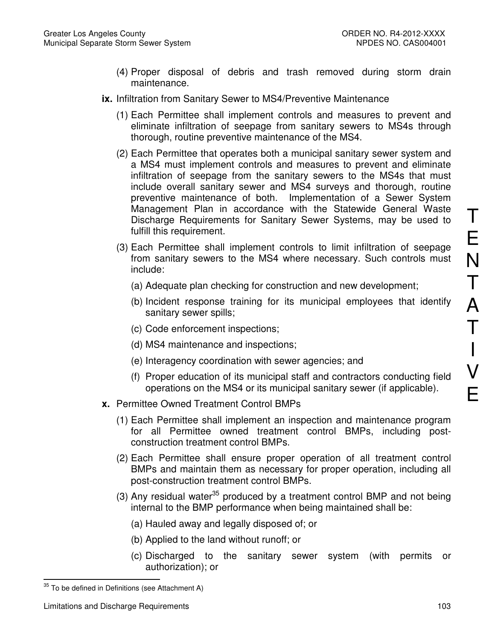- (4) Proper disposal of debris and trash removed during storm drain maintenance.
- **ix.** Infiltration from Sanitary Sewer to MS4/Preventive Maintenance
	- (1) Each Permittee shall implement controls and measures to prevent and eliminate infiltration of seepage from sanitary sewers to MS4s through thorough, routine preventive maintenance of the MS4.
	- (2) Each Permittee that operates both a municipal sanitary sewer system and a MS4 must implement controls and measures to prevent and eliminate infiltration of seepage from the sanitary sewers to the MS4s that must include overall sanitary sewer and MS4 surveys and thorough, routine preventive maintenance of both. Implementation of a Sewer System Management Plan in accordance with the Statewide General Waste Discharge Requirements for Sanitary Sewer Systems, may be used to fulfill this requirement.
	- (3) Each Permittee shall implement controls to limit infiltration of seepage from sanitary sewers to the MS4 where necessary. Such controls must include:
		- (a) Adequate plan checking for construction and new development;
		- (b) Incident response training for its municipal employees that identify sanitary sewer spills;
		- (c) Code enforcement inspections;
		- (d) MS4 maintenance and inspections;
		- (e) Interagency coordination with sewer agencies; and
		- (f) Proper education of its municipal staff and contractors conducting field operations on the MS4 or its municipal sanitary sewer (if applicable).
- **x.** Permittee Owned Treatment Control BMPs
	- (1) Each Permittee shall implement an inspection and maintenance program for all Permittee owned treatment control BMPs, including postconstruction treatment control BMPs.
	- (2) Each Permittee shall ensure proper operation of all treatment control BMPs and maintain them as necessary for proper operation, including all post-construction treatment control BMPs.
	- (3) Any residual water<sup>35</sup> produced by a treatment control BMP and not being internal to the BMP performance when being maintained shall be:
		- (a) Hauled away and legally disposed of; or
		- (b) Applied to the land without runoff; or
		- (c) Discharged to the sanitary sewer system (with permits or authorization); or

 $\overline{a}$ 

T

E

N

T

A

T

I

V

E

 $35$  To be defined in Definitions (see Attachment A)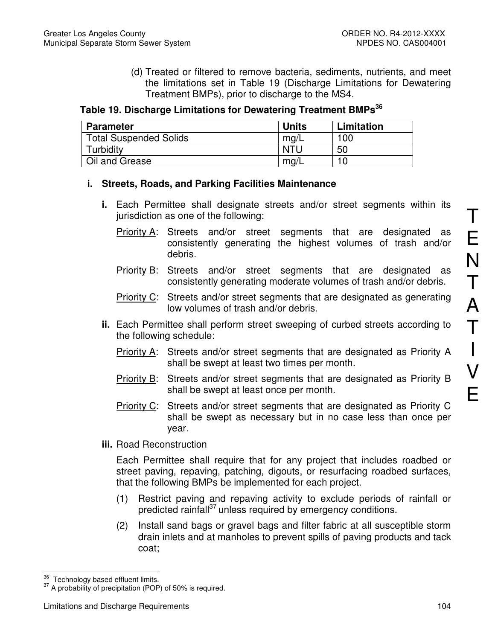(d) Treated or filtered to remove bacteria, sediments, nutrients, and meet the limitations set in Table 19 (Discharge Limitations for Dewatering Treatment BMPs), prior to discharge to the MS4.

**Table 19. Discharge Limitations for Dewatering Treatment BMPs<sup>36</sup>**

| <b>Parameter</b>              | <b>Units</b> | Limitation |
|-------------------------------|--------------|------------|
| <b>Total Suspended Solids</b> | mq/L         | 100        |
| Turbidity                     | <b>NTL</b>   | 50         |
| Oil and Grease                | mg/1         |            |

# **i. Streets, Roads, and Parking Facilities Maintenance**

- **i.** Each Permittee shall designate streets and/or street segments within its jurisdiction as one of the following:
	- Priority A: Streets and/or street segments that are designated as consistently generating the highest volumes of trash and/or debris.
	- Priority B: Streets and/or street segments that are designated as consistently generating moderate volumes of trash and/or debris.
	- Priority C: Streets and/or street segments that are designated as generating low volumes of trash and/or debris.
- **ii.** Each Permittee shall perform street sweeping of curbed streets according to the following schedule:
	- Priority A: Streets and/or street segments that are designated as Priority A shall be swept at least two times per month.
	- Priority B: Streets and/or street segments that are designated as Priority B shall be swept at least once per month.
	- Priority C: Streets and/or street segments that are designated as Priority C shall be swept as necessary but in no case less than once per year.
- **iii.** Road Reconstruction

Each Permittee shall require that for any project that includes roadbed or street paving, repaving, patching, digouts, or resurfacing roadbed surfaces, that the following BMPs be implemented for each project.

- (1) Restrict paving and repaving activity to exclude periods of rainfall or predicted rainfall $^{37}$  unless required by emergency conditions.
- (2) Install sand bags or gravel bags and filter fabric at all susceptible storm drain inlets and at manholes to prevent spills of paving products and tack coat;

 $\overline{a}$  $\frac{36}{12}$  Technology based effluent limits.

<sup>&</sup>lt;sup>37</sup> A probability of precipitation (POP) of 50% is required.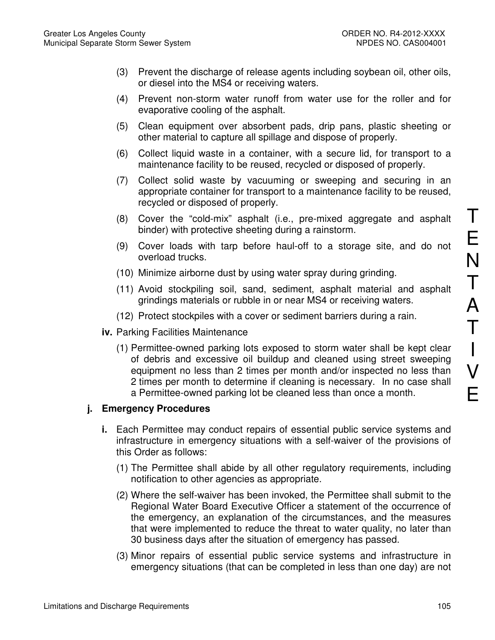- (3) Prevent the discharge of release agents including soybean oil, other oils, or diesel into the MS4 or receiving waters.
- (4) Prevent non-storm water runoff from water use for the roller and for evaporative cooling of the asphalt.
- (5) Clean equipment over absorbent pads, drip pans, plastic sheeting or other material to capture all spillage and dispose of properly.
- (6) Collect liquid waste in a container, with a secure lid, for transport to a maintenance facility to be reused, recycled or disposed of properly.
- (7) Collect solid waste by vacuuming or sweeping and securing in an appropriate container for transport to a maintenance facility to be reused, recycled or disposed of properly.
- (8) Cover the "cold-mix" asphalt (i.e., pre-mixed aggregate and asphalt binder) with protective sheeting during a rainstorm.
- (9) Cover loads with tarp before haul-off to a storage site, and do not overload trucks.
- (10) Minimize airborne dust by using water spray during grinding.
- (11) Avoid stockpiling soil, sand, sediment, asphalt material and asphalt grindings materials or rubble in or near MS4 or receiving waters.
- (12) Protect stockpiles with a cover or sediment barriers during a rain.
- **iv.** Parking Facilities Maintenance
	- (1) Permittee-owned parking lots exposed to storm water shall be kept clear of debris and excessive oil buildup and cleaned using street sweeping equipment no less than 2 times per month and/or inspected no less than 2 times per month to determine if cleaning is necessary. In no case shall a Permittee-owned parking lot be cleaned less than once a month.

# **j. Emergency Procedures**

- **i.** Each Permittee may conduct repairs of essential public service systems and infrastructure in emergency situations with a self-waiver of the provisions of this Order as follows:
	- (1) The Permittee shall abide by all other regulatory requirements, including notification to other agencies as appropriate.
	- (2) Where the self-waiver has been invoked, the Permittee shall submit to the Regional Water Board Executive Officer a statement of the occurrence of the emergency, an explanation of the circumstances, and the measures that were implemented to reduce the threat to water quality, no later than 30 business days after the situation of emergency has passed.
	- (3) Minor repairs of essential public service systems and infrastructure in emergency situations (that can be completed in less than one day) are not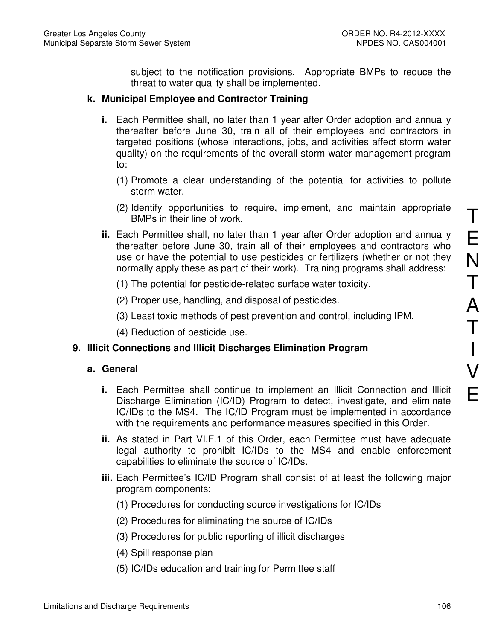subject to the notification provisions. Appropriate BMPs to reduce the threat to water quality shall be implemented.

# **k. Municipal Employee and Contractor Training**

- **i.** Each Permittee shall, no later than 1 year after Order adoption and annually thereafter before June 30, train all of their employees and contractors in targeted positions (whose interactions, jobs, and activities affect storm water quality) on the requirements of the overall storm water management program to:
	- (1) Promote a clear understanding of the potential for activities to pollute storm water.
	- (2) Identify opportunities to require, implement, and maintain appropriate BMPs in their line of work.
- **ii.** Each Permittee shall, no later than 1 year after Order adoption and annually thereafter before June 30, train all of their employees and contractors who use or have the potential to use pesticides or fertilizers (whether or not they normally apply these as part of their work). Training programs shall address:
	- (1) The potential for pesticide-related surface water toxicity.
	- (2) Proper use, handling, and disposal of pesticides.
	- (3) Least toxic methods of pest prevention and control, including IPM.
	- (4) Reduction of pesticide use.

# **9. Illicit Connections and Illicit Discharges Elimination Program**

#### **a. General**

- **i.** Each Permittee shall continue to implement an Illicit Connection and Illicit Discharge Elimination (IC/ID) Program to detect, investigate, and eliminate IC/IDs to the MS4. The IC/ID Program must be implemented in accordance with the requirements and performance measures specified in this Order.
- **ii.** As stated in Part VI.F.1 of this Order, each Permittee must have adequate legal authority to prohibit IC/IDs to the MS4 and enable enforcement capabilities to eliminate the source of IC/IDs.
- **iii.** Each Permittee's IC/ID Program shall consist of at least the following major program components:
	- (1) Procedures for conducting source investigations for IC/IDs
	- (2) Procedures for eliminating the source of IC/IDs
	- (3) Procedures for public reporting of illicit discharges
	- (4) Spill response plan
	- (5) IC/IDs education and training for Permittee staff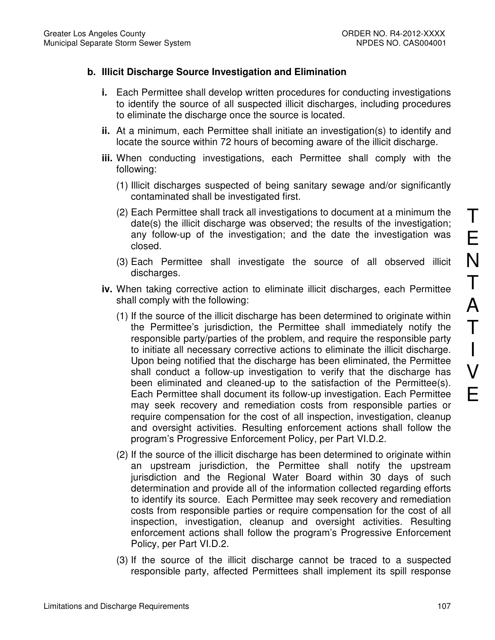# **b. Illicit Discharge Source Investigation and Elimination**

- **i.** Each Permittee shall develop written procedures for conducting investigations to identify the source of all suspected illicit discharges, including procedures to eliminate the discharge once the source is located.
- **ii.** At a minimum, each Permittee shall initiate an investigation(s) to identify and locate the source within 72 hours of becoming aware of the illicit discharge.
- **iii.** When conducting investigations, each Permittee shall comply with the following:
	- (1) Illicit discharges suspected of being sanitary sewage and/or significantly contaminated shall be investigated first.
	- (2) Each Permittee shall track all investigations to document at a minimum the date(s) the illicit discharge was observed; the results of the investigation; any follow-up of the investigation; and the date the investigation was closed.
	- (3) Each Permittee shall investigate the source of all observed illicit discharges.
- **iv.** When taking corrective action to eliminate illicit discharges, each Permittee shall comply with the following:
	- (1) If the source of the illicit discharge has been determined to originate within the Permittee's jurisdiction, the Permittee shall immediately notify the responsible party/parties of the problem, and require the responsible party to initiate all necessary corrective actions to eliminate the illicit discharge. Upon being notified that the discharge has been eliminated, the Permittee shall conduct a follow-up investigation to verify that the discharge has been eliminated and cleaned-up to the satisfaction of the Permittee(s). Each Permittee shall document its follow-up investigation. Each Permittee may seek recovery and remediation costs from responsible parties or require compensation for the cost of all inspection, investigation, cleanup and oversight activities. Resulting enforcement actions shall follow the program's Progressive Enforcement Policy, per Part VI.D.2.
	- (2) If the source of the illicit discharge has been determined to originate within an upstream jurisdiction, the Permittee shall notify the upstream jurisdiction and the Regional Water Board within 30 days of such determination and provide all of the information collected regarding efforts to identify its source. Each Permittee may seek recovery and remediation costs from responsible parties or require compensation for the cost of all inspection, investigation, cleanup and oversight activities. Resulting enforcement actions shall follow the program's Progressive Enforcement Policy, per Part VI.D.2.
	- (3) If the source of the illicit discharge cannot be traced to a suspected responsible party, affected Permittees shall implement its spill response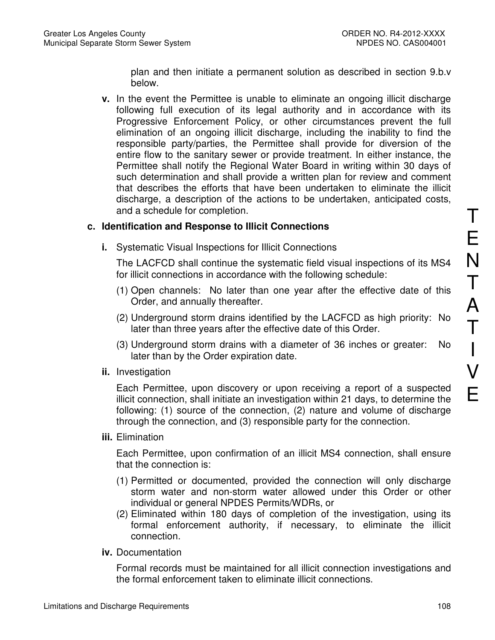plan and then initiate a permanent solution as described in section 9.b.v below.

**v.** In the event the Permittee is unable to eliminate an ongoing illicit discharge following full execution of its legal authority and in accordance with its Progressive Enforcement Policy, or other circumstances prevent the full elimination of an ongoing illicit discharge, including the inability to find the responsible party/parties, the Permittee shall provide for diversion of the entire flow to the sanitary sewer or provide treatment. In either instance, the Permittee shall notify the Regional Water Board in writing within 30 days of such determination and shall provide a written plan for review and comment that describes the efforts that have been undertaken to eliminate the illicit discharge, a description of the actions to be undertaken, anticipated costs, and a schedule for completion.

## **c. Identification and Response to Illicit Connections**

**i.** Systematic Visual Inspections for Illicit Connections

The LACFCD shall continue the systematic field visual inspections of its MS4 for illicit connections in accordance with the following schedule:

- (1) Open channels: No later than one year after the effective date of this Order, and annually thereafter.
- (2) Underground storm drains identified by the LACFCD as high priority: No later than three years after the effective date of this Order.
- (3) Underground storm drains with a diameter of 36 inches or greater: No later than by the Order expiration date.
- **ii.** Investigation

Each Permittee, upon discovery or upon receiving a report of a suspected illicit connection, shall initiate an investigation within 21 days, to determine the following: (1) source of the connection, (2) nature and volume of discharge through the connection, and (3) responsible party for the connection.

**iii.** Elimination

Each Permittee, upon confirmation of an illicit MS4 connection, shall ensure that the connection is:

- (1) Permitted or documented, provided the connection will only discharge storm water and non-storm water allowed under this Order or other individual or general NPDES Permits/WDRs, or
- (2) Eliminated within 180 days of completion of the investigation, using its formal enforcement authority, if necessary, to eliminate the illicit connection.
- **iv.** Documentation

Formal records must be maintained for all illicit connection investigations and the formal enforcement taken to eliminate illicit connections.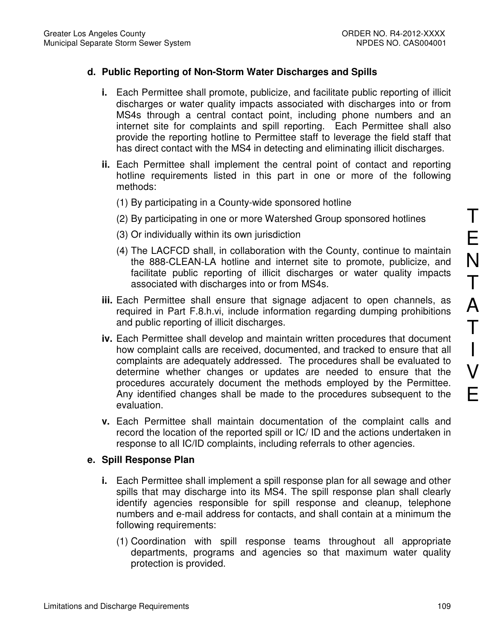## **d. Public Reporting of Non-Storm Water Discharges and Spills**

- **i.** Each Permittee shall promote, publicize, and facilitate public reporting of illicit discharges or water quality impacts associated with discharges into or from MS4s through a central contact point, including phone numbers and an internet site for complaints and spill reporting. Each Permittee shall also provide the reporting hotline to Permittee staff to leverage the field staff that has direct contact with the MS4 in detecting and eliminating illicit discharges.
- **ii.** Each Permittee shall implement the central point of contact and reporting hotline requirements listed in this part in one or more of the following methods:
	- (1) By participating in a County-wide sponsored hotline
	- (2) By participating in one or more Watershed Group sponsored hotlines
	- (3) Or individually within its own jurisdiction
	- (4) The LACFCD shall, in collaboration with the County, continue to maintain the 888-CLEAN-LA hotline and internet site to promote, publicize, and facilitate public reporting of illicit discharges or water quality impacts associated with discharges into or from MS4s.
- **iii.** Each Permittee shall ensure that signage adjacent to open channels, as required in Part F.8.h.vi, include information regarding dumping prohibitions and public reporting of illicit discharges.
- **iv.** Each Permittee shall develop and maintain written procedures that document how complaint calls are received, documented, and tracked to ensure that all complaints are adequately addressed. The procedures shall be evaluated to determine whether changes or updates are needed to ensure that the procedures accurately document the methods employed by the Permittee. Any identified changes shall be made to the procedures subsequent to the evaluation.
- **v.** Each Permittee shall maintain documentation of the complaint calls and record the location of the reported spill or IC/ ID and the actions undertaken in response to all IC/ID complaints, including referrals to other agencies.

#### **e. Spill Response Plan**

- **i.** Each Permittee shall implement a spill response plan for all sewage and other spills that may discharge into its MS4. The spill response plan shall clearly identify agencies responsible for spill response and cleanup, telephone numbers and e-mail address for contacts, and shall contain at a minimum the following requirements:
	- (1) Coordination with spill response teams throughout all appropriate departments, programs and agencies so that maximum water quality protection is provided.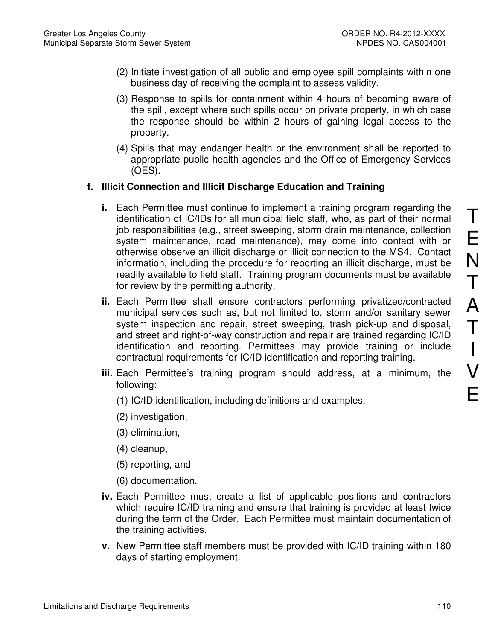- (2) Initiate investigation of all public and employee spill complaints within one business day of receiving the complaint to assess validity.
- (3) Response to spills for containment within 4 hours of becoming aware of the spill, except where such spills occur on private property, in which case the response should be within 2 hours of gaining legal access to the property.
- (4) Spills that may endanger health or the environment shall be reported to appropriate public health agencies and the Office of Emergency Services (OES).

## **f. Illicit Connection and Illicit Discharge Education and Training**

- **i.** Each Permittee must continue to implement a training program regarding the identification of IC/IDs for all municipal field staff, who, as part of their normal job responsibilities (e.g., street sweeping, storm drain maintenance, collection system maintenance, road maintenance), may come into contact with or otherwise observe an illicit discharge or illicit connection to the MS4. Contact information, including the procedure for reporting an illicit discharge, must be readily available to field staff. Training program documents must be available for review by the permitting authority.
- **ii.** Each Permittee shall ensure contractors performing privatized/contracted municipal services such as, but not limited to, storm and/or sanitary sewer system inspection and repair, street sweeping, trash pick-up and disposal, and street and right-of-way construction and repair are trained regarding IC/ID identification and reporting. Permittees may provide training or include contractual requirements for IC/ID identification and reporting training.
- **iii.** Each Permittee's training program should address, at a minimum, the following:
	- (1) IC/ID identification, including definitions and examples,
	- (2) investigation,
	- (3) elimination,
	- (4) cleanup,
	- (5) reporting, and
	- (6) documentation.
- **iv.** Each Permittee must create a list of applicable positions and contractors which require IC/ID training and ensure that training is provided at least twice during the term of the Order. Each Permittee must maintain documentation of the training activities.
- **v.** New Permittee staff members must be provided with IC/ID training within 180 days of starting employment.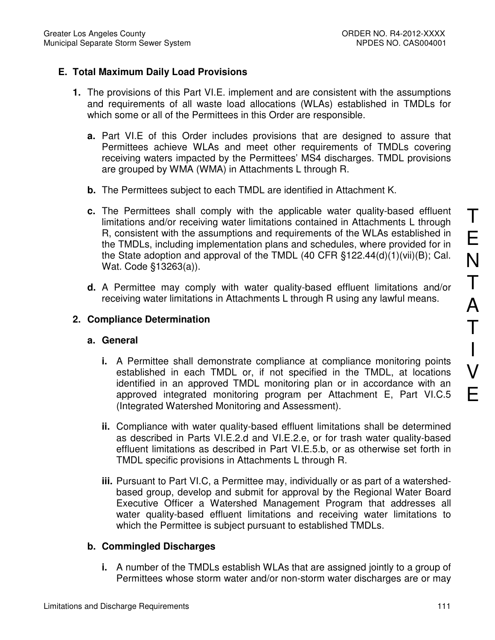# **E. Total Maximum Daily Load Provisions**

- **1.** The provisions of this Part VI.E. implement and are consistent with the assumptions and requirements of all waste load allocations (WLAs) established in TMDLs for which some or all of the Permittees in this Order are responsible.
	- **a.** Part VI.E of this Order includes provisions that are designed to assure that Permittees achieve WLAs and meet other requirements of TMDLs covering receiving waters impacted by the Permittees' MS4 discharges. TMDL provisions are grouped by WMA (WMA) in Attachments L through R.
	- **b.** The Permittees subject to each TMDL are identified in Attachment K.
	- **c.** The Permittees shall comply with the applicable water quality-based effluent limitations and/or receiving water limitations contained in Attachments L through R, consistent with the assumptions and requirements of the WLAs established in the TMDLs, including implementation plans and schedules, where provided for in the State adoption and approval of the TMDL (40 CFR §122.44(d)(1)(vii)(B); Cal. Wat. Code §13263(a)).
	- **d.** A Permittee may comply with water quality-based effluent limitations and/or receiving water limitations in Attachments L through R using any lawful means.

## **2. Compliance Determination**

#### **a. General**

- **i.** A Permittee shall demonstrate compliance at compliance monitoring points established in each TMDL or, if not specified in the TMDL, at locations identified in an approved TMDL monitoring plan or in accordance with an approved integrated monitoring program per Attachment E, Part VI.C.5 (Integrated Watershed Monitoring and Assessment).
- **ii.** Compliance with water quality-based effluent limitations shall be determined as described in Parts VI.E.2.d and VI.E.2.e, or for trash water quality-based effluent limitations as described in Part VI.E.5.b, or as otherwise set forth in TMDL specific provisions in Attachments L through R.
- **iii.** Pursuant to Part VI.C, a Permittee may, individually or as part of a watershedbased group, develop and submit for approval by the Regional Water Board Executive Officer a Watershed Management Program that addresses all water quality-based effluent limitations and receiving water limitations to which the Permittee is subject pursuant to established TMDLs.

#### **b. Commingled Discharges**

**i.** A number of the TMDLs establish WLAs that are assigned jointly to a group of Permittees whose storm water and/or non-storm water discharges are or may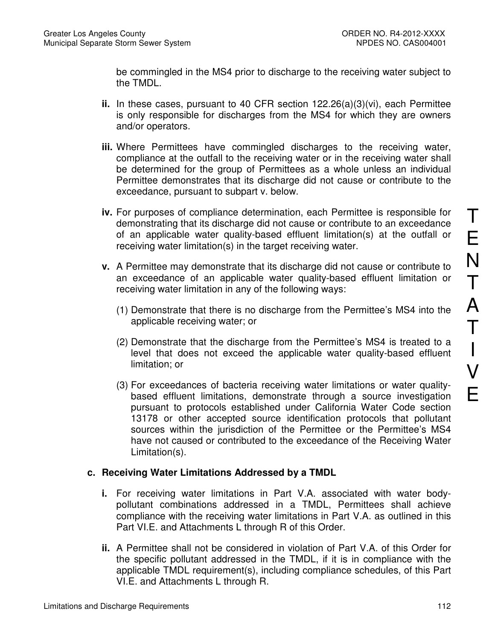be commingled in the MS4 prior to discharge to the receiving water subject to the TMDL.

- **ii.** In these cases, pursuant to 40 CFR section 122.26(a)(3)(vi), each Permittee is only responsible for discharges from the MS4 for which they are owners and/or operators.
- **iii.** Where Permittees have commingled discharges to the receiving water, compliance at the outfall to the receiving water or in the receiving water shall be determined for the group of Permittees as a whole unless an individual Permittee demonstrates that its discharge did not cause or contribute to the exceedance, pursuant to subpart v. below.
- **iv.** For purposes of compliance determination, each Permittee is responsible for demonstrating that its discharge did not cause or contribute to an exceedance of an applicable water quality-based effluent limitation(s) at the outfall or receiving water limitation(s) in the target receiving water.
- **v.** A Permittee may demonstrate that its discharge did not cause or contribute to an exceedance of an applicable water quality-based effluent limitation or receiving water limitation in any of the following ways:
	- (1) Demonstrate that there is no discharge from the Permittee's MS4 into the applicable receiving water; or
	- (2) Demonstrate that the discharge from the Permittee's MS4 is treated to a level that does not exceed the applicable water quality-based effluent limitation; or
	- (3) For exceedances of bacteria receiving water limitations or water qualitybased effluent limitations, demonstrate through a source investigation pursuant to protocols established under California Water Code section 13178 or other accepted source identification protocols that pollutant sources within the jurisdiction of the Permittee or the Permittee's MS4 have not caused or contributed to the exceedance of the Receiving Water Limitation(s).

## **c. Receiving Water Limitations Addressed by a TMDL**

- **i.** For receiving water limitations in Part V.A. associated with water bodypollutant combinations addressed in a TMDL, Permittees shall achieve compliance with the receiving water limitations in Part V.A. as outlined in this Part VI.E. and Attachments L through R of this Order.
- **ii.** A Permittee shall not be considered in violation of Part V.A. of this Order for the specific pollutant addressed in the TMDL, if it is in compliance with the applicable TMDL requirement(s), including compliance schedules, of this Part VI.E. and Attachments L through R.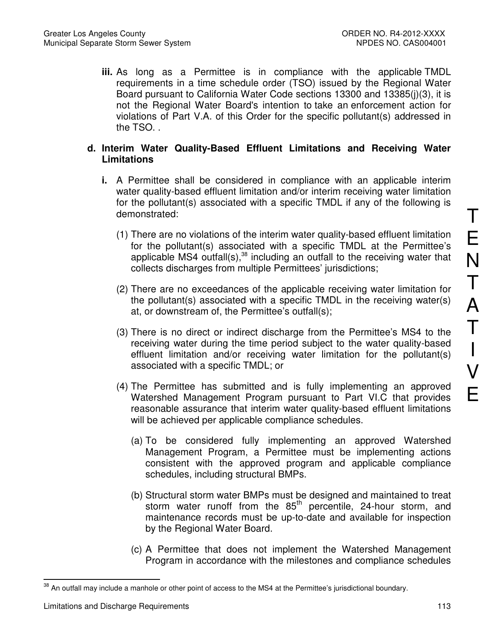**iii.** As long as a Permittee is in compliance with the applicable TMDL requirements in a time schedule order (TSO) issued by the Regional Water Board pursuant to California Water Code sections 13300 and 13385(j)(3), it is not the Regional Water Board's intention to take an enforcement action for violations of Part V.A. of this Order for the specific pollutant(s) addressed in the TSO. .

## **d. Interim Water Quality-Based Effluent Limitations and Receiving Water Limitations**

- **i.** A Permittee shall be considered in compliance with an applicable interim water quality-based effluent limitation and/or interim receiving water limitation for the pollutant(s) associated with a specific TMDL if any of the following is demonstrated:
	- (1) There are no violations of the interim water quality-based effluent limitation for the pollutant(s) associated with a specific TMDL at the Permittee's applicable MS4 outfall(s), $38$  including an outfall to the receiving water that collects discharges from multiple Permittees' jurisdictions;
	- (2) There are no exceedances of the applicable receiving water limitation for the pollutant(s) associated with a specific TMDL in the receiving water(s) at, or downstream of, the Permittee's outfall(s);
	- (3) There is no direct or indirect discharge from the Permittee's MS4 to the receiving water during the time period subject to the water quality-based effluent limitation and/or receiving water limitation for the pollutant(s) associated with a specific TMDL; or
	- (4) The Permittee has submitted and is fully implementing an approved Watershed Management Program pursuant to Part VI.C that provides reasonable assurance that interim water quality-based effluent limitations will be achieved per applicable compliance schedules.
		- (a) To be considered fully implementing an approved Watershed Management Program, a Permittee must be implementing actions consistent with the approved program and applicable compliance schedules, including structural BMPs.
		- (b) Structural storm water BMPs must be designed and maintained to treat storm water runoff from the  $85<sup>th</sup>$  percentile, 24-hour storm, and maintenance records must be up-to-date and available for inspection by the Regional Water Board.
		- (c) A Permittee that does not implement the Watershed Management Program in accordance with the milestones and compliance schedules

T

E

 $\overline{a}$  $38$  An outfall may include a manhole or other point of access to the MS4 at the Permittee's jurisdictional boundary.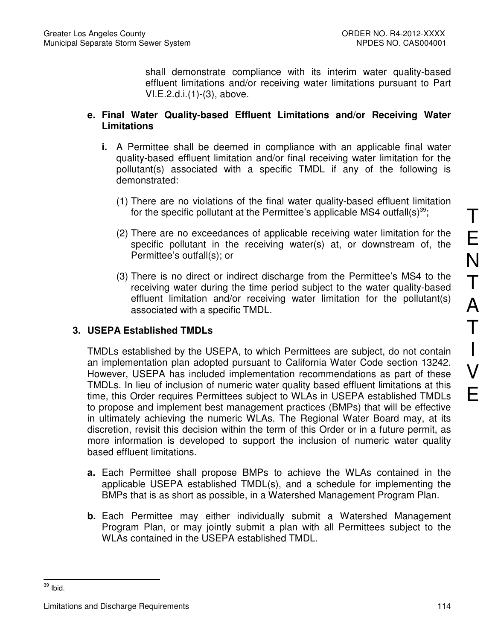shall demonstrate compliance with its interim water quality-based effluent limitations and/or receiving water limitations pursuant to Part VI.E.2.d.i.(1)-(3), above.

## **e. Final Water Quality-based Effluent Limitations and/or Receiving Water Limitations**

- **i.** A Permittee shall be deemed in compliance with an applicable final water quality-based effluent limitation and/or final receiving water limitation for the pollutant(s) associated with a specific TMDL if any of the following is demonstrated:
	- (1) There are no violations of the final water quality-based effluent limitation for the specific pollutant at the Permittee's applicable MS4 outfall(s)<sup>39</sup>;
	- (2) There are no exceedances of applicable receiving water limitation for the specific pollutant in the receiving water(s) at, or downstream of, the Permittee's outfall(s); or
	- (3) There is no direct or indirect discharge from the Permittee's MS4 to the receiving water during the time period subject to the water quality-based effluent limitation and/or receiving water limitation for the pollutant(s) associated with a specific TMDL.

# **3. USEPA Established TMDLs**

TMDLs established by the USEPA, to which Permittees are subject, do not contain an implementation plan adopted pursuant to California Water Code section 13242. However, USEPA has included implementation recommendations as part of these TMDLs. In lieu of inclusion of numeric water quality based effluent limitations at this time, this Order requires Permittees subject to WLAs in USEPA established TMDLs to propose and implement best management practices (BMPs) that will be effective in ultimately achieving the numeric WLAs. The Regional Water Board may, at its discretion, revisit this decision within the term of this Order or in a future permit, as more information is developed to support the inclusion of numeric water quality based effluent limitations.

- **a.** Each Permittee shall propose BMPs to achieve the WLAs contained in the applicable USEPA established TMDL(s), and a schedule for implementing the BMPs that is as short as possible, in a Watershed Management Program Plan.
- **b.** Each Permittee may either individually submit a Watershed Management Program Plan, or may jointly submit a plan with all Permittees subject to the WLAs contained in the USEPA established TMDL.

 $\overline{a}$  $39$  Ibid.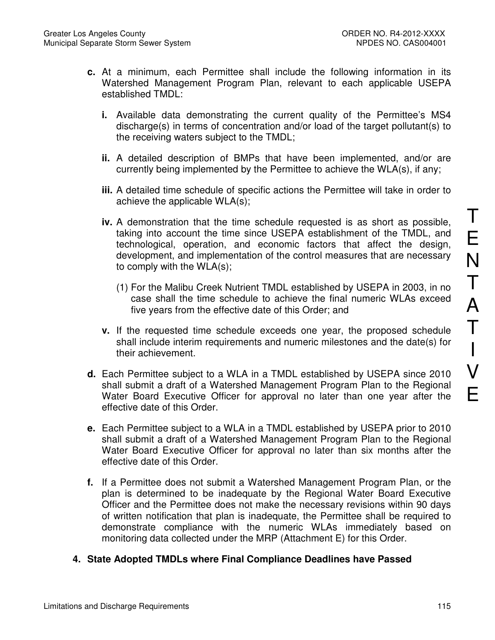- **c.** At a minimum, each Permittee shall include the following information in its Watershed Management Program Plan, relevant to each applicable USEPA established TMDL:
	- **i.** Available data demonstrating the current quality of the Permittee's MS4 discharge(s) in terms of concentration and/or load of the target pollutant(s) to the receiving waters subject to the TMDL;
	- **ii.** A detailed description of BMPs that have been implemented, and/or are currently being implemented by the Permittee to achieve the WLA(s), if any;
	- **iii.** A detailed time schedule of specific actions the Permittee will take in order to achieve the applicable WLA(s);
	- **iv.** A demonstration that the time schedule requested is as short as possible, taking into account the time since USEPA establishment of the TMDL, and technological, operation, and economic factors that affect the design, development, and implementation of the control measures that are necessary to comply with the WLA(s);
		- (1) For the Malibu Creek Nutrient TMDL established by USEPA in 2003, in no case shall the time schedule to achieve the final numeric WLAs exceed five years from the effective date of this Order; and
	- **v.** If the requested time schedule exceeds one year, the proposed schedule shall include interim requirements and numeric milestones and the date(s) for their achievement.
- **d.** Each Permittee subject to a WLA in a TMDL established by USEPA since 2010 shall submit a draft of a Watershed Management Program Plan to the Regional Water Board Executive Officer for approval no later than one year after the effective date of this Order.
- **e.** Each Permittee subject to a WLA in a TMDL established by USEPA prior to 2010 shall submit a draft of a Watershed Management Program Plan to the Regional Water Board Executive Officer for approval no later than six months after the effective date of this Order.
- **f.** If a Permittee does not submit a Watershed Management Program Plan, or the plan is determined to be inadequate by the Regional Water Board Executive Officer and the Permittee does not make the necessary revisions within 90 days of written notification that plan is inadequate, the Permittee shall be required to demonstrate compliance with the numeric WLAs immediately based on monitoring data collected under the MRP (Attachment E) for this Order.
- **4. State Adopted TMDLs where Final Compliance Deadlines have Passed**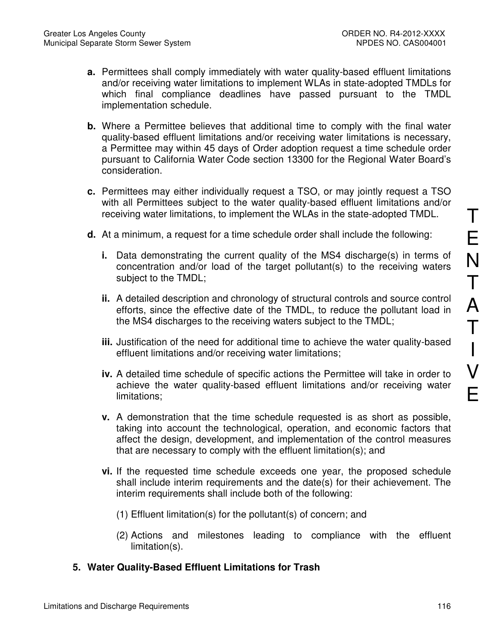- **a.** Permittees shall comply immediately with water quality-based effluent limitations and/or receiving water limitations to implement WLAs in state-adopted TMDLs for which final compliance deadlines have passed pursuant to the TMDL implementation schedule.
- **b.** Where a Permittee believes that additional time to comply with the final water quality-based effluent limitations and/or receiving water limitations is necessary, a Permittee may within 45 days of Order adoption request a time schedule order pursuant to California Water Code section 13300 for the Regional Water Board's consideration.
- **c.** Permittees may either individually request a TSO, or may jointly request a TSO with all Permittees subject to the water quality-based effluent limitations and/or receiving water limitations, to implement the WLAs in the state-adopted TMDL.
- **d.** At a minimum, a request for a time schedule order shall include the following:
	- **i.** Data demonstrating the current quality of the MS4 discharge(s) in terms of concentration and/or load of the target pollutant(s) to the receiving waters subject to the TMDL;
	- **ii.** A detailed description and chronology of structural controls and source control efforts, since the effective date of the TMDL, to reduce the pollutant load in the MS4 discharges to the receiving waters subject to the TMDL;
	- **iii.** Justification of the need for additional time to achieve the water quality-based effluent limitations and/or receiving water limitations;
	- **iv.** A detailed time schedule of specific actions the Permittee will take in order to achieve the water quality-based effluent limitations and/or receiving water limitations;
	- **v.** A demonstration that the time schedule requested is as short as possible, taking into account the technological, operation, and economic factors that affect the design, development, and implementation of the control measures that are necessary to comply with the effluent limitation(s); and
	- **vi.** If the requested time schedule exceeds one year, the proposed schedule shall include interim requirements and the date(s) for their achievement. The interim requirements shall include both of the following:
		- (1) Effluent limitation(s) for the pollutant(s) of concern; and
		- (2) Actions and milestones leading to compliance with the effluent limitation(s).
- **5. Water Quality-Based Effluent Limitations for Trash**

T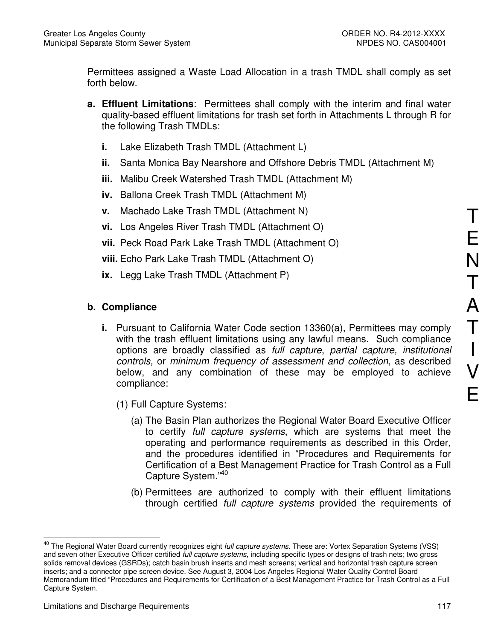Permittees assigned a Waste Load Allocation in a trash TMDL shall comply as set forth below.

- **a. Effluent Limitations**: Permittees shall comply with the interim and final water quality-based effluent limitations for trash set forth in Attachments L through R for the following Trash TMDLs:
	- **i.** Lake Elizabeth Trash TMDL (Attachment L)
	- **ii.** Santa Monica Bay Nearshore and Offshore Debris TMDL (Attachment M)
	- **iii.** Malibu Creek Watershed Trash TMDL (Attachment M)
	- **iv.** Ballona Creek Trash TMDL (Attachment M)
	- **v.** Machado Lake Trash TMDL (Attachment N)
	- **vi.** Los Angeles River Trash TMDL (Attachment O)
	- **vii.** Peck Road Park Lake Trash TMDL (Attachment O)
	- **viii.** Echo Park Lake Trash TMDL (Attachment O)
	- **ix.** Legg Lake Trash TMDL (Attachment P)

## **b. Compliance**

- **i.** Pursuant to California Water Code section 13360(a), Permittees may comply with the trash effluent limitations using any lawful means. Such compliance options are broadly classified as full capture, partial capture, institutional controls, or minimum frequency of assessment and collection, as described below, and any combination of these may be employed to achieve compliance:
	- (1) Full Capture Systems:
		- (a) The Basin Plan authorizes the Regional Water Board Executive Officer to certify *full capture systems*, which are systems that meet the operating and performance requirements as described in this Order, and the procedures identified in "Procedures and Requirements for Certification of a Best Management Practice for Trash Control as a Full Capture System."<sup>40</sup>
		- (b) Permittees are authorized to comply with their effluent limitations through certified full capture systems provided the requirements of

 $\overline{a}$ 

 $40$  The Regional Water Board currently recognizes eight *full capture systems*. These are: Vortex Separation Systems (VSS) and seven other Executive Officer certified full capture systems, including specific types or designs of trash nets; two gross solids removal devices (GSRDs); catch basin brush inserts and mesh screens; vertical and horizontal trash capture screen inserts; and a connector pipe screen device. See August 3, 2004 Los Angeles Regional Water Quality Control Board Memorandum titled "Procedures and Requirements for Certification of a Best Management Practice for Trash Control as a Full Capture System.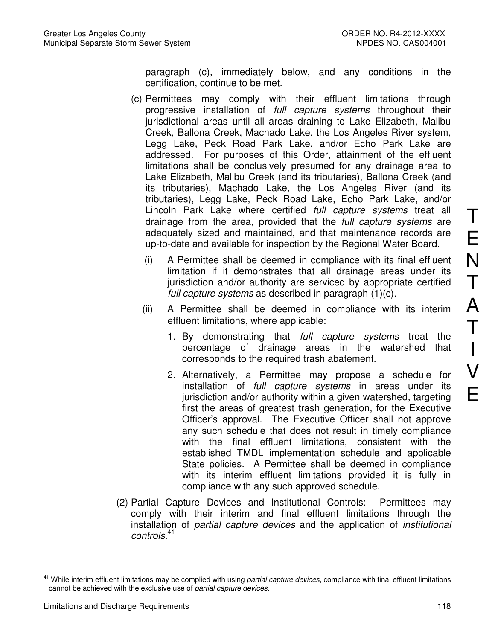paragraph (c), immediately below, and any conditions in the certification, continue to be met.

- (c) Permittees may comply with their effluent limitations through progressive installation of full capture systems throughout their jurisdictional areas until all areas draining to Lake Elizabeth, Malibu Creek, Ballona Creek, Machado Lake, the Los Angeles River system, Legg Lake, Peck Road Park Lake, and/or Echo Park Lake are addressed. For purposes of this Order, attainment of the effluent limitations shall be conclusively presumed for any drainage area to Lake Elizabeth, Malibu Creek (and its tributaries), Ballona Creek (and its tributaries), Machado Lake, the Los Angeles River (and its tributaries), Legg Lake, Peck Road Lake, Echo Park Lake, and/or Lincoln Park Lake where certified full capture systems treat all drainage from the area, provided that the full capture systems are adequately sized and maintained, and that maintenance records are up-to-date and available for inspection by the Regional Water Board.
	- (i) A Permittee shall be deemed in compliance with its final effluent limitation if it demonstrates that all drainage areas under its jurisdiction and/or authority are serviced by appropriate certified full capture systems as described in paragraph  $(1)(c)$ .
	- (ii) A Permittee shall be deemed in compliance with its interim effluent limitations, where applicable:
		- 1. By demonstrating that full capture systems treat the percentage of drainage areas in the watershed that corresponds to the required trash abatement.
		- 2. Alternatively, a Permittee may propose a schedule for installation of *full capture systems* in areas under its jurisdiction and/or authority within a given watershed, targeting first the areas of greatest trash generation, for the Executive Officer's approval. The Executive Officer shall not approve any such schedule that does not result in timely compliance with the final effluent limitations, consistent with the established TMDL implementation schedule and applicable State policies. A Permittee shall be deemed in compliance with its interim effluent limitations provided it is fully in compliance with any such approved schedule.
- (2) Partial Capture Devices and Institutional Controls: Permittees may comply with their interim and final effluent limitations through the installation of partial capture devices and the application of institutional controls. 41

 $\overline{a}$ <sup>41</sup> While interim effluent limitations may be complied with using *partial capture devices*, compliance with final effluent limitations cannot be achieved with the exclusive use of partial capture devices.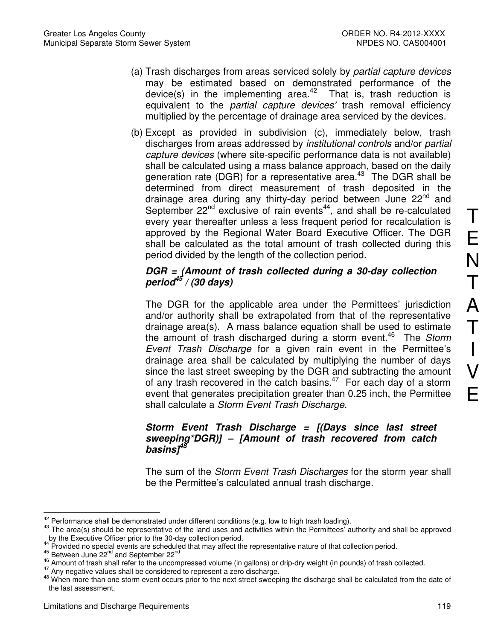- (a) Trash discharges from areas serviced solely by partial capture devices may be estimated based on demonstrated performance of the device(s) in the implementing area.<sup>42</sup> That is, trash reduction is equivalent to the *partial capture devices'* trash removal efficiency multiplied by the percentage of drainage area serviced by the devices.
- (b) Except as provided in subdivision (c), immediately below, trash discharges from areas addressed by institutional controls and/or partial capture devices (where site-specific performance data is not available) shall be calculated using a mass balance approach, based on the daily generation rate (DGR) for a representative area. $43$  The DGR shall be determined from direct measurement of trash deposited in the drainage area during any thirty-day period between June  $22<sup>nd</sup>$  and September  $22^{nd}$  exclusive of rain events<sup>44</sup>, and shall be re-calculated every year thereafter unless a less frequent period for recalculation is approved by the Regional Water Board Executive Officer. The DGR shall be calculated as the total amount of trash collected during this period divided by the length of the collection period.

## **DGR = (Amount of trash collected during a 30-day collection period<sup>45</sup> / (30 days)**

The DGR for the applicable area under the Permittees' jurisdiction and/or authority shall be extrapolated from that of the representative drainage area(s). A mass balance equation shall be used to estimate the amount of trash discharged during a storm event.<sup>46</sup> The Storm Event Trash Discharge for a given rain event in the Permittee's drainage area shall be calculated by multiplying the number of days since the last street sweeping by the DGR and subtracting the amount of any trash recovered in the catch basins. $47$  For each day of a storm event that generates precipitation greater than 0.25 inch, the Permittee shall calculate a Storm Event Trash Discharge.

## **Storm Event Trash Discharge = [(Days since last street sweeping\*DGR)] – [Amount of trash recovered from catch basins]<sup>48</sup>**

The sum of the *Storm Event Trash Discharges* for the storm year shall be the Permittee's calculated annual trash discharge.

 $\overline{\phantom{a}}$  $^{42}$  Performance shall be demonstrated under different conditions (e.g. low to high trash loading).

<sup>43</sup> The area(s) should be representative of the land uses and activities within the Permittees<sup>7</sup> authority and shall be approved by the Executive Officer prior to the 30-day collection period.

Provided no special events are scheduled that may affect the representative nature of that collection period.

 $^{45}$  Between June 22<sup>nd</sup> and September 22<sup>nd</sup>

<sup>46</sup> Amount of trash shall refer to the uncompressed volume (in gallons) or drip-dry weight (in pounds) of trash collected.

<sup>&</sup>lt;sup>47</sup> Any negative values shall be considered to represent a zero discharge.

<sup>48</sup> When more than one storm event occurs prior to the next street sweeping the discharge shall be calculated from the date of the last assessment.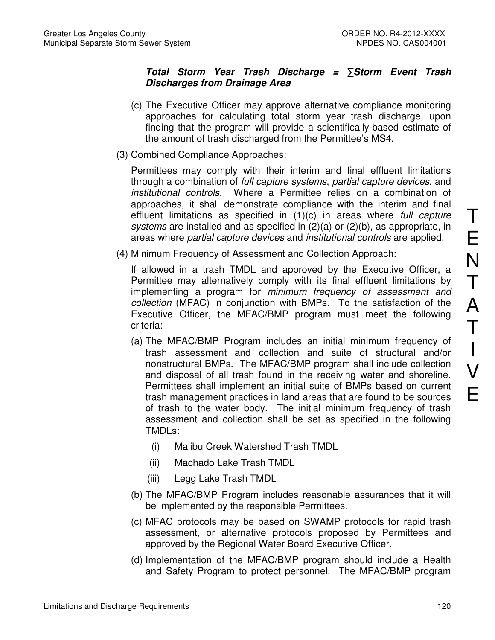## **Total Storm Year Trash Discharge =** ∑**Storm Event Trash Discharges from Drainage Area**

- (c) The Executive Officer may approve alternative compliance monitoring approaches for calculating total storm year trash discharge, upon finding that the program will provide a scientifically-based estimate of the amount of trash discharged from the Permittee's MS4.
- (3) Combined Compliance Approaches:

Permittees may comply with their interim and final effluent limitations through a combination of full capture systems, partial capture devices, and institutional controls. Where a Permittee relies on a combination of approaches, it shall demonstrate compliance with the interim and final effluent limitations as specified in (1)(c) in areas where full capture systems are installed and as specified in (2)(a) or (2)(b), as appropriate, in areas where partial capture devices and institutional controls are applied.

(4) Minimum Frequency of Assessment and Collection Approach:

If allowed in a trash TMDL and approved by the Executive Officer, a Permittee may alternatively comply with its final effluent limitations by implementing a program for minimum frequency of assessment and collection (MFAC) in conjunction with BMPs. To the satisfaction of the Executive Officer, the MFAC/BMP program must meet the following criteria:

- (a) The MFAC/BMP Program includes an initial minimum frequency of trash assessment and collection and suite of structural and/or nonstructural BMPs. The MFAC/BMP program shall include collection and disposal of all trash found in the receiving water and shoreline. Permittees shall implement an initial suite of BMPs based on current trash management practices in land areas that are found to be sources of trash to the water body. The initial minimum frequency of trash assessment and collection shall be set as specified in the following TMDLs:
	- (i) Malibu Creek Watershed Trash TMDL
	- (ii) Machado Lake Trash TMDL
	- (iii) Legg Lake Trash TMDL
- (b) The MFAC/BMP Program includes reasonable assurances that it will be implemented by the responsible Permittees.
- (c) MFAC protocols may be based on SWAMP protocols for rapid trash assessment, or alternative protocols proposed by Permittees and approved by the Regional Water Board Executive Officer.
- (d) Implementation of the MFAC/BMP program should include a Health and Safety Program to protect personnel. The MFAC/BMP program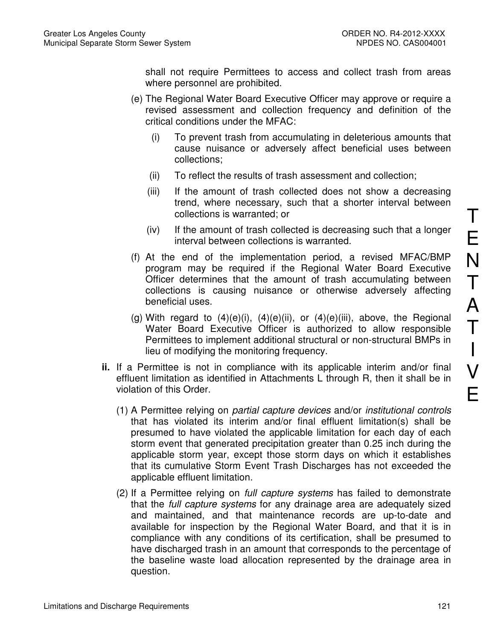shall not require Permittees to access and collect trash from areas where personnel are prohibited.

- (e) The Regional Water Board Executive Officer may approve or require a revised assessment and collection frequency and definition of the critical conditions under the MFAC:
	- (i) To prevent trash from accumulating in deleterious amounts that cause nuisance or adversely affect beneficial uses between collections;
	- (ii) To reflect the results of trash assessment and collection;
	- (iii) If the amount of trash collected does not show a decreasing trend, where necessary, such that a shorter interval between collections is warranted; or
	- (iv) If the amount of trash collected is decreasing such that a longer interval between collections is warranted.
- (f) At the end of the implementation period, a revised MFAC/BMP program may be required if the Regional Water Board Executive Officer determines that the amount of trash accumulating between collections is causing nuisance or otherwise adversely affecting beneficial uses.
- (g) With regard to  $(4)(e)(i)$ ,  $(4)(e)(ii)$ , or  $(4)(e)(iii)$ , above, the Regional Water Board Executive Officer is authorized to allow responsible Permittees to implement additional structural or non-structural BMPs in lieu of modifying the monitoring frequency.
- **ii.** If a Permittee is not in compliance with its applicable interim and/or final effluent limitation as identified in Attachments L through R, then it shall be in violation of this Order.
	- (1) A Permittee relying on partial capture devices and/or institutional controls that has violated its interim and/or final effluent limitation(s) shall be presumed to have violated the applicable limitation for each day of each storm event that generated precipitation greater than 0.25 inch during the applicable storm year, except those storm days on which it establishes that its cumulative Storm Event Trash Discharges has not exceeded the applicable effluent limitation.
	- (2) If a Permittee relying on full capture systems has failed to demonstrate that the full capture systems for any drainage area are adequately sized and maintained, and that maintenance records are up-to-date and available for inspection by the Regional Water Board, and that it is in compliance with any conditions of its certification, shall be presumed to have discharged trash in an amount that corresponds to the percentage of the baseline waste load allocation represented by the drainage area in question.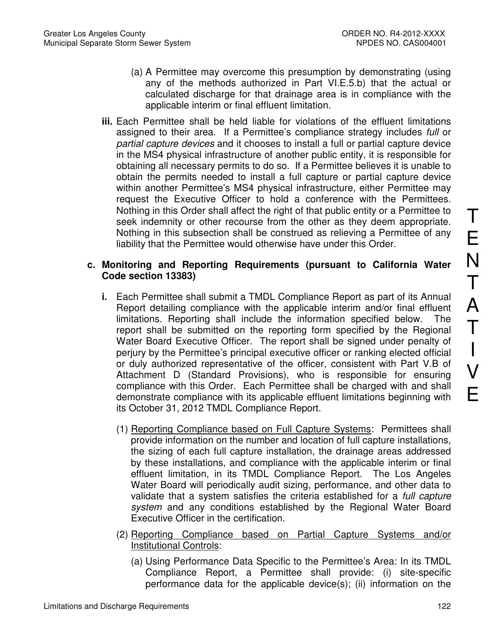- (a) A Permittee may overcome this presumption by demonstrating (using any of the methods authorized in Part VI.E.5.b) that the actual or calculated discharge for that drainage area is in compliance with the applicable interim or final effluent limitation.
- **iii.** Each Permittee shall be held liable for violations of the effluent limitations assigned to their area. If a Permittee's compliance strategy includes full or partial capture devices and it chooses to install a full or partial capture device in the MS4 physical infrastructure of another public entity, it is responsible for obtaining all necessary permits to do so. If a Permittee believes it is unable to obtain the permits needed to install a full capture or partial capture device within another Permittee's MS4 physical infrastructure, either Permittee may request the Executive Officer to hold a conference with the Permittees. Nothing in this Order shall affect the right of that public entity or a Permittee to seek indemnity or other recourse from the other as they deem appropriate. Nothing in this subsection shall be construed as relieving a Permittee of any liability that the Permittee would otherwise have under this Order.

## **c. Monitoring and Reporting Requirements (pursuant to California Water Code section 13383)**

- **i.** Each Permittee shall submit a TMDL Compliance Report as part of its Annual Report detailing compliance with the applicable interim and/or final effluent limitations. Reporting shall include the information specified below. The report shall be submitted on the reporting form specified by the Regional Water Board Executive Officer. The report shall be signed under penalty of perjury by the Permittee's principal executive officer or ranking elected official or duly authorized representative of the officer, consistent with Part V.B of Attachment D (Standard Provisions), who is responsible for ensuring compliance with this Order. Each Permittee shall be charged with and shall demonstrate compliance with its applicable effluent limitations beginning with its October 31, 2012 TMDL Compliance Report.
	- (1) Reporting Compliance based on Full Capture Systems: Permittees shall provide information on the number and location of full capture installations, the sizing of each full capture installation, the drainage areas addressed by these installations, and compliance with the applicable interim or final effluent limitation, in its TMDL Compliance Report. The Los Angeles Water Board will periodically audit sizing, performance, and other data to validate that a system satisfies the criteria established for a full capture system and any conditions established by the Regional Water Board Executive Officer in the certification.
	- (2) Reporting Compliance based on Partial Capture Systems and/or Institutional Controls:
		- (a) Using Performance Data Specific to the Permittee's Area: In its TMDL Compliance Report, a Permittee shall provide: (i) site-specific performance data for the applicable device(s); (ii) information on the